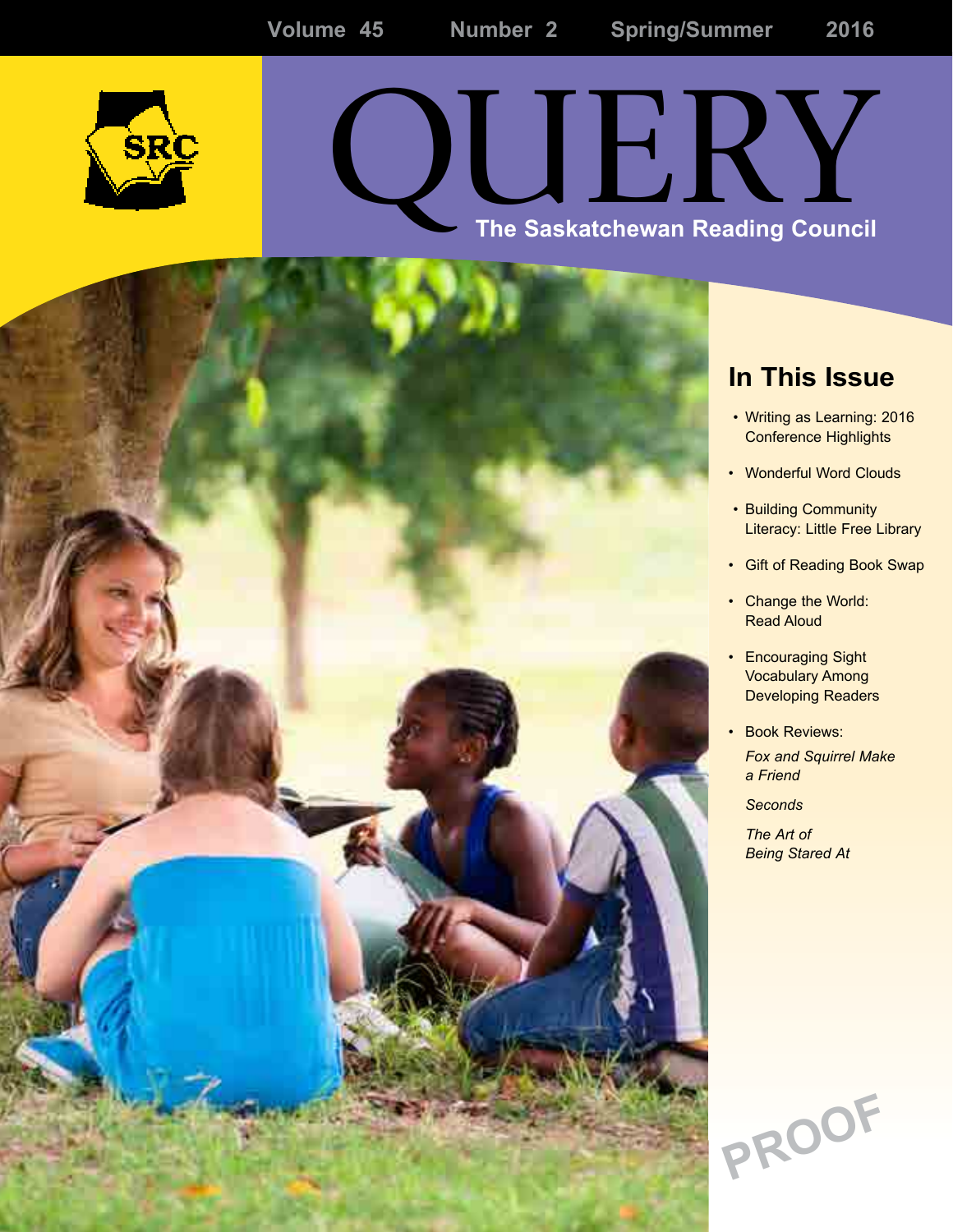

# The Saskatchewan Reading Council

### **In This Issue**

- Writing as Learning: 2016 Conference Highlights
- Wonderful Word Clouds
- Building Community Literacy: Little Free Library
- • Gift of Reading Book Swap
- Change the World: Read Aloud
- Encouraging Sight Vocabulary Among Developing Readers
- Book Reviews: *Fox and Squirrel Make a Friend*

*Seconds*

*The Art of Being Stared At*

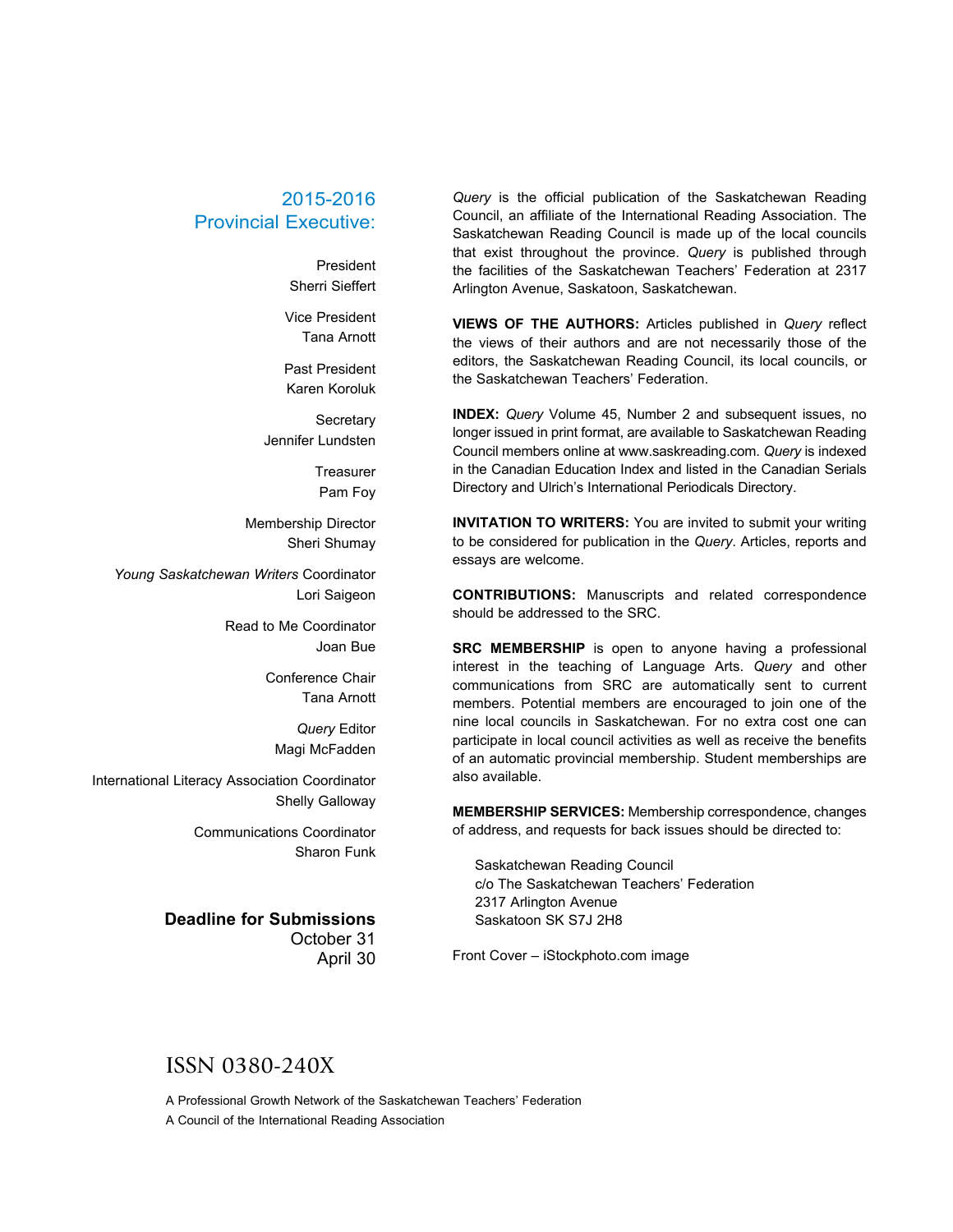#### 2015-2016 Provincial Executive:

President Sherri Sieffert

Vice President Tana Arnott

Past President Karen Koroluk

**Secretary** Jennifer Lundsten

> **Treasurer** Pam Foy

Membership Director Sheri Shumay

*Young Saskatchewan Writers* Coordinator Lori Saigeon

> Read to Me Coordinator Joan Bue

> > Conference Chair Tana Arnott

*Query* Editor Magi McFadden

International Literacy Association Coordinator Shelly Galloway

> Communications Coordinator Sharon Funk

#### **Deadline for Submissions**

October 31 April 30

*Query* is the official publication of the Saskatchewan Reading Council, an affiliate of the International Reading Association. The Saskatchewan Reading Council is made up of the local councils that exist throughout the province. *Query* is published through the facilities of the Saskatchewan Teachers' Federation at 2317 Arlington Avenue, Saskatoon, Saskatchewan.

**VIEWS OF THE AUTHORS:** Articles published in *Query* reflect the views of their authors and are not necessarily those of the editors, the Saskatchewan Reading Council, its local councils, or the Saskatchewan Teachers' Federation.

**INDEX:** *Query* Volume 45, Number 2 and subsequent issues, no longer issued in print format, are available to Saskatchewan Reading Council members online at www.saskreading.com. *Query* is indexed in the Canadian Education Index and listed in the Canadian Serials Directory and Ulrich's International Periodicals Directory.

**INVITATION TO WRITERS:** You are invited to submit your writing to be considered for publication in the *Query*. Articles, reports and essays are welcome.

**CONTRIBUTIONS:** Manuscripts and related correspondence should be addressed to the SRC.

**SRC MEMBERSHIP** is open to anyone having a professional interest in the teaching of Language Arts. *Query* and other communications from SRC are automatically sent to current members. Potential members are encouraged to join one of the nine local councils in Saskatchewan. For no extra cost one can participate in local council activities as well as receive the benefits of an automatic provincial membership. Student memberships are also available.

**MEMBERSHIP SERVICES:** Membership correspondence, changes of address, and requests for back issues should be directed to:

Saskatchewan Reading Council c/o The Saskatchewan Teachers' Federation 2317 Arlington Avenue Saskatoon SK S7J 2H8

Front Cover – iStockphoto.com image

#### ISSN 0380-240X

A Professional Growth Network of the Saskatchewan Teachers' Federation A Council of the International Reading Association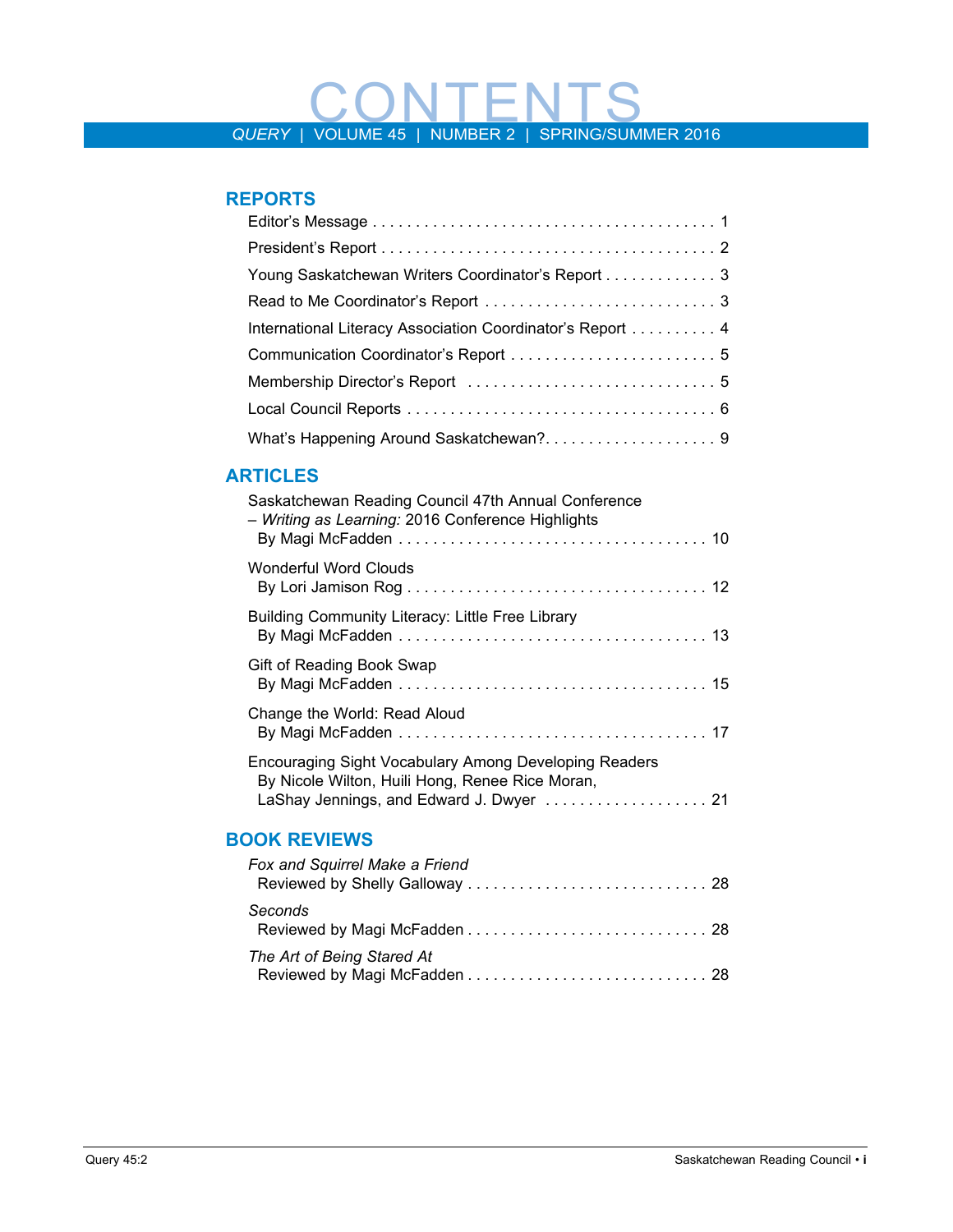# QUERY | VOLUME 45 | NUMBER 2 | SPRING/SUMMER 2016

#### **Reports**

| Young Saskatchewan Writers Coordinator's Report 3         |
|-----------------------------------------------------------|
|                                                           |
| International Literacy Association Coordinator's Report 4 |
| Communication Coordinator's Report  5                     |
|                                                           |
|                                                           |
|                                                           |

#### **Articles**

| Saskatchewan Reading Council 47th Annual Conference<br>- Writing as Learning: 2016 Conference Highlights                                             |  |
|------------------------------------------------------------------------------------------------------------------------------------------------------|--|
| Wonderful Word Clouds                                                                                                                                |  |
| Building Community Literacy: Little Free Library                                                                                                     |  |
| Gift of Reading Book Swap                                                                                                                            |  |
| Change the World: Read Aloud                                                                                                                         |  |
| Encouraging Sight Vocabulary Among Developing Readers<br>By Nicole Wilton, Huili Hong, Renee Rice Moran,<br>LaShay Jennings, and Edward J. Dwyer  21 |  |
| <b>BOOK REVIEWS</b>                                                                                                                                  |  |
| Fox and Squirrel Make a Friend                                                                                                                       |  |
| Seconds                                                                                                                                              |  |

| The Art of Being Stared At |  |
|----------------------------|--|
|                            |  |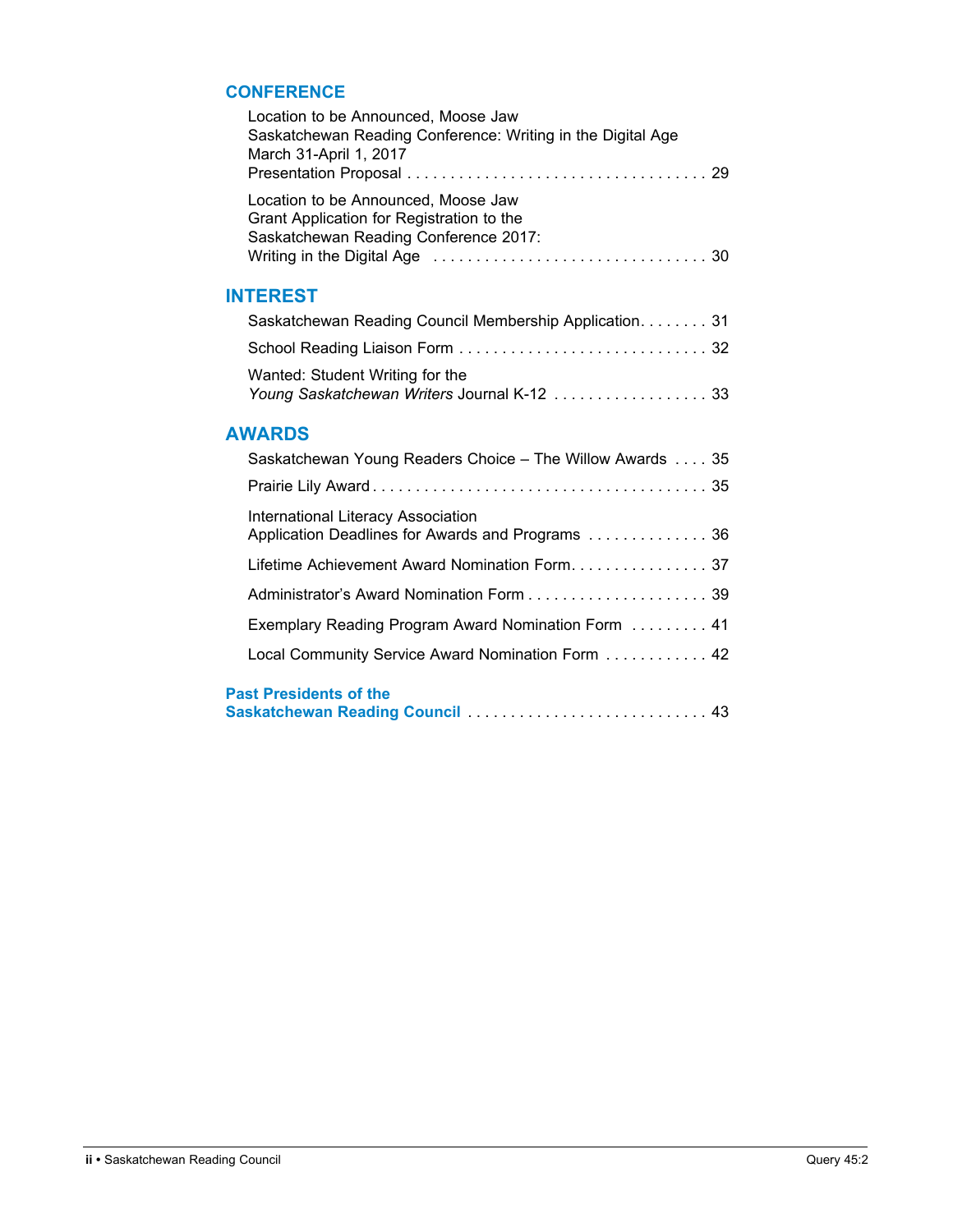#### **Conference**

| Location to be Announced, Moose Jaw<br>Saskatchewan Reading Conference: Writing in the Digital Age<br>March 31-April 1, 2017 |
|------------------------------------------------------------------------------------------------------------------------------|
| Location to be Announced, Moose Jaw<br>Grant Application for Registration to the<br>Saskatchewan Reading Conference 2017:    |
| <b>INTEREST</b>                                                                                                              |
| Saskatchewan Reading Council Membership Application. 31                                                                      |
|                                                                                                                              |
| Wanted: Student Writing for the<br>Young Saskatchewan Writers Journal K-12  33                                               |
| <b>AWARDS</b>                                                                                                                |
| Saskatchewan Young Readers Choice - The Willow Awards  35                                                                    |
|                                                                                                                              |
| International Literacy Association<br>Application Deadlines for Awards and Programs  36                                      |
|                                                                                                                              |
|                                                                                                                              |
| Exemplary Reading Program Award Nomination Form  41                                                                          |
| Local Community Service Award Nomination Form 42                                                                             |
| <b>Past Presidents of the</b>                                                                                                |
| Saskatchewan Reading Council  43                                                                                             |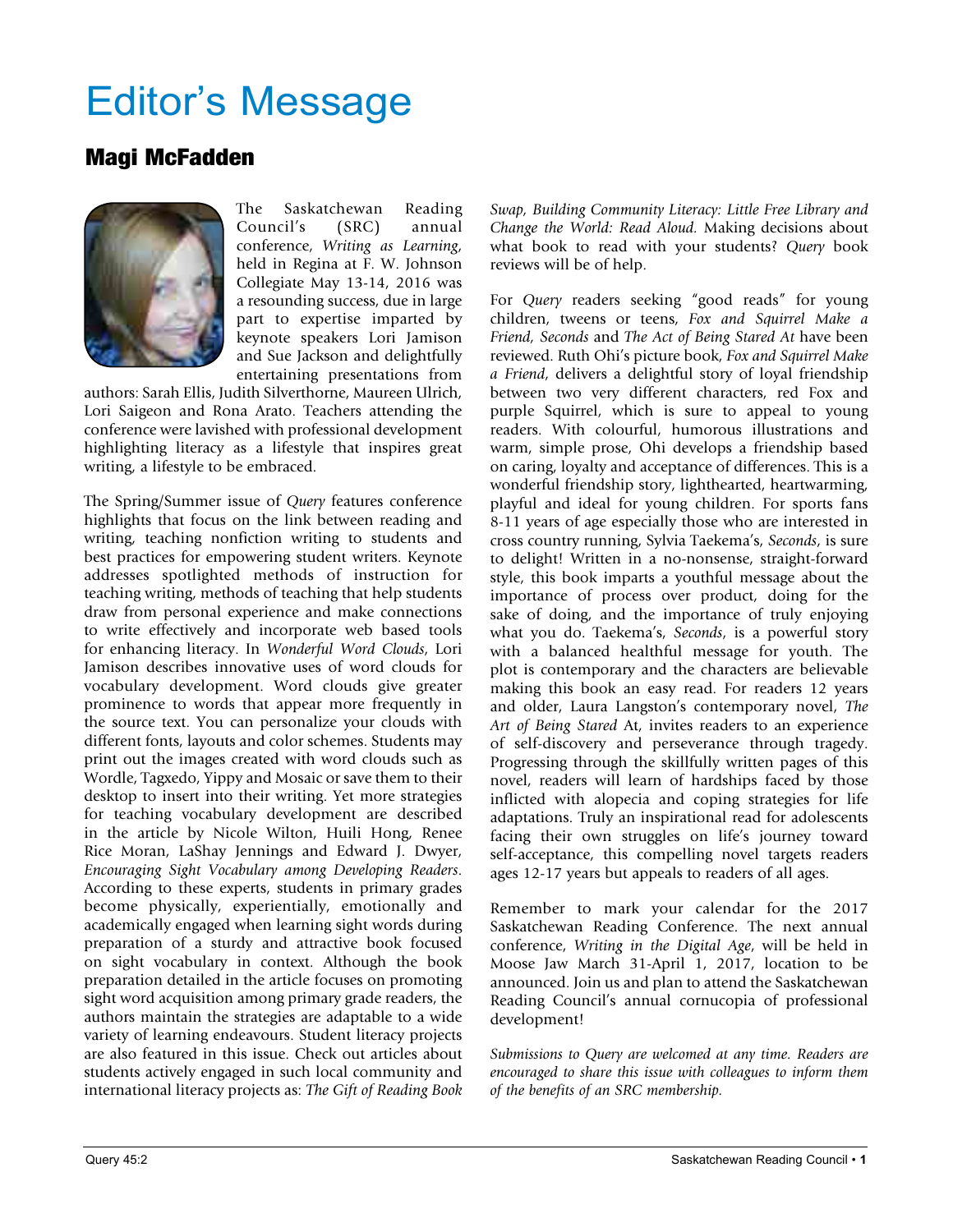# Editor's Message

#### Magi McFadden



The Saskatchewan Reading Council's (SRC) annual conference, *Writing as Learning*, held in Regina at F. W. Johnson Collegiate May 13-14, 2016 was a resounding success, due in large part to expertise imparted by keynote speakers Lori Jamison and Sue Jackson and delightfully entertaining presentations from

authors: Sarah Ellis, Judith Silverthorne, Maureen Ulrich, Lori Saigeon and Rona Arato. Teachers attending the conference were lavished with professional development highlighting literacy as a lifestyle that inspires great writing, a lifestyle to be embraced.

The Spring/Summer issue of *Query* features conference highlights that focus on the link between reading and writing, teaching nonfiction writing to students and best practices for empowering student writers. Keynote addresses spotlighted methods of instruction for teaching writing, methods of teaching that help students draw from personal experience and make connections to write effectively and incorporate web based tools for enhancing literacy. In *Wonderful Word Clouds*, Lori Jamison describes innovative uses of word clouds for vocabulary development. Word clouds give greater prominence to words that appear more frequently in the source text. You can personalize your clouds with different fonts, layouts and color schemes. Students may print out the images created with word clouds such as Wordle, Tagxedo, Yippy and Mosaic or save them to their desktop to insert into their writing. Yet more strategies for teaching vocabulary development are described in the article by Nicole Wilton, Huili Hong, Renee Rice Moran, LaShay Jennings and Edward J. Dwyer, *Encouraging Sight Vocabulary among Developing Readers*. According to these experts, students in primary grades become physically, experientially, emotionally and academically engaged when learning sight words during preparation of a sturdy and attractive book focused on sight vocabulary in context. Although the book preparation detailed in the article focuses on promoting sight word acquisition among primary grade readers, the authors maintain the strategies are adaptable to a wide variety of learning endeavours. Student literacy projects are also featured in this issue. Check out articles about students actively engaged in such local community and international literacy projects as: *The Gift of Reading Book* 

*Swap, Building Community Literacy: Little Free Library and Change the World: Read Aloud.* Making decisions about what book to read with your students? *Query* book reviews will be of help.

For *Query* readers seeking "good reads" for young children, tweens or teens, *Fox and Squirrel Make a Friend, Seconds* and *The Act of Being Stared At* have been reviewed. Ruth Ohi's picture book, *Fox and Squirrel Make a Friend*, delivers a delightful story of loyal friendship between two very different characters, red Fox and purple Squirrel, which is sure to appeal to young readers. With colourful, humorous illustrations and warm, simple prose, Ohi develops a friendship based on caring, loyalty and acceptance of differences. This is a wonderful friendship story, lighthearted, heartwarming, playful and ideal for young children. For sports fans 8-11 years of age especially those who are interested in cross country running, Sylvia Taekema's, *Seconds*, is sure to delight! Written in a no-nonsense, straight-forward style, this book imparts a youthful message about the importance of process over product, doing for the sake of doing, and the importance of truly enjoying what you do. Taekema's, *Seconds*, is a powerful story with a balanced healthful message for youth. The plot is contemporary and the characters are believable making this book an easy read. For readers 12 years and older, Laura Langston's contemporary novel, *The Art of Being Stared* At, invites readers to an experience of self-discovery and perseverance through tragedy. Progressing through the skillfully written pages of this novel, readers will learn of hardships faced by those inflicted with alopecia and coping strategies for life adaptations. Truly an inspirational read for adolescents facing their own struggles on life's journey toward self-acceptance, this compelling novel targets readers ages 12-17 years but appeals to readers of all ages.

Remember to mark your calendar for the 2017 Saskatchewan Reading Conference. The next annual conference, *Writing in the Digital Age*, will be held in Moose Jaw March 31-April 1, 2017, location to be announced. Join us and plan to attend the Saskatchewan Reading Council's annual cornucopia of professional development!

*Submissions to Query are welcomed at any time. Readers are encouraged to share this issue with colleagues to inform them of the benefits of an SRC membership.*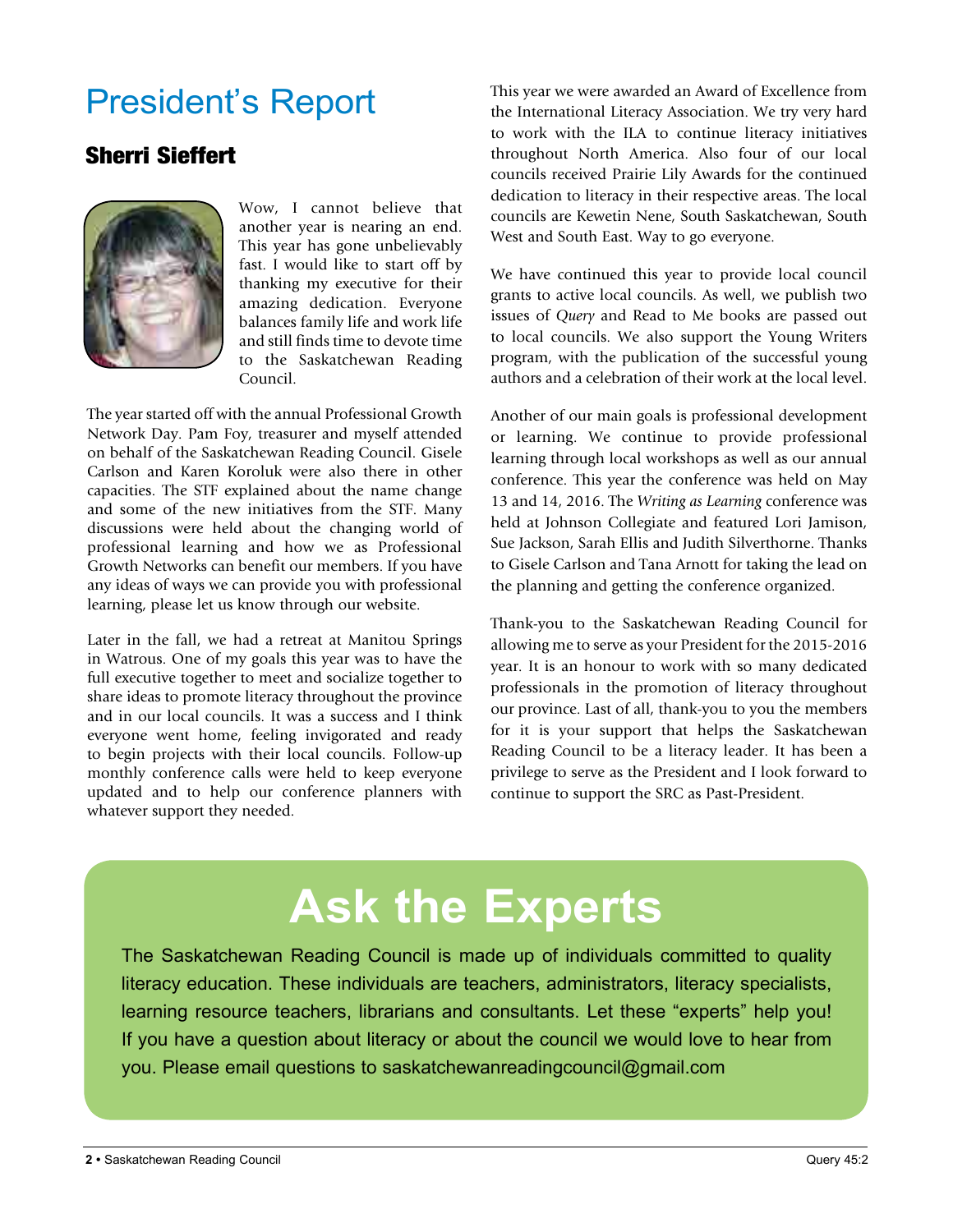### President's Report

### Sherri Sieffert



Wow, I cannot believe that another year is nearing an end. This year has gone unbelievably fast. I would like to start off by thanking my executive for their amazing dedication. Everyone balances family life and work life and still finds time to devote time to the Saskatchewan Reading Council.

The year started off with the annual Professional Growth Network Day. Pam Foy, treasurer and myself attended on behalf of the Saskatchewan Reading Council. Gisele Carlson and Karen Koroluk were also there in other capacities. The STF explained about the name change and some of the new initiatives from the STF. Many discussions were held about the changing world of professional learning and how we as Professional Growth Networks can benefit our members. If you have any ideas of ways we can provide you with professional learning, please let us know through our website.

Later in the fall, we had a retreat at Manitou Springs in Watrous. One of my goals this year was to have the full executive together to meet and socialize together to share ideas to promote literacy throughout the province and in our local councils. It was a success and I think everyone went home, feeling invigorated and ready to begin projects with their local councils. Follow-up monthly conference calls were held to keep everyone updated and to help our conference planners with whatever support they needed.

This year we were awarded an Award of Excellence from the International Literacy Association. We try very hard to work with the ILA to continue literacy initiatives throughout North America. Also four of our local councils received Prairie Lily Awards for the continued dedication to literacy in their respective areas. The local councils are Kewetin Nene, South Saskatchewan, South West and South East. Way to go everyone.

We have continued this year to provide local council grants to active local councils. As well, we publish two issues of *Query* and Read to Me books are passed out to local councils. We also support the Young Writers program, with the publication of the successful young authors and a celebration of their work at the local level.

Another of our main goals is professional development or learning. We continue to provide professional learning through local workshops as well as our annual conference. This year the conference was held on May 13 and 14, 2016. The *Writing as Learning* conference was held at Johnson Collegiate and featured Lori Jamison, Sue Jackson, Sarah Ellis and Judith Silverthorne. Thanks to Gisele Carlson and Tana Arnott for taking the lead on the planning and getting the conference organized.

Thank-you to the Saskatchewan Reading Council for allowing me to serve as your President for the 2015-2016 year. It is an honour to work with so many dedicated professionals in the promotion of literacy throughout our province. Last of all, thank-you to you the members for it is your support that helps the Saskatchewan Reading Council to be a literacy leader. It has been a privilege to serve as the President and I look forward to continue to support the SRC as Past-President.

# **Ask the Experts**

The Saskatchewan Reading Council is made up of individuals committed to quality literacy education. These individuals are teachers, administrators, literacy specialists, learning resource teachers, librarians and consultants. Let these "experts" help you! If you have a question about literacy or about the council we would love to hear from you. Please email questions to saskatchewanreadingcouncil@gmail.com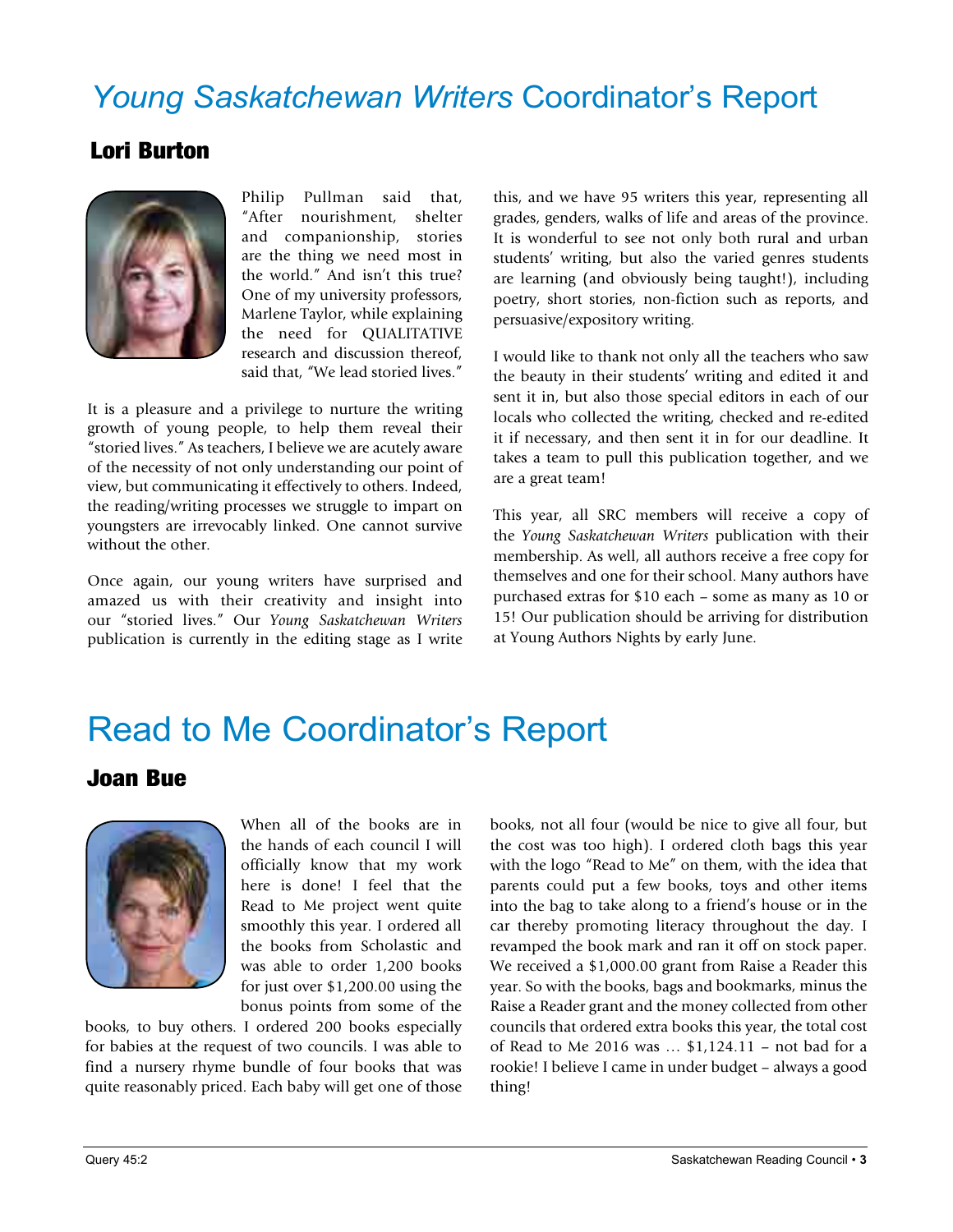### *Young Saskatchewan Writers* Coordinator's Report

### Lori Burton



Philip Pullman said that, "After nourishment, shelter and companionship, stories are the thing we need most in the world." And isn't this true? One of my university professors, Marlene Taylor, while explaining the need for QUALITATIVE research and discussion thereof, said that, "We lead storied lives."

It is a pleasure and a privilege to nurture the writing growth of young people, to help them reveal their "storied lives." As teachers, I believe we are acutely aware of the necessity of not only understanding our point of view, but communicating it effectively to others. Indeed, the reading/writing processes we struggle to impart on youngsters are irrevocably linked. One cannot survive without the other.

Once again, our young writers have surprised and amazed us with their creativity and insight into our "storied lives." Our *Young Saskatchewan Writers* publication is currently in the editing stage as I write

this, and we have 95 writers this year, representing all grades, genders, walks of life and areas of the province. It is wonderful to see not only both rural and urban students' writing, but also the varied genres students are learning (and obviously being taught!), including poetry, short stories, non-fiction such as reports, and persuasive/expository writing.

I would like to thank not only all the teachers who saw the beauty in their students' writing and edited it and sent it in, but also those special editors in each of our locals who collected the writing, checked and re-edited it if necessary, and then sent it in for our deadline. It takes a team to pull this publication together, and we are a great team!

This year, all SRC members will receive a copy of the *Young Saskatchewan Writers* publication with their membership. As well, all authors receive a free copy for themselves and one for their school. Many authors have purchased extras for \$10 each – some as many as 10 or 15! Our publication should be arriving for distribution at Young Authors Nights by early June.

### Read to Me Coordinator's Report

#### Joan Bue



When all of the books are in the hands of each council I will officially know that my work here is done! I feel that the Read to Me project went quite smoothly this year. I ordered all the books from Scholastic and was able to order 1,200 books for just over \$1,200.00 using the bonus points from some of the

books, to buy others. I ordered 200 books especially for babies at the request of two councils. I was able to find a nursery rhyme bundle of four books that was quite reasonably priced. Each baby will get one of those books, not all four (would be nice to give all four, but the cost was too high). I ordered cloth bags this year with the logo "Read to Me" on them, with the idea that parents could put a few books, toys and other items into the bag to take along to a friend's house or in the car thereby promoting literacy throughout the day. I revamped the book mark and ran it off on stock paper. We received a \$1,000.00 grant from Raise a Reader this year. So with the books, bags and bookmarks, minus the Raise a Reader grant and the money collected from other councils that ordered extra books this year, the total cost of Read to Me 2016 was … \$1,124.11 – not bad for a rookie! I believe I came in under budget – always a good thing!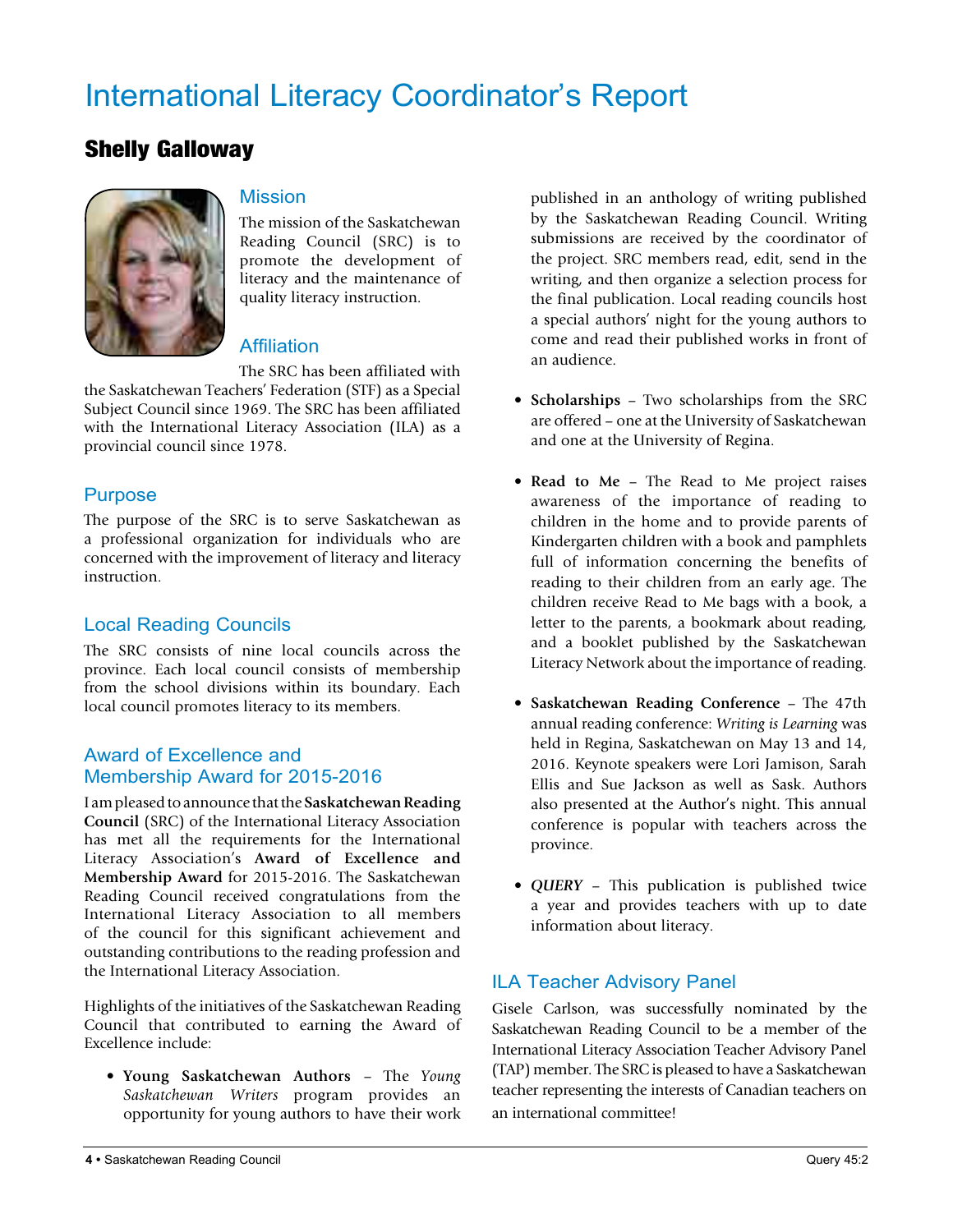### International Literacy Coordinator's Report

#### Shelly Galloway



#### Mission

The mission of the Saskatchewan Reading Council (SRC) is to promote the development of literacy and the maintenance of quality literacy instruction.

#### **Affiliation**

The SRC has been affiliated with

the Saskatchewan Teachers' Federation (STF) as a Special Subject Council since 1969. The SRC has been affiliated with the International Literacy Association (ILA) as a provincial council since 1978.

#### Purpose

The purpose of the SRC is to serve Saskatchewan as a professional organization for individuals who are concerned with the improvement of literacy and literacy instruction.

#### Local Reading Councils

The SRC consists of nine local councils across the province. Each local council consists of membership from the school divisions within its boundary. Each local council promotes literacy to its members.

#### Award of Excellence and Membership Award for 2015-2016

I am pleased to announce that the **Saskatchewan Reading Council** (SRC) of the International Literacy Association has met all the requirements for the International Literacy Association's **Award of Excellence and Membership Award** for 2015-2016. The Saskatchewan Reading Council received congratulations from the International Literacy Association to all members of the council for this significant achievement and outstanding contributions to the reading profession and the International Literacy Association.

Highlights of the initiatives of the Saskatchewan Reading Council that contributed to earning the Award of Excellence include:

• **Young Saskatchewan Authors** – The *Young Saskatchewan Writers* program provides an opportunity for young authors to have their work published in an anthology of writing published by the Saskatchewan Reading Council. Writing submissions are received by the coordinator of the project. SRC members read, edit, send in the writing, and then organize a selection process for the final publication. Local reading councils host a special authors' night for the young authors to come and read their published works in front of an audience.

- • **Scholarships** Two scholarships from the SRC are offered – one at the University of Saskatchewan and one at the University of Regina.
- **Read to Me** The Read to Me project raises awareness of the importance of reading to children in the home and to provide parents of Kindergarten children with a book and pamphlets full of information concerning the benefits of reading to their children from an early age. The children receive Read to Me bags with a book, a letter to the parents, a bookmark about reading, and a booklet published by the Saskatchewan Literacy Network about the importance of reading.
- • **Saskatchewan Reading Conference** The 47th annual reading conference: *Writing is Learning* was held in Regina, Saskatchewan on May 13 and 14, 2016. Keynote speakers were Lori Jamison, Sarah Ellis and Sue Jackson as well as Sask. Authors also presented at the Author's night. This annual conference is popular with teachers across the province.
- • *QUERY* This publication is published twice a year and provides teachers with up to date information about literacy.

#### ILA Teacher Advisory Panel

Gisele Carlson, was successfully nominated by the Saskatchewan Reading Council to be a member of the International Literacy Association Teacher Advisory Panel (TAP) member. The SRC is pleased to have a Saskatchewan teacher representing the interests of Canadian teachers on an international committee!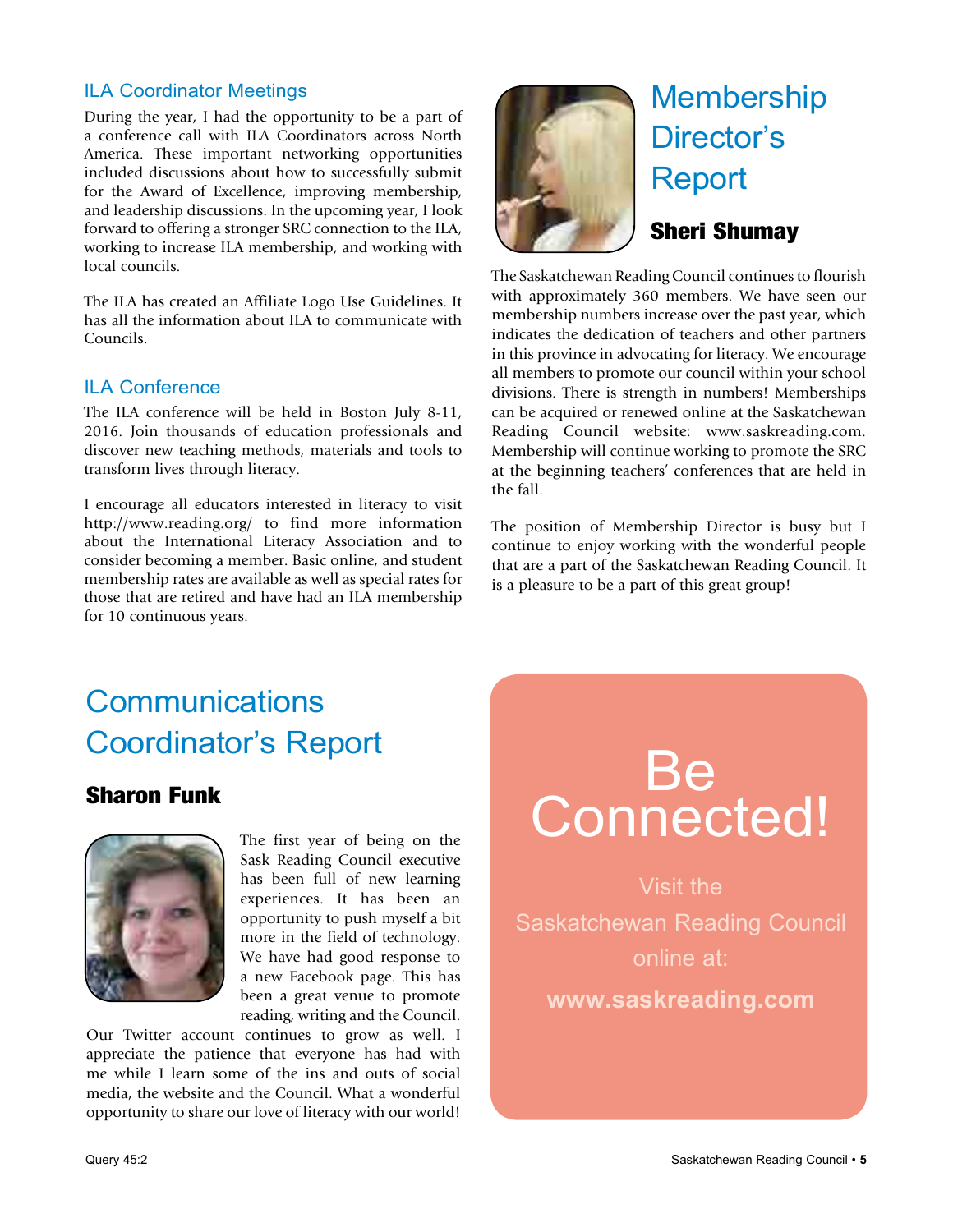#### ILA Coordinator Meetings

During the year, I had the opportunity to be a part of a conference call with ILA Coordinators across North America. These important networking opportunities included discussions about how to successfully submit for the Award of Excellence, improving membership, and leadership discussions. In the upcoming year, I look forward to offering a stronger SRC connection to the ILA, working to increase ILA membership, and working with local councils.

The ILA has created an Affiliate Logo Use Guidelines. It has all the information about ILA to communicate with Councils.

#### ILA Conference

The ILA conference will be held in Boston July 8-11, 2016. Join thousands of education professionals and discover new teaching methods, materials and tools to transform lives through literacy.

I encourage all educators interested in literacy to visit http://www.reading.org/ to find more information about the International Literacy Association and to consider becoming a member. Basic online, and student membership rates are available as well as special rates for those that are retired and have had an ILA membership for 10 continuous years.



# Membership Director's Report

#### Sheri Shumay

The Saskatchewan Reading Council continues to flourish with approximately 360 members. We have seen our membership numbers increase over the past year, which indicates the dedication of teachers and other partners in this province in advocating for literacy. We encourage all members to promote our council within your school divisions. There is strength in numbers! Memberships can be acquired or renewed online at the Saskatchewan Reading Council website: www.saskreading.com. Membership will continue working to promote the SRC at the beginning teachers' conferences that are held in the fall.

The position of Membership Director is busy but I continue to enjoy working with the wonderful people that are a part of the Saskatchewan Reading Council. It is a pleasure to be a part of this great group!

### **Communications** Coordinator's Report

#### Sharon Funk



The first year of being on the Sask Reading Council executive has been full of new learning experiences. It has been an opportunity to push myself a bit more in the field of technology. We have had good response to a new Facebook page. This has been a great venue to promote reading, writing and the Council.

Our Twitter account continues to grow as well. I appreciate the patience that everyone has had with me while I learn some of the ins and outs of social media, the website and the Council. What a wonderful opportunity to share our love of literacy with our world!

# Be Connected!

Visit the Saskatchewan Reading Council online at: **www.saskreading.com**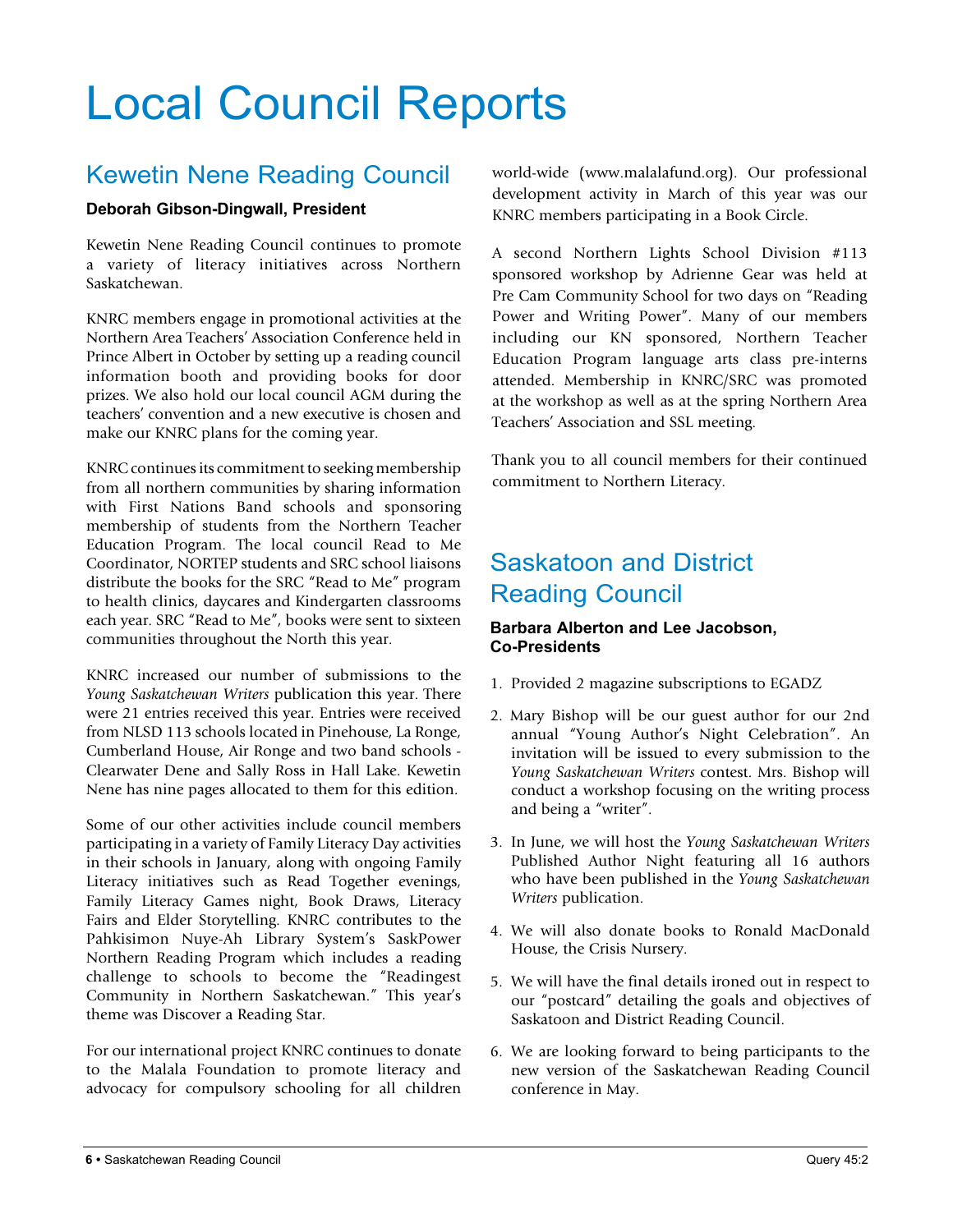# Local Council Reports

### Kewetin Nene Reading Council

#### **Deborah Gibson-Dingwall, President**

Kewetin Nene Reading Council continues to promote a variety of literacy initiatives across Northern Saskatchewan.

KNRC members engage in promotional activities at the Northern Area Teachers' Association Conference held in Prince Albert in October by setting up a reading council information booth and providing books for door prizes. We also hold our local council AGM during the teachers' convention and a new executive is chosen and make our KNRC plans for the coming year.

KNRC continues its commitment to seeking membership from all northern communities by sharing information with First Nations Band schools and sponsoring membership of students from the Northern Teacher Education Program. The local council Read to Me Coordinator, NORTEP students and SRC school liaisons distribute the books for the SRC "Read to Me" program to health clinics, daycares and Kindergarten classrooms each year. SRC "Read to Me", books were sent to sixteen communities throughout the North this year.

KNRC increased our number of submissions to the *Young Saskatchewan Writers* publication this year. There were 21 entries received this year. Entries were received from NLSD 113 schools located in Pinehouse, La Ronge, Cumberland House, Air Ronge and two band schools - Clearwater Dene and Sally Ross in Hall Lake. Kewetin Nene has nine pages allocated to them for this edition.

Some of our other activities include council members participating in a variety of Family Literacy Day activities in their schools in January, along with ongoing Family Literacy initiatives such as Read Together evenings, Family Literacy Games night, Book Draws, Literacy Fairs and Elder Storytelling. KNRC contributes to the Pahkisimon Nuye-Ah Library System's SaskPower Northern Reading Program which includes a reading challenge to schools to become the "Readingest Community in Northern Saskatchewan." This year's theme was Discover a Reading Star.

For our international project KNRC continues to donate to the Malala Foundation to promote literacy and advocacy for compulsory schooling for all children world-wide (www.malalafund.org). Our professional development activity in March of this year was our KNRC members participating in a Book Circle.

A second Northern Lights School Division #113 sponsored workshop by Adrienne Gear was held at Pre Cam Community School for two days on "Reading Power and Writing Power". Many of our members including our KN sponsored, Northern Teacher Education Program language arts class pre-interns attended. Membership in KNRC/SRC was promoted at the workshop as well as at the spring Northern Area Teachers' Association and SSL meeting.

Thank you to all council members for their continued commitment to Northern Literacy.

### Saskatoon and District Reading Council

#### **Barbara Alberton and Lee Jacobson, Co-Presidents**

- 1. Provided 2 magazine subscriptions to EGADZ
- 2. Mary Bishop will be our guest author for our 2nd annual "Young Author's Night Celebration". An invitation will be issued to every submission to the *Young Saskatchewan Writers* contest. Mrs. Bishop will conduct a workshop focusing on the writing process and being a "writer".
- 3. In June, we will host the *Young Saskatchewan Writers*  Published Author Night featuring all 16 authors who have been published in the *Young Saskatchewan Writers* publication.
- 4. We will also donate books to Ronald MacDonald House, the Crisis Nursery.
- 5. We will have the final details ironed out in respect to our "postcard" detailing the goals and objectives of Saskatoon and District Reading Council.
- 6. We are looking forward to being participants to the new version of the Saskatchewan Reading Council conference in May.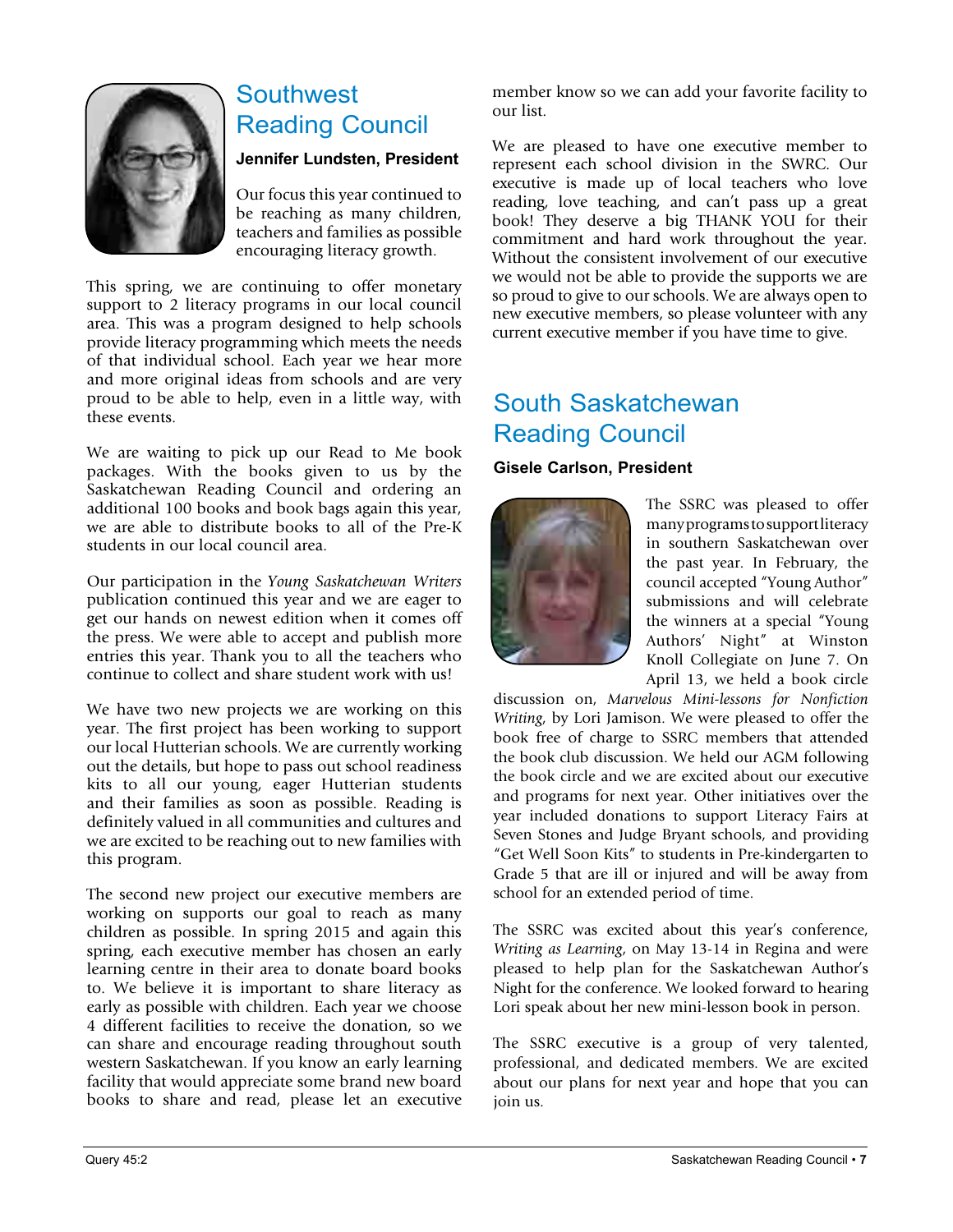

### Southwest Reading Council

#### **Jennifer Lundsten, President**

Our focus this year continued to be reaching as many children, teachers and families as possible encouraging literacy growth.

This spring, we are continuing to offer monetary support to 2 literacy programs in our local council area. This was a program designed to help schools provide literacy programming which meets the needs of that individual school. Each year we hear more and more original ideas from schools and are very proud to be able to help, even in a little way, with these events.

We are waiting to pick up our Read to Me book packages. With the books given to us by the Saskatchewan Reading Council and ordering an additional 100 books and book bags again this year, we are able to distribute books to all of the Pre-K students in our local council area.

Our participation in the *Young Saskatchewan Writers*  publication continued this year and we are eager to get our hands on newest edition when it comes off the press. We were able to accept and publish more entries this year. Thank you to all the teachers who continue to collect and share student work with us!

We have two new projects we are working on this year. The first project has been working to support our local Hutterian schools. We are currently working out the details, but hope to pass out school readiness kits to all our young, eager Hutterian students and their families as soon as possible. Reading is definitely valued in all communities and cultures and we are excited to be reaching out to new families with this program.

The second new project our executive members are working on supports our goal to reach as many children as possible. In spring 2015 and again this spring, each executive member has chosen an early learning centre in their area to donate board books to. We believe it is important to share literacy as early as possible with children. Each year we choose 4 different facilities to receive the donation, so we can share and encourage reading throughout south western Saskatchewan. If you know an early learning facility that would appreciate some brand new board books to share and read, please let an executive

member know so we can add your favorite facility to our list.

We are pleased to have one executive member to represent each school division in the SWRC. Our executive is made up of local teachers who love reading, love teaching, and can't pass up a great book! They deserve a big THANK YOU for their commitment and hard work throughout the year. Without the consistent involvement of our executive we would not be able to provide the supports we are so proud to give to our schools. We are always open to new executive members, so please volunteer with any current executive member if you have time to give.

### South Saskatchewan Reading Council

#### **Gisele Carlson, President**



The SSRC was pleased to offer many programs to support literacy in southern Saskatchewan over the past year. In February, the council accepted "Young Author" submissions and will celebrate the winners at a special "Young Authors' Night" at Winston Knoll Collegiate on June 7. On April 13, we held a book circle

discussion on, *Marvelous Mini-lessons for Nonfiction Writing*, by Lori Jamison. We were pleased to offer the book free of charge to SSRC members that attended the book club discussion. We held our AGM following the book circle and we are excited about our executive and programs for next year. Other initiatives over the year included donations to support Literacy Fairs at Seven Stones and Judge Bryant schools, and providing "Get Well Soon Kits" to students in Pre-kindergarten to Grade 5 that are ill or injured and will be away from school for an extended period of time.

The SSRC was excited about this year's conference, *Writing as Learning*, on May 13-14 in Regina and were pleased to help plan for the Saskatchewan Author's Night for the conference. We looked forward to hearing Lori speak about her new mini-lesson book in person.

The SSRC executive is a group of very talented, professional, and dedicated members. We are excited about our plans for next year and hope that you can join us.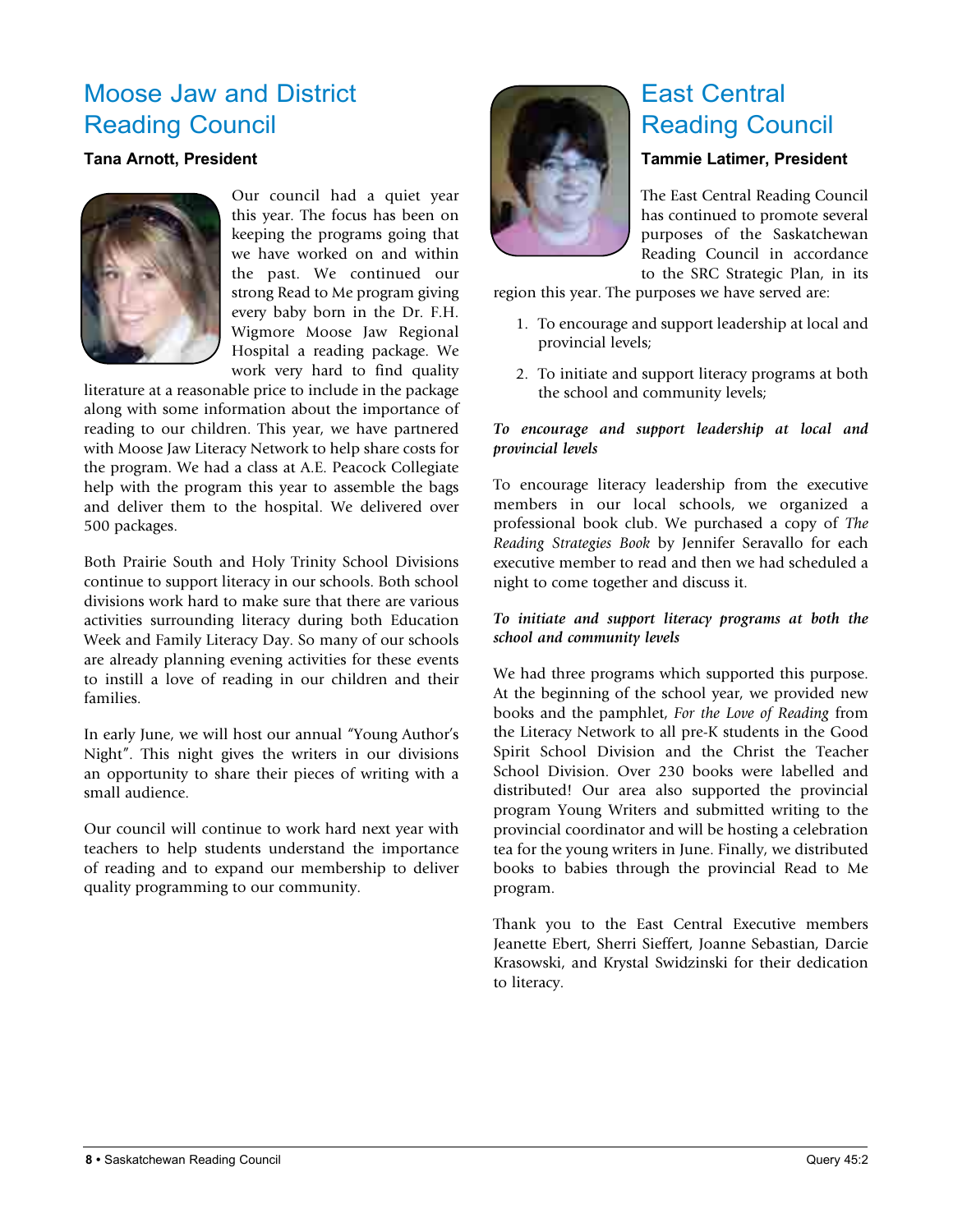### Moose Jaw and District Reading Council

#### **Tana Arnott, President**



Our council had a quiet year this year. The focus has been on keeping the programs going that we have worked on and within the past. We continued our strong Read to Me program giving every baby born in the Dr. F.H. Wigmore Moose Jaw Regional Hospital a reading package. We work very hard to find quality

literature at a reasonable price to include in the package along with some information about the importance of reading to our children. This year, we have partnered with Moose Jaw Literacy Network to help share costs for the program. We had a class at A.E. Peacock Collegiate help with the program this year to assemble the bags and deliver them to the hospital. We delivered over 500 packages.

Both Prairie South and Holy Trinity School Divisions continue to support literacy in our schools. Both school divisions work hard to make sure that there are various activities surrounding literacy during both Education Week and Family Literacy Day. So many of our schools are already planning evening activities for these events to instill a love of reading in our children and their families.

In early June, we will host our annual "Young Author's Night". This night gives the writers in our divisions an opportunity to share their pieces of writing with a small audience.

Our council will continue to work hard next year with teachers to help students understand the importance of reading and to expand our membership to deliver quality programming to our community.



### East Central Reading Council

#### **Tammie Latimer, President**

The East Central Reading Council has continued to promote several purposes of the Saskatchewan Reading Council in accordance to the SRC Strategic Plan, in its

region this year. The purposes we have served are:

- 1. To encourage and support leadership at local and provincial levels;
- 2. To initiate and support literacy programs at both the school and community levels;

#### *To encourage and support leadership at local and provincial levels*

To encourage literacy leadership from the executive members in our local schools, we organized a professional book club. We purchased a copy of *The Reading Strategies Book* by Jennifer Seravallo for each executive member to read and then we had scheduled a night to come together and discuss it.

#### *To initiate and support literacy programs at both the school and community levels*

We had three programs which supported this purpose. At the beginning of the school year, we provided new books and the pamphlet, *For the Love of Reading* from the Literacy Network to all pre-K students in the Good Spirit School Division and the Christ the Teacher School Division. Over 230 books were labelled and distributed! Our area also supported the provincial program Young Writers and submitted writing to the provincial coordinator and will be hosting a celebration tea for the young writers in June. Finally, we distributed books to babies through the provincial Read to Me program.

Thank you to the East Central Executive members Jeanette Ebert, Sherri Sieffert, Joanne Sebastian, Darcie Krasowski, and Krystal Swidzinski for their dedication to literacy.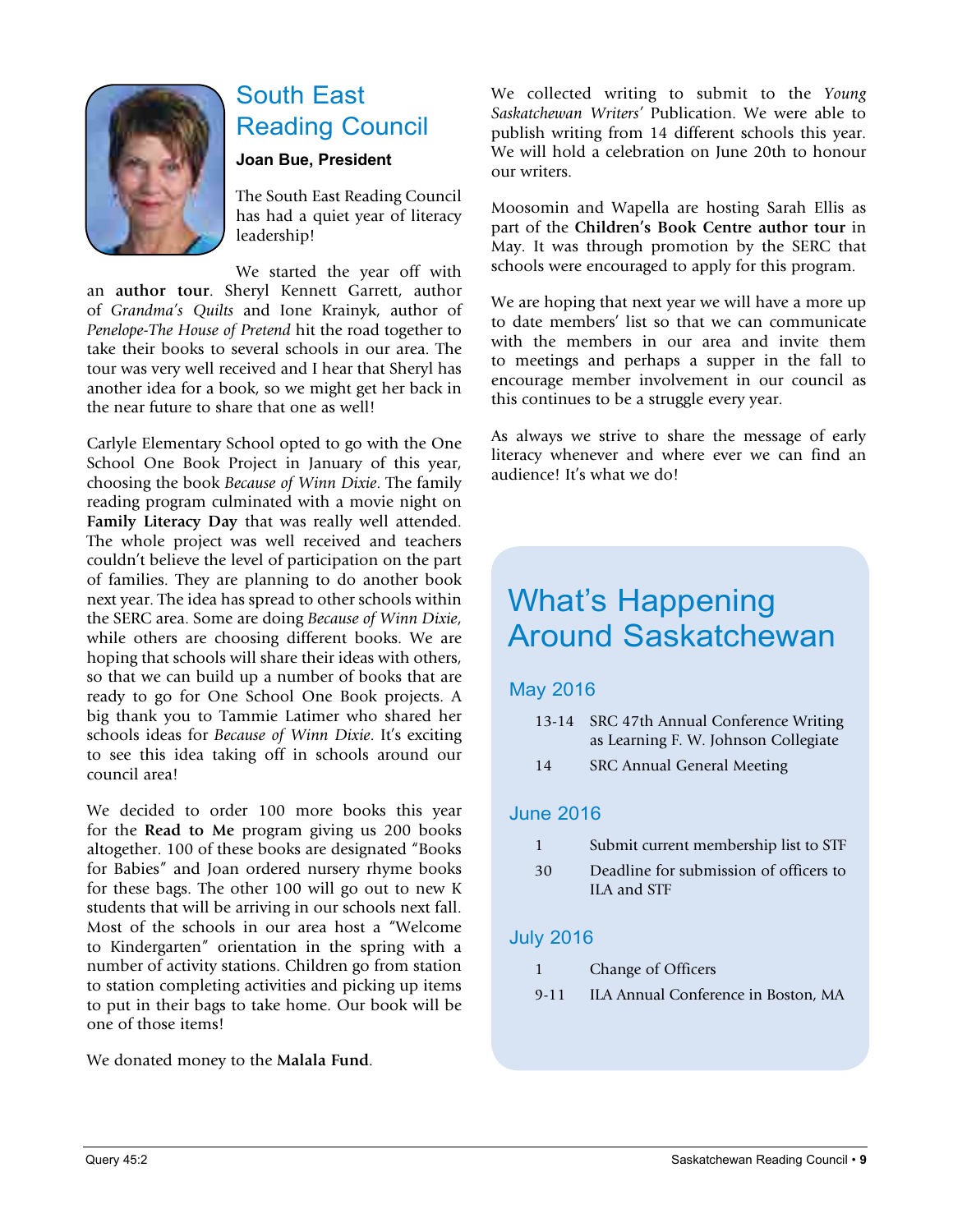

### South East Reading Council

#### **Joan Bue, President**

The South East Reading Council has had a quiet year of literacy leadership!

We started the year off with an **author tour**. Sheryl Kennett Garrett, author of *Grandma's Quilts* and Ione Krainyk, author of *Penelope-The House of Pretend* hit the road together to take their books to several schools in our area. The tour was very well received and I hear that Sheryl has another idea for a book, so we might get her back in the near future to share that one as well!

Carlyle Elementary School opted to go with the One School One Book Project in January of this year, choosing the book *Because of Winn Dixie*. The family reading program culminated with a movie night on **Family Literacy Day** that was really well attended. The whole project was well received and teachers couldn't believe the level of participation on the part of families. They are planning to do another book next year. The idea has spread to other schools within the SERC area. Some are doing *Because of Winn Dixie*, while others are choosing different books. We are hoping that schools will share their ideas with others, so that we can build up a number of books that are ready to go for One School One Book projects. A big thank you to Tammie Latimer who shared her schools ideas for *Because of Winn Dixie*. It's exciting to see this idea taking off in schools around our council area!

We decided to order 100 more books this year for the **Read to Me** program giving us 200 books altogether. 100 of these books are designated "Books for Babies" and Joan ordered nursery rhyme books for these bags. The other 100 will go out to new K students that will be arriving in our schools next fall. Most of the schools in our area host a "Welcome to Kindergarten" orientation in the spring with a number of activity stations. Children go from station to station completing activities and picking up items to put in their bags to take home. Our book will be one of those items!

We donated money to the **Malala Fund**.

We collected writing to submit to the *Young Saskatchewan Writers'* Publication. We were able to publish writing from 14 different schools this year. We will hold a celebration on June 20th to honour our writers.

Moosomin and Wapella are hosting Sarah Ellis as part of the **Children's Book Centre author tour** in May. It was through promotion by the SERC that schools were encouraged to apply for this program.

We are hoping that next year we will have a more up to date members' list so that we can communicate with the members in our area and invite them to meetings and perhaps a supper in the fall to encourage member involvement in our council as this continues to be a struggle every year.

As always we strive to share the message of early literacy whenever and where ever we can find an audience! It's what we do!

### What's Happening Around Saskatchewan

#### May 2016

- 13-14 SRC 47th Annual Conference Writing as Learning F. W. Johnson Collegiate
- 14 SRC Annual General Meeting

#### June 2016

- 1 Submit current membership list to STF
- 30 Deadline for submission of officers to ILA and STF

#### July 2016

- 1 Change of Officers
- 9-11 ILA Annual Conference in Boston, MA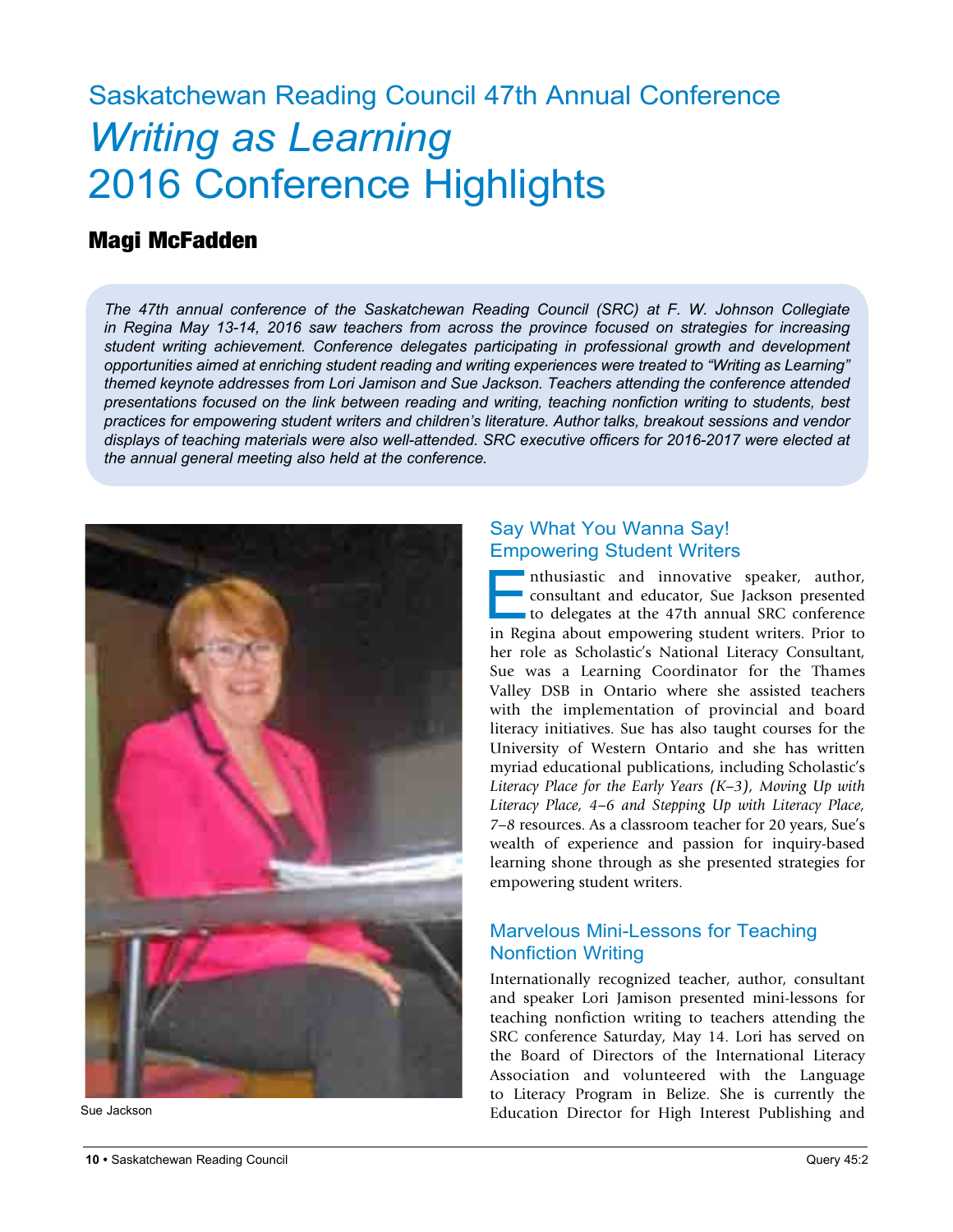# Saskatchewan Reading Council 47th Annual Conference *Writing as Learning* 2016 Conference Highlights

#### Magi McFadden

*The 47th annual conference of the Saskatchewan Reading Council (SRC) at F. W. Johnson Collegiate in Regina May 13-14, 2016 saw teachers from across the province focused on strategies for increasing student writing achievement. Conference delegates participating in professional growth and development opportunities aimed at enriching student reading and writing experiences were treated to "Writing as Learning" themed keynote addresses from Lori Jamison and Sue Jackson. Teachers attending the conference attended presentations focused on the link between reading and writing, teaching nonfiction writing to students, best practices for empowering student writers and children's literature. Author talks, breakout sessions and vendor displays of teaching materials were also well-attended. SRC executive officers for 2016-2017 were elected at the annual general meeting also held at the conference.*



#### Say What You Wanna Say! Empowering Student Writers

Enthusiastic and innovative speaker, author, consultant and educator, Sue Jackson presented to delegates at the 47th annual SRC conference in Regina about empowering student writers. Prior to her role as Scholastic's National Literacy Consultant, Sue was a Learning Coordinator for the Thames Valley DSB in Ontario where she assisted teachers with the implementation of provincial and board literacy initiatives. Sue has also taught courses for the University of Western Ontario and she has written myriad educational publications, including Scholastic's *Literacy Place for the Early Years (K–3), Moving Up with Literacy Place, 4–6 and Stepping Up with Literacy Place, 7–8* resources. As a classroom teacher for 20 years, Sue's wealth of experience and passion for inquiry-based learning shone through as she presented strategies for empowering student writers.

#### Marvelous Mini-Lessons for Teaching Nonfiction Writing

Internationally recognized teacher, author, consultant and speaker Lori Jamison presented mini-lessons for teaching nonfiction writing to teachers attending the SRC conference Saturday, May 14. Lori has served on the Board of Directors of the International Literacy Association and volunteered with the Language to Literacy Program in Belize. She is currently the Sue Jackson **Education** Director for High Interest Publishing and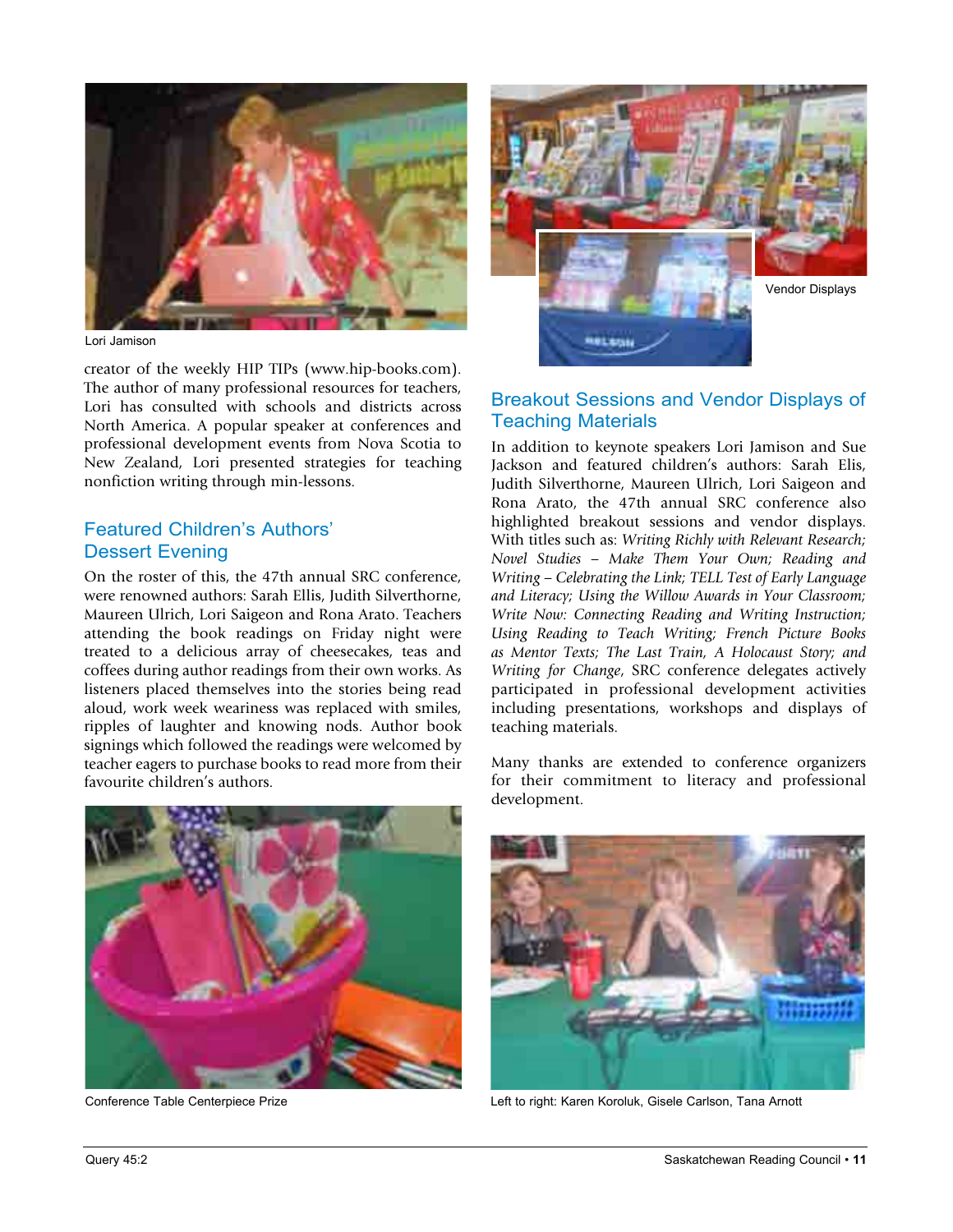

Lori Jamison

creator of the weekly HIP TIPs (www.hip-books.com). The author of many professional resources for teachers, Lori has consulted with schools and districts across North America. A popular speaker at conferences and professional development events from Nova Scotia to New Zealand, Lori presented strategies for teaching nonfiction writing through min-lessons.

#### Featured Children's Authors' Dessert Evening

On the roster of this, the 47th annual SRC conference, were renowned authors: Sarah Ellis, Judith Silverthorne, Maureen Ulrich, Lori Saigeon and Rona Arato. Teachers attending the book readings on Friday night were treated to a delicious array of cheesecakes, teas and coffees during author readings from their own works. As listeners placed themselves into the stories being read aloud, work week weariness was replaced with smiles, ripples of laughter and knowing nods. Author book signings which followed the readings were welcomed by teacher eagers to purchase books to read more from their favourite children's authors.



#### Breakout Sessions and Vendor Displays of Teaching Materials

In addition to keynote speakers Lori Jamison and Sue Jackson and featured children's authors: Sarah Elis, Judith Silverthorne, Maureen Ulrich, Lori Saigeon and Rona Arato, the 47th annual SRC conference also highlighted breakout sessions and vendor displays. With titles such as: *Writing Richly with Relevant Research; Novel Studies – Make Them Your Own; Reading and Writing – Celebrating the Link; TELL Test of Early Language and Literacy; Using the Willow Awards in Your Classroom; Write Now: Connecting Reading and Writing Instruction; Using Reading to Teach Writing; French Picture Books as Mentor Texts; The Last Train, A Holocaust Story; and Writing for Change*, SRC conference delegates actively participated in professional development activities including presentations, workshops and displays of teaching materials.



Many thanks are extended to conference organizers for their commitment to literacy and professional development.



Conference Table Centerpiece Prize Left to right: Karen Koroluk, Gisele Carlson, Tana Arnott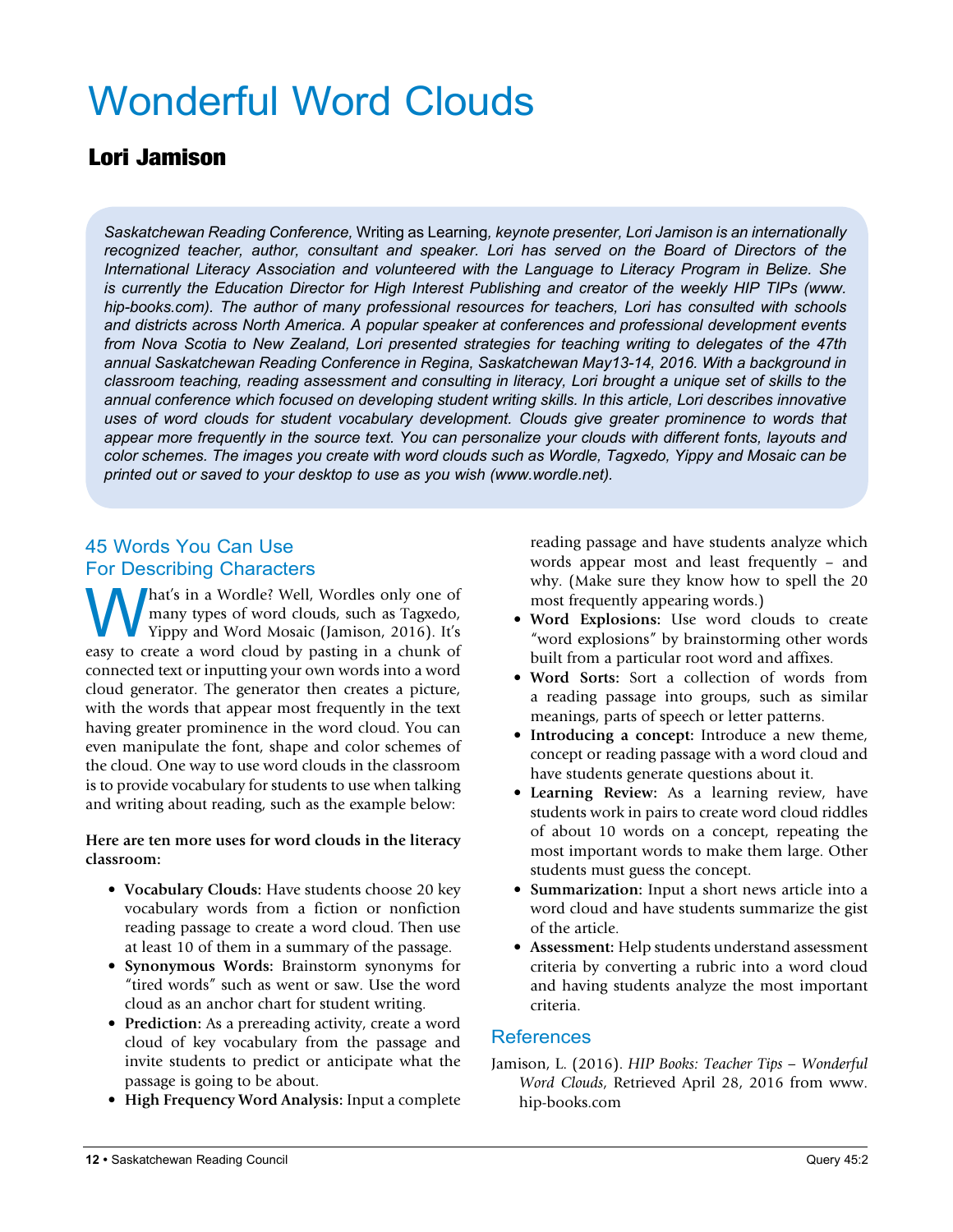# Wonderful Word Clouds

#### Lori Jamison

*Saskatchewan Reading Conference,* Writing as Learning*, keynote presenter, Lori Jamison is an internationally recognized teacher, author, consultant and speaker. Lori has served on the Board of Directors of the International Literacy Association and volunteered with the Language to Literacy Program in Belize. She is currently the Education Director for High Interest Publishing and creator of the weekly HIP TIPs (www. hip-books.com). The author of many professional resources for teachers, Lori has consulted with schools and districts across North America. A popular speaker at conferences and professional development events from Nova Scotia to New Zealand, Lori presented strategies for teaching writing to delegates of the 47th annual Saskatchewan Reading Conference in Regina, Saskatchewan May13-14, 2016. With a background in classroom teaching, reading assessment and consulting in literacy, Lori brought a unique set of skills to the annual conference which focused on developing student writing skills. In this article, Lori describes innovative*  uses of word clouds for student vocabulary development. Clouds give greater prominence to words that *appear more frequently in the source text. You can personalize your clouds with different fonts, layouts and color schemes. The images you create with word clouds such as Wordle, Tagxedo, Yippy and Mosaic can be printed out or saved to your desktop to use as you wish (www.wordle.net).*

#### 45 Words You Can Use For Describing Characters

What's in a Wordle? Well, Wordles only one of<br>many types of word clouds, such as Tagxedo,<br>Yippy and Word Mosaic (Jamison, 2016). It's<br>easy to create a word cloud by pasting in a chunk of many types of word clouds, such as Tagxedo, Yippy and Word Mosaic (Jamison, 2016). It's easy to create a word cloud by pasting in a chunk of connected text or inputting your own words into a word cloud generator. The generator then creates a picture, with the words that appear most frequently in the text having greater prominence in the word cloud. You can even manipulate the font, shape and color schemes of the cloud. One way to use word clouds in the classroom is to provide vocabulary for students to use when talking and writing about reading, such as the example below:

#### **Here are ten more uses for word clouds in the literacy classroom:**

- **Vocabulary Clouds:** Have students choose 20 key vocabulary words from a fiction or nonfiction reading passage to create a word cloud. Then use at least 10 of them in a summary of the passage.
- **Synonymous Words:** Brainstorm synonyms for "tired words" such as went or saw. Use the word cloud as an anchor chart for student writing.
- **Prediction:** As a prereading activity, create a word cloud of key vocabulary from the passage and invite students to predict or anticipate what the passage is going to be about.
- **High Frequency Word Analysis:** Input a complete

reading passage and have students analyze which words appear most and least frequently – and why. (Make sure they know how to spell the 20 most frequently appearing words.)

- **Word Explosions:** Use word clouds to create "word explosions" by brainstorming other words built from a particular root word and affixes.
- **Word Sorts:** Sort a collection of words from a reading passage into groups, such as similar meanings, parts of speech or letter patterns.
- **Introducing a concept:** Introduce a new theme, concept or reading passage with a word cloud and have students generate questions about it.
- **Learning Review:** As a learning review, have students work in pairs to create word cloud riddles of about 10 words on a concept, repeating the most important words to make them large. Other students must guess the concept.
- **Summarization:** Input a short news article into a word cloud and have students summarize the gist of the article.
- **Assessment:** Help students understand assessment criteria by converting a rubric into a word cloud and having students analyze the most important criteria.

#### References

Jamison, L. (2016). *HIP Books: Teacher Tips – Wonderful Word Clouds*, Retrieved April 28, 2016 from www. hip-books.com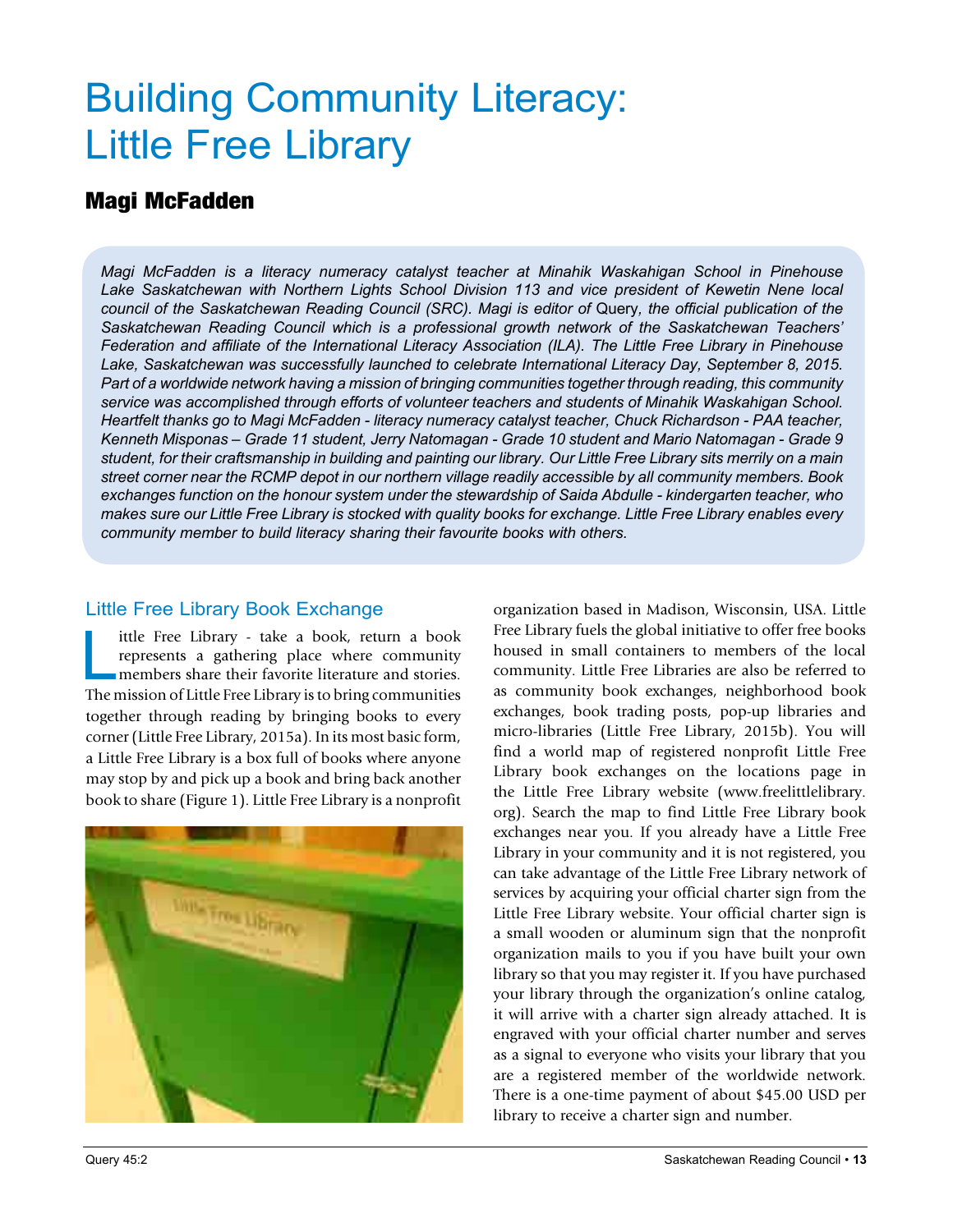# Building Community Literacy: Little Free Library

#### Magi McFadden

*Magi McFadden is a literacy numeracy catalyst teacher at Minahik Waskahigan School in Pinehouse*  Lake Saskatchewan with Northern Lights School Division 113 and vice president of Kewetin Nene local *council of the Saskatchewan Reading Council (SRC). Magi is editor of* Query*, the official publication of the Saskatchewan Reading Council which is a professional growth network of the Saskatchewan Teachers' Federation and affiliate of the International Literacy Association (ILA). The Little Free Library in Pinehouse Lake, Saskatchewan was successfully launched to celebrate International Literacy Day, September 8, 2015. Part of a worldwide network having a mission of bringing communities together through reading, this community service was accomplished through efforts of volunteer teachers and students of Minahik Waskahigan School. Heartfelt thanks go to Magi McFadden - literacy numeracy catalyst teacher, Chuck Richardson - PAA teacher, Kenneth Misponas – Grade 11 student, Jerry Natomagan - Grade 10 student and Mario Natomagan - Grade 9 student, for their craftsmanship in building and painting our library. Our Little Free Library sits merrily on a main street corner near the RCMP depot in our northern village readily accessible by all community members. Book exchanges function on the honour system under the stewardship of Saida Abdulle - kindergarten teacher, who makes sure our Little Free Library is stocked with quality books for exchange. Little Free Library enables every community member to build literacy sharing their favourite books with others.*

#### Little Free Library Book Exchange

Ittle Free Library - take a book, return a book<br>represents a gathering place where community<br>members share their favorite literature and stories.<br>The mission of Little Free Library is to bring communities represents a gathering place where community members share their favorite literature and stories. The mission of Little Free Library is to bring communities together through reading by bringing books to every corner (Little Free Library, 2015a). In its most basic form, a Little Free Library is a box full of books where anyone may stop by and pick up a book and bring back another book to share (Figure 1). Little Free Library is a nonprofit



organization based in Madison, Wisconsin, USA. Little Free Library fuels the global initiative to offer free books housed in small containers to members of the local community. Little Free Libraries are also be referred to as community book exchanges, neighborhood book exchanges, book trading posts, pop-up libraries and micro-libraries (Little Free Library, 2015b). You will find a world map of registered nonprofit Little Free Library book exchanges on the locations page in the Little Free Library website (www.freelittlelibrary. org). Search the map to find Little Free Library book exchanges near you. If you already have a Little Free Library in your community and it is not registered, you can take advantage of the Little Free Library network of services by acquiring your official charter sign from the Little Free Library website. Your official charter sign is a small wooden or aluminum sign that the nonprofit organization mails to you if you have built your own library so that you may register it. If you have purchased your library through the organization's online catalog, it will arrive with a charter sign already attached. It is engraved with your official charter number and serves as a signal to everyone who visits your library that you are a registered member of the worldwide network. There is a one-time payment of about \$45.00 USD per library to receive a charter sign and number.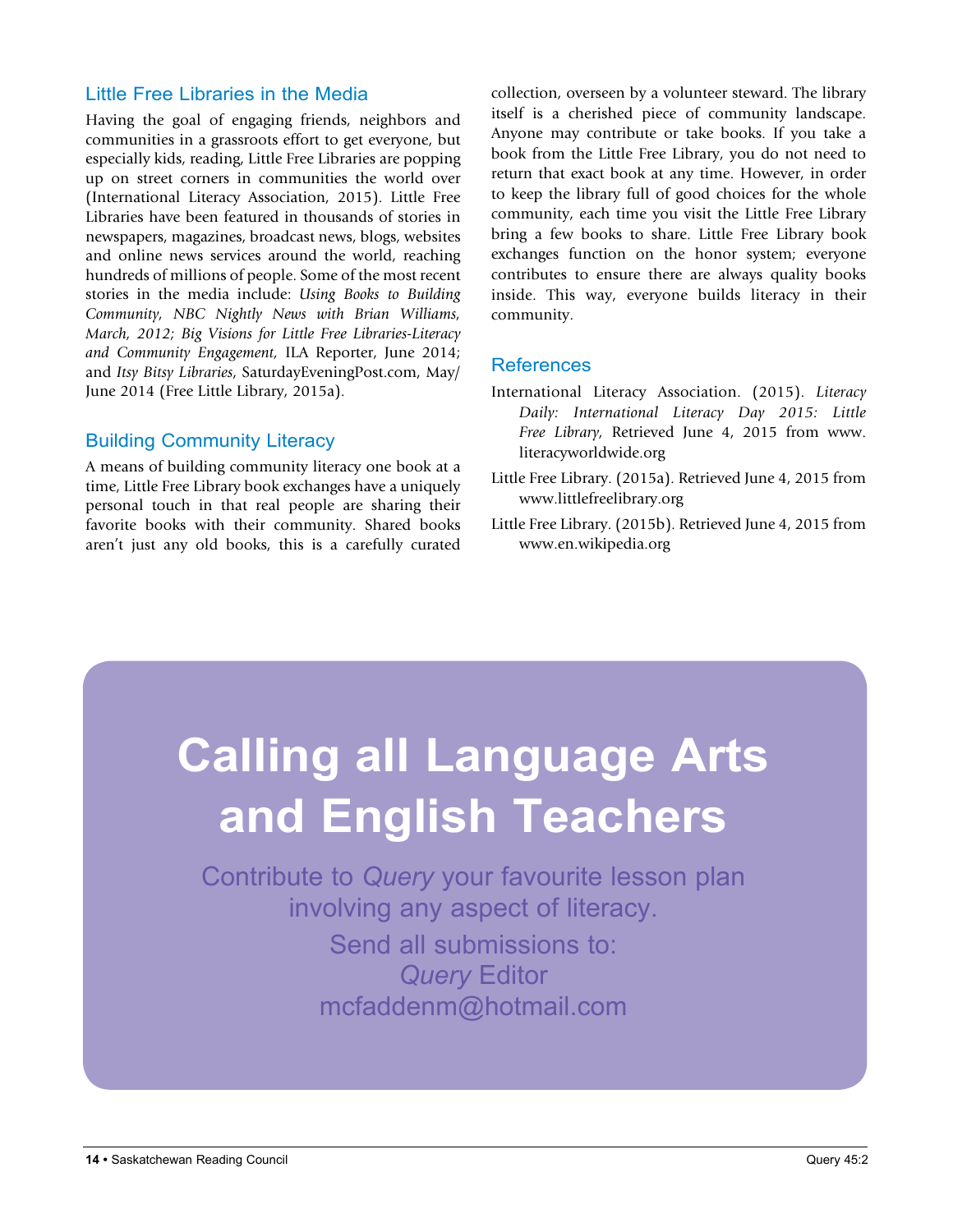#### Little Free Libraries in the Media

Having the goal of engaging friends, neighbors and communities in a grassroots effort to get everyone, but especially kids, reading, Little Free Libraries are popping up on street corners in communities the world over (International Literacy Association, 2015). Little Free Libraries have been featured in thousands of stories in newspapers, magazines, broadcast news, blogs, websites and online news services around the world, reaching hundreds of millions of people. Some of the most recent stories in the media include: *Using Books to Building Community, NBC Nightly News with Brian Williams, March, 2012; Big Visions for Little Free Libraries-Literacy and Community Engagement,* ILA Reporter, June 2014; and *Itsy Bitsy Libraries*, SaturdayEveningPost.com, May/ June 2014 (Free Little Library, 2015a).

#### Building Community Literacy

A means of building community literacy one book at a time, Little Free Library book exchanges have a uniquely personal touch in that real people are sharing their favorite books with their community. Shared books aren't just any old books, this is a carefully curated

collection, overseen by a volunteer steward. The library itself is a cherished piece of community landscape. Anyone may contribute or take books. If you take a book from the Little Free Library, you do not need to return that exact book at any time. However, in order to keep the library full of good choices for the whole community, each time you visit the Little Free Library bring a few books to share. Little Free Library book exchanges function on the honor system; everyone contributes to ensure there are always quality books inside. This way, everyone builds literacy in their community.

#### References

- International Literacy Association. (2015). *Literacy Daily: International Literacy Day 2015: Little Free Library,* Retrieved June 4, 2015 from www. literacyworldwide.org
- Little Free Library. (2015a). Retrieved June 4, 2015 from www.littlefreelibrary.org
- Little Free Library. (2015b). Retrieved June 4, 2015 from www.en.wikipedia.org

# **Calling all Language Arts and English Teachers**

Contribute to *Query* your favourite lesson plan involving any aspect of literacy. Send all submissions to: *Query* Editor mcfaddenm@hotmail.com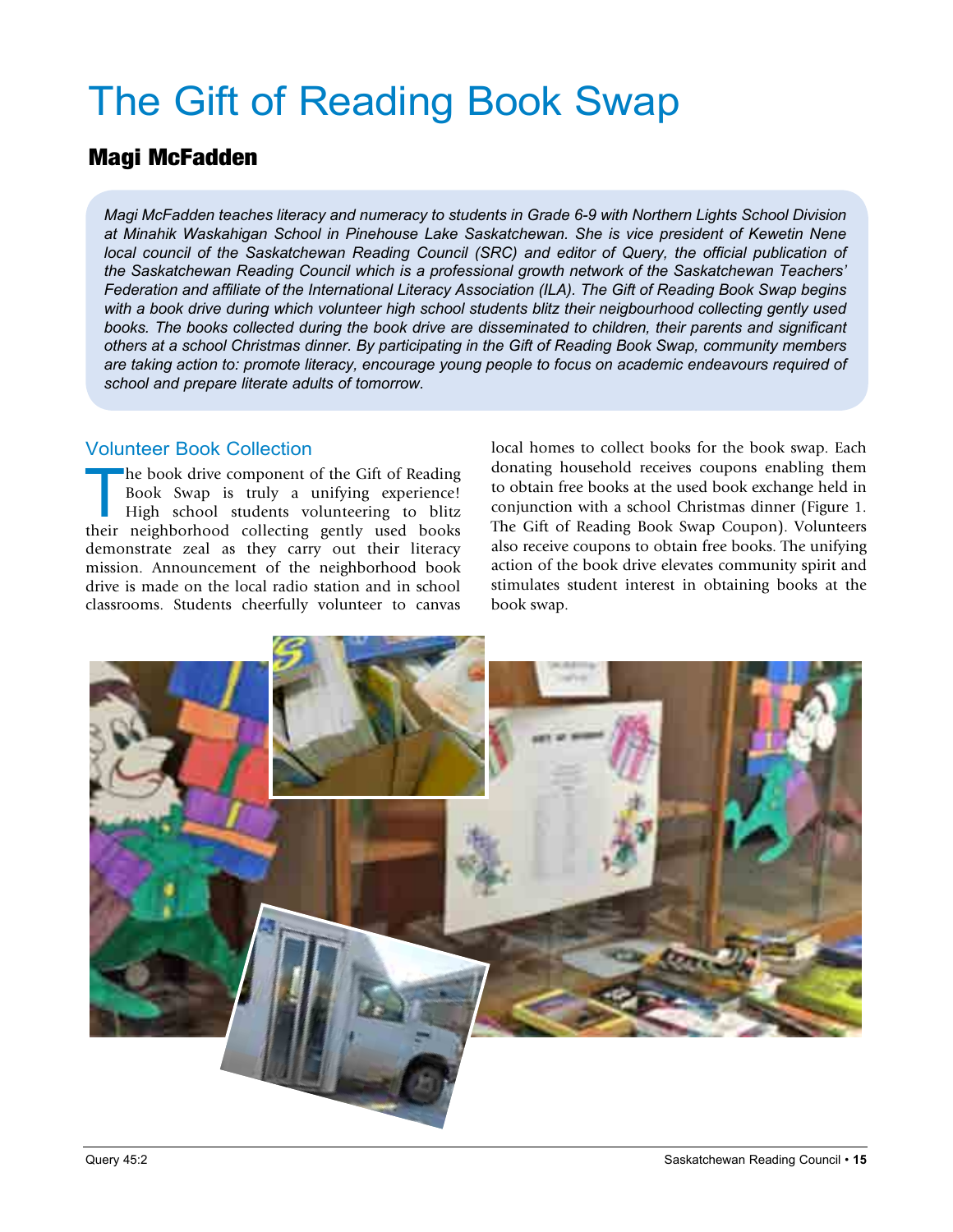# The Gift of Reading Book Swap

#### Magi McFadden

*Magi McFadden teaches literacy and numeracy to students in Grade 6-9 with Northern Lights School Division at Minahik Waskahigan School in Pinehouse Lake Saskatchewan. She is vice president of Kewetin Nene local council of the Saskatchewan Reading Council (SRC) and editor of Query, the official publication of the Saskatchewan Reading Council which is a professional growth network of the Saskatchewan Teachers' Federation and affiliate of the International Literacy Association (ILA). The Gift of Reading Book Swap begins*  with a book drive during which volunteer high school students blitz their neigbourhood collecting gently used *books. The books collected during the book drive are disseminated to children, their parents and significant others at a school Christmas dinner. By participating in the Gift of Reading Book Swap, community members are taking action to: promote literacy, encourage young people to focus on academic endeavours required of school and prepare literate adults of tomorrow.*

#### Volunteer Book Collection

The book drive component of the Gift of Reading<br>Book Swap is truly a unifying experience!<br>High school students volunteering to blitz<br>their neighborhood collecting gently used books Book Swap is truly a unifying experience! High school students volunteering to blitz their neighborhood collecting gently used books demonstrate zeal as they carry out their literacy mission. Announcement of the neighborhood book drive is made on the local radio station and in school classrooms. Students cheerfully volunteer to canvas

local homes to collect books for the book swap. Each donating household receives coupons enabling them to obtain free books at the used book exchange held in conjunction with a school Christmas dinner (Figure 1. The Gift of Reading Book Swap Coupon). Volunteers also receive coupons to obtain free books. The unifying action of the book drive elevates community spirit and stimulates student interest in obtaining books at the book swap.

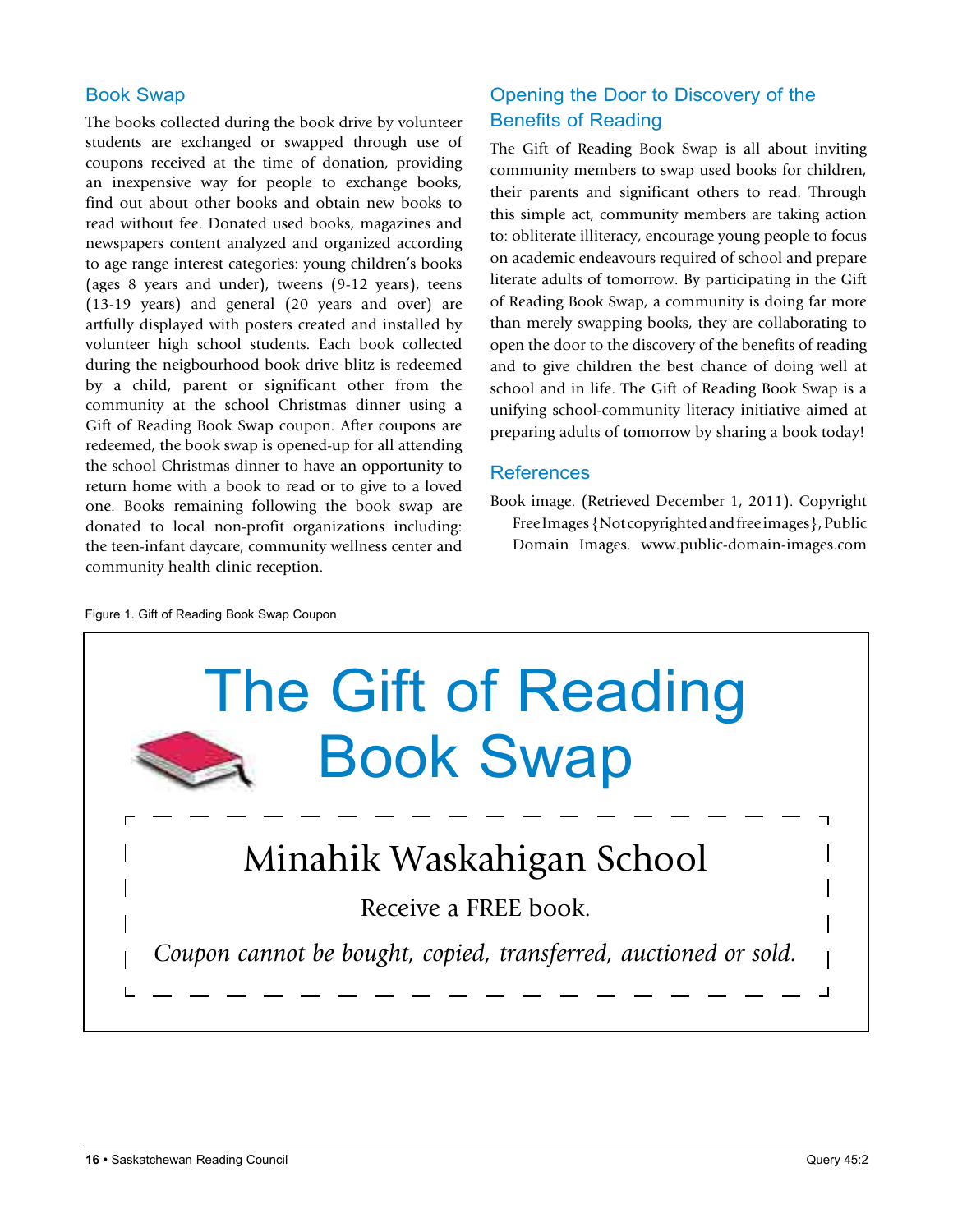#### Book Swap

The books collected during the book drive by volunteer students are exchanged or swapped through use of coupons received at the time of donation, providing an inexpensive way for people to exchange books, find out about other books and obtain new books to read without fee. Donated used books, magazines and newspapers content analyzed and organized according to age range interest categories: young children's books (ages 8 years and under), tweens (9-12 years), teens (13-19 years) and general (20 years and over) are artfully displayed with posters created and installed by volunteer high school students. Each book collected during the neigbourhood book drive blitz is redeemed by a child, parent or significant other from the community at the school Christmas dinner using a Gift of Reading Book Swap coupon. After coupons are redeemed, the book swap is opened-up for all attending the school Christmas dinner to have an opportunity to return home with a book to read or to give to a loved one. Books remaining following the book swap are donated to local non-profit organizations including: the teen-infant daycare, community wellness center and community health clinic reception.

#### Opening the Door to Discovery of the Benefits of Reading

The Gift of Reading Book Swap is all about inviting community members to swap used books for children, their parents and significant others to read. Through this simple act, community members are taking action to: obliterate illiteracy, encourage young people to focus on academic endeavours required of school and prepare literate adults of tomorrow. By participating in the Gift of Reading Book Swap, a community is doing far more than merely swapping books, they are collaborating to open the door to the discovery of the benefits of reading and to give children the best chance of doing well at school and in life. The Gift of Reading Book Swap is a unifying school-community literacy initiative aimed at preparing adults of tomorrow by sharing a book today!

#### References

Book image. (Retrieved December 1, 2011). Copyright Free Images {Not copyrighted and free images}, Public Domain Images. www.public-domain-images.com

Figure 1. Gift of Reading Book Swap Coupon

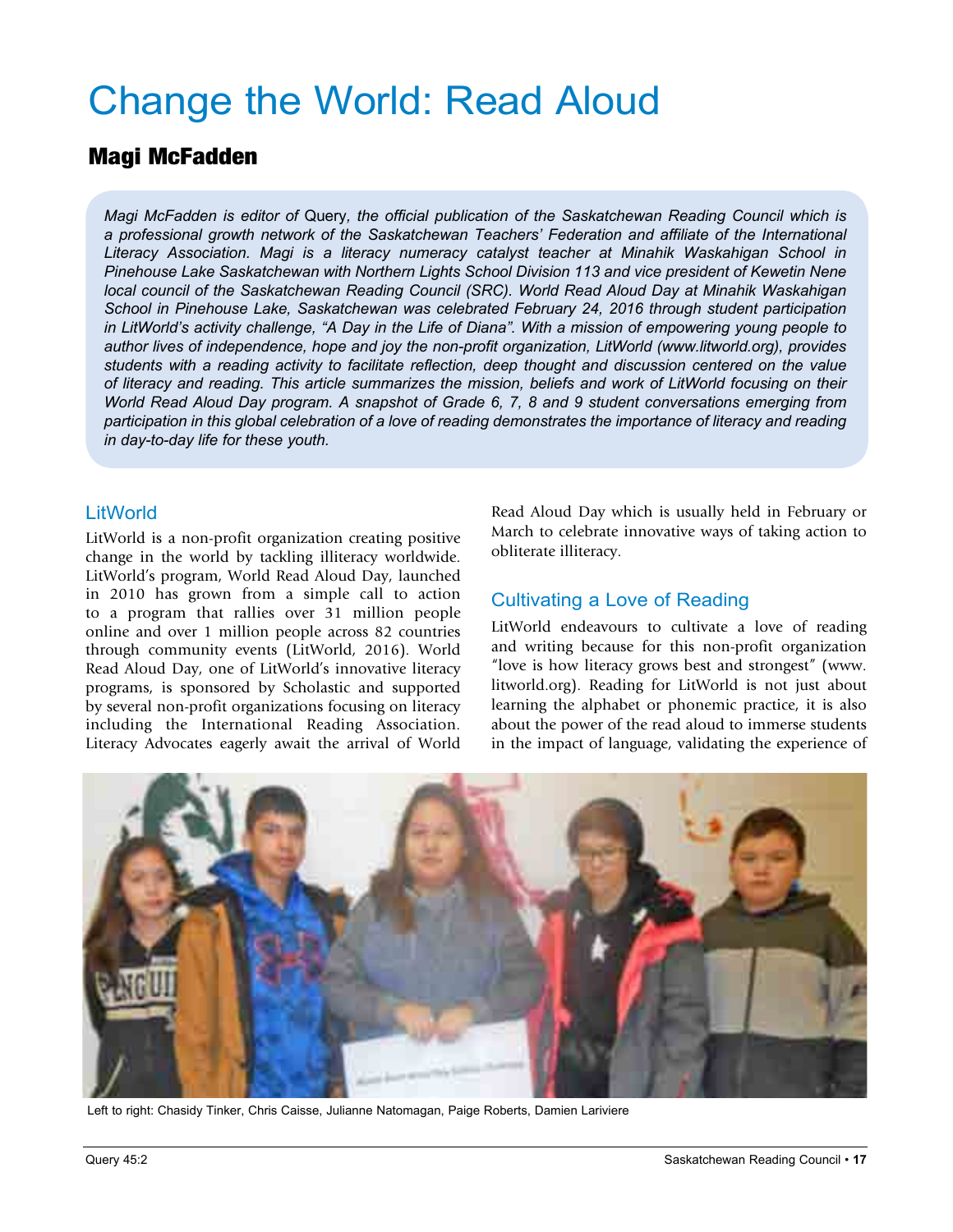# Change the World: Read Aloud

#### Magi McFadden

*Magi McFadden is editor of* Query*, the official publication of the Saskatchewan Reading Council which is a professional growth network of the Saskatchewan Teachers' Federation and affiliate of the International Literacy Association. Magi is a literacy numeracy catalyst teacher at Minahik Waskahigan School in Pinehouse Lake Saskatchewan with Northern Lights School Division 113 and vice president of Kewetin Nene local council of the Saskatchewan Reading Council (SRC). World Read Aloud Day at Minahik Waskahigan School in Pinehouse Lake, Saskatchewan was celebrated February 24, 2016 through student participation in LitWorld's activity challenge, "A Day in the Life of Diana". With a mission of empowering young people to author lives of independence, hope and joy the non-profit organization, LitWorld (www.litworld.org), provides students with a reading activity to facilitate reflection, deep thought and discussion centered on the value of literacy and reading. This article summarizes the mission, beliefs and work of LitWorld focusing on their World Read Aloud Day program. A snapshot of Grade 6, 7, 8 and 9 student conversations emerging from participation in this global celebration of a love of reading demonstrates the importance of literacy and reading in day-to-day life for these youth.* 

#### **LitWorld**

LitWorld is a non-profit organization creating positive change in the world by tackling illiteracy worldwide. LitWorld's program, World Read Aloud Day, launched in 2010 has grown from a simple call to action to a program that rallies over 31 million people online and over 1 million people across 82 countries through community events (LitWorld, 2016). World Read Aloud Day, one of LitWorld's innovative literacy programs, is sponsored by Scholastic and supported by several non-profit organizations focusing on literacy including the International Reading Association. Literacy Advocates eagerly await the arrival of World Read Aloud Day which is usually held in February or March to celebrate innovative ways of taking action to obliterate illiteracy.

#### Cultivating a Love of Reading

LitWorld endeavours to cultivate a love of reading and writing because for this non-profit organization "love is how literacy grows best and strongest" (www. litworld.org). Reading for LitWorld is not just about learning the alphabet or phonemic practice, it is also about the power of the read aloud to immerse students in the impact of language, validating the experience of



Left to right: Chasidy Tinker, Chris Caisse, Julianne Natomagan, Paige Roberts, Damien Lariviere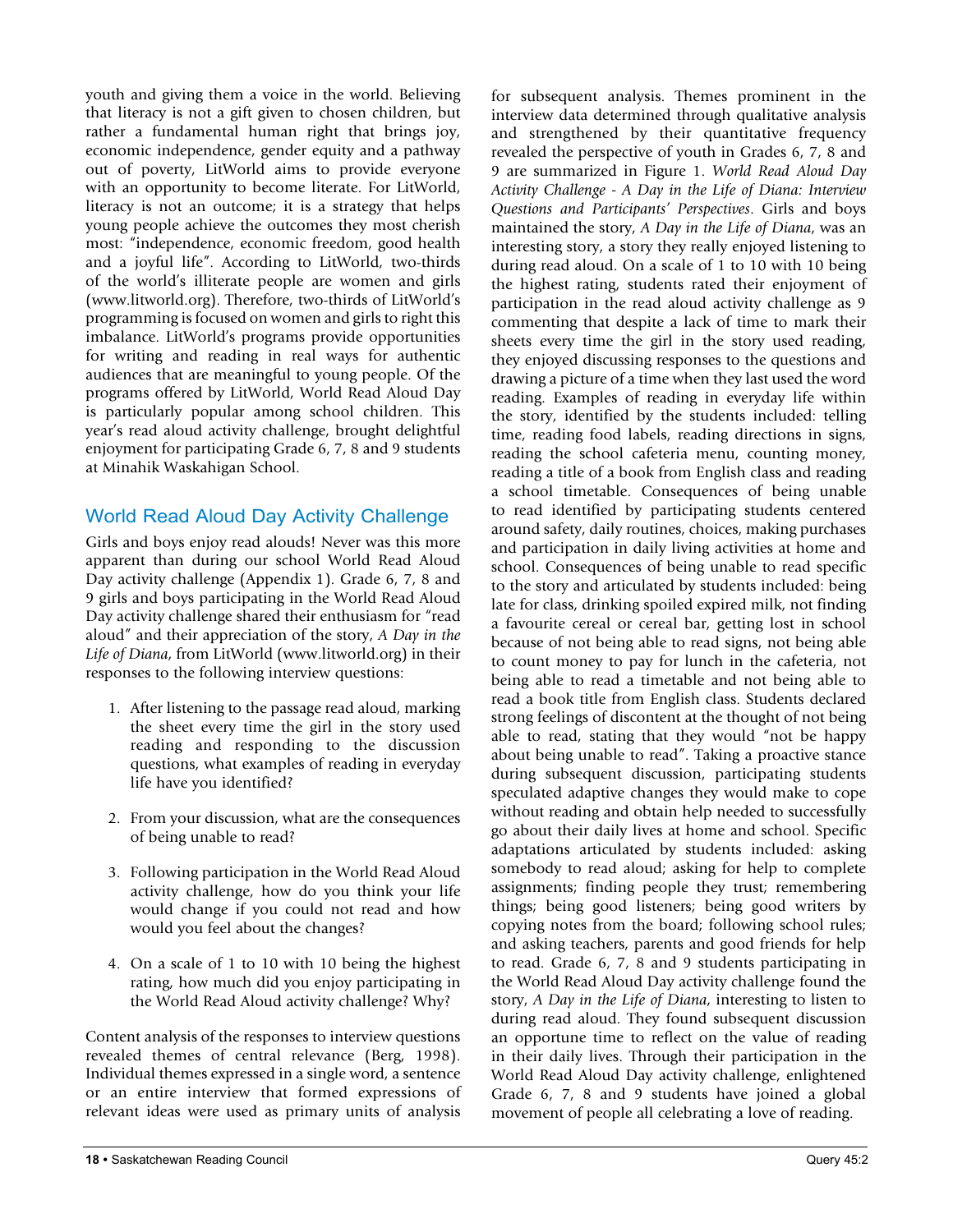youth and giving them a voice in the world. Believing that literacy is not a gift given to chosen children, but rather a fundamental human right that brings joy, economic independence, gender equity and a pathway out of poverty, LitWorld aims to provide everyone with an opportunity to become literate. For LitWorld, literacy is not an outcome; it is a strategy that helps young people achieve the outcomes they most cherish most: "independence, economic freedom, good health and a joyful life". According to LitWorld, two-thirds of the world's illiterate people are women and girls (www.litworld.org). Therefore, two-thirds of LitWorld's programming is focused on women and girls to right this imbalance. LitWorld's programs provide opportunities for writing and reading in real ways for authentic audiences that are meaningful to young people. Of the programs offered by LitWorld, World Read Aloud Day is particularly popular among school children. This year's read aloud activity challenge, brought delightful enjoyment for participating Grade 6, 7, 8 and 9 students at Minahik Waskahigan School.

#### World Read Aloud Day Activity Challenge

Girls and boys enjoy read alouds! Never was this more apparent than during our school World Read Aloud Day activity challenge (Appendix 1). Grade 6, 7, 8 and 9 girls and boys participating in the World Read Aloud Day activity challenge shared their enthusiasm for "read aloud" and their appreciation of the story, *A Day in the Life of Diana*, from LitWorld (www.litworld.org) in their responses to the following interview questions:

- 1. After listening to the passage read aloud, marking the sheet every time the girl in the story used reading and responding to the discussion questions, what examples of reading in everyday life have you identified?
- 2. From your discussion, what are the consequences of being unable to read?
- 3. Following participation in the World Read Aloud activity challenge, how do you think your life would change if you could not read and how would you feel about the changes?
- 4. On a scale of 1 to 10 with 10 being the highest rating, how much did you enjoy participating in the World Read Aloud activity challenge? Why?

Content analysis of the responses to interview questions revealed themes of central relevance (Berg, 1998). Individual themes expressed in a single word, a sentence or an entire interview that formed expressions of relevant ideas were used as primary units of analysis

for subsequent analysis. Themes prominent in the interview data determined through qualitative analysis and strengthened by their quantitative frequency revealed the perspective of youth in Grades 6, 7, 8 and 9 are summarized in Figure 1. *World Read Aloud Day Activity Challenge - A Day in the Life of Diana: Interview Questions and Participants' Perspectives*. Girls and boys maintained the story, *A Day in the Life of Diana*, was an interesting story, a story they really enjoyed listening to during read aloud. On a scale of 1 to 10 with 10 being the highest rating, students rated their enjoyment of participation in the read aloud activity challenge as 9 commenting that despite a lack of time to mark their sheets every time the girl in the story used reading, they enjoyed discussing responses to the questions and drawing a picture of a time when they last used the word reading. Examples of reading in everyday life within the story, identified by the students included: telling time, reading food labels, reading directions in signs, reading the school cafeteria menu, counting money, reading a title of a book from English class and reading a school timetable. Consequences of being unable to read identified by participating students centered around safety, daily routines, choices, making purchases and participation in daily living activities at home and school. Consequences of being unable to read specific to the story and articulated by students included: being late for class, drinking spoiled expired milk, not finding a favourite cereal or cereal bar, getting lost in school because of not being able to read signs, not being able to count money to pay for lunch in the cafeteria, not being able to read a timetable and not being able to read a book title from English class. Students declared strong feelings of discontent at the thought of not being able to read, stating that they would "not be happy about being unable to read". Taking a proactive stance during subsequent discussion, participating students speculated adaptive changes they would make to cope without reading and obtain help needed to successfully go about their daily lives at home and school. Specific adaptations articulated by students included: asking somebody to read aloud; asking for help to complete assignments; finding people they trust; remembering things; being good listeners; being good writers by copying notes from the board; following school rules; and asking teachers, parents and good friends for help to read. Grade 6, 7, 8 and 9 students participating in the World Read Aloud Day activity challenge found the story, *A Day in the Life of Diana*, interesting to listen to during read aloud. They found subsequent discussion an opportune time to reflect on the value of reading in their daily lives. Through their participation in the World Read Aloud Day activity challenge, enlightened Grade 6, 7, 8 and 9 students have joined a global movement of people all celebrating a love of reading.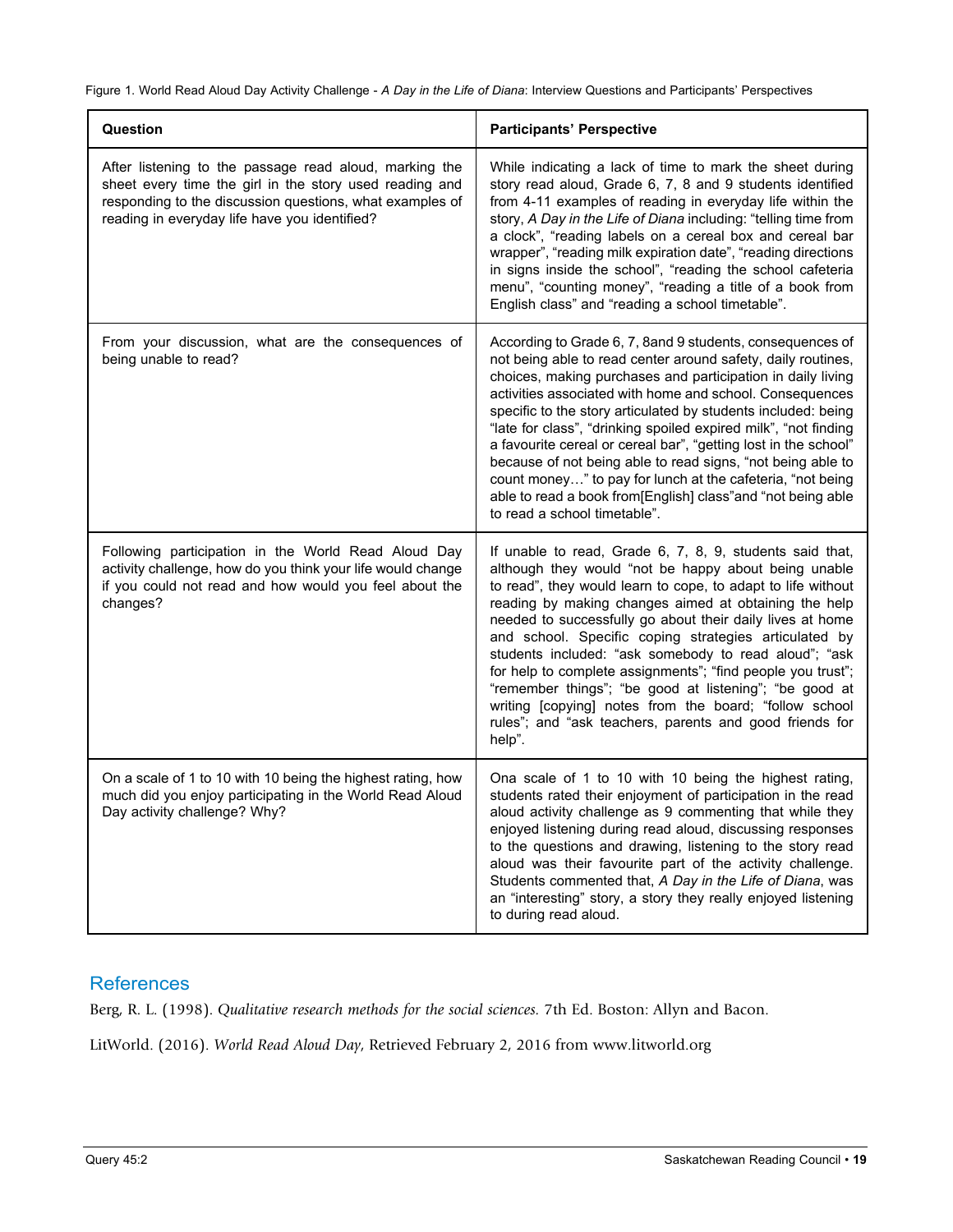Figure 1. World Read Aloud Day Activity Challenge - *A Day in the Life of Diana*: Interview Questions and Participants' Perspectives

| Question                                                                                                                                                                                                                       | <b>Participants' Perspective</b>                                                                                                                                                                                                                                                                                                                                                                                                                                                                                                                                                                                                                                                        |
|--------------------------------------------------------------------------------------------------------------------------------------------------------------------------------------------------------------------------------|-----------------------------------------------------------------------------------------------------------------------------------------------------------------------------------------------------------------------------------------------------------------------------------------------------------------------------------------------------------------------------------------------------------------------------------------------------------------------------------------------------------------------------------------------------------------------------------------------------------------------------------------------------------------------------------------|
| After listening to the passage read aloud, marking the<br>sheet every time the girl in the story used reading and<br>responding to the discussion questions, what examples of<br>reading in everyday life have you identified? | While indicating a lack of time to mark the sheet during<br>story read aloud, Grade 6, 7, 8 and 9 students identified<br>from 4-11 examples of reading in everyday life within the<br>story, A Day in the Life of Diana including: "telling time from<br>a clock", "reading labels on a cereal box and cereal bar<br>wrapper", "reading milk expiration date", "reading directions<br>in signs inside the school", "reading the school cafeteria<br>menu", "counting money", "reading a title of a book from<br>English class" and "reading a school timetable".                                                                                                                        |
| From your discussion, what are the consequences of<br>being unable to read?                                                                                                                                                    | According to Grade 6, 7, 8and 9 students, consequences of<br>not being able to read center around safety, daily routines,<br>choices, making purchases and participation in daily living<br>activities associated with home and school. Consequences<br>specific to the story articulated by students included: being<br>"late for class", "drinking spoiled expired milk", "not finding<br>a favourite cereal or cereal bar", "getting lost in the school"<br>because of not being able to read signs, "not being able to<br>count money" to pay for lunch at the cafeteria, "not being<br>able to read a book from[English] class"and "not being able<br>to read a school timetable". |
| Following participation in the World Read Aloud Day<br>activity challenge, how do you think your life would change<br>if you could not read and how would you feel about the<br>changes?                                       | If unable to read, Grade 6, 7, 8, 9, students said that,<br>although they would "not be happy about being unable<br>to read", they would learn to cope, to adapt to life without<br>reading by making changes aimed at obtaining the help<br>needed to successfully go about their daily lives at home<br>and school. Specific coping strategies articulated by<br>students included: "ask somebody to read aloud"; "ask<br>for help to complete assignments"; "find people you trust";<br>"remember things"; "be good at listening"; "be good at<br>writing [copying] notes from the board; "follow school<br>rules"; and "ask teachers, parents and good friends for<br>help".        |
| On a scale of 1 to 10 with 10 being the highest rating, how<br>much did you enjoy participating in the World Read Aloud<br>Day activity challenge? Why?                                                                        | Ona scale of 1 to 10 with 10 being the highest rating,<br>students rated their enjoyment of participation in the read<br>aloud activity challenge as 9 commenting that while they<br>enjoyed listening during read aloud, discussing responses<br>to the questions and drawing, listening to the story read<br>aloud was their favourite part of the activity challenge.<br>Students commented that, A Day in the Life of Diana, was<br>an "interesting" story, a story they really enjoyed listening<br>to during read aloud.                                                                                                                                                          |

#### **References**

Berg, R. L. (1998). *Qualitative research methods for the social sciences.* 7th Ed. Boston: Allyn and Bacon.

LitWorld. (2016). *World Read Aloud Day*, Retrieved February 2, 2016 from www.litworld.org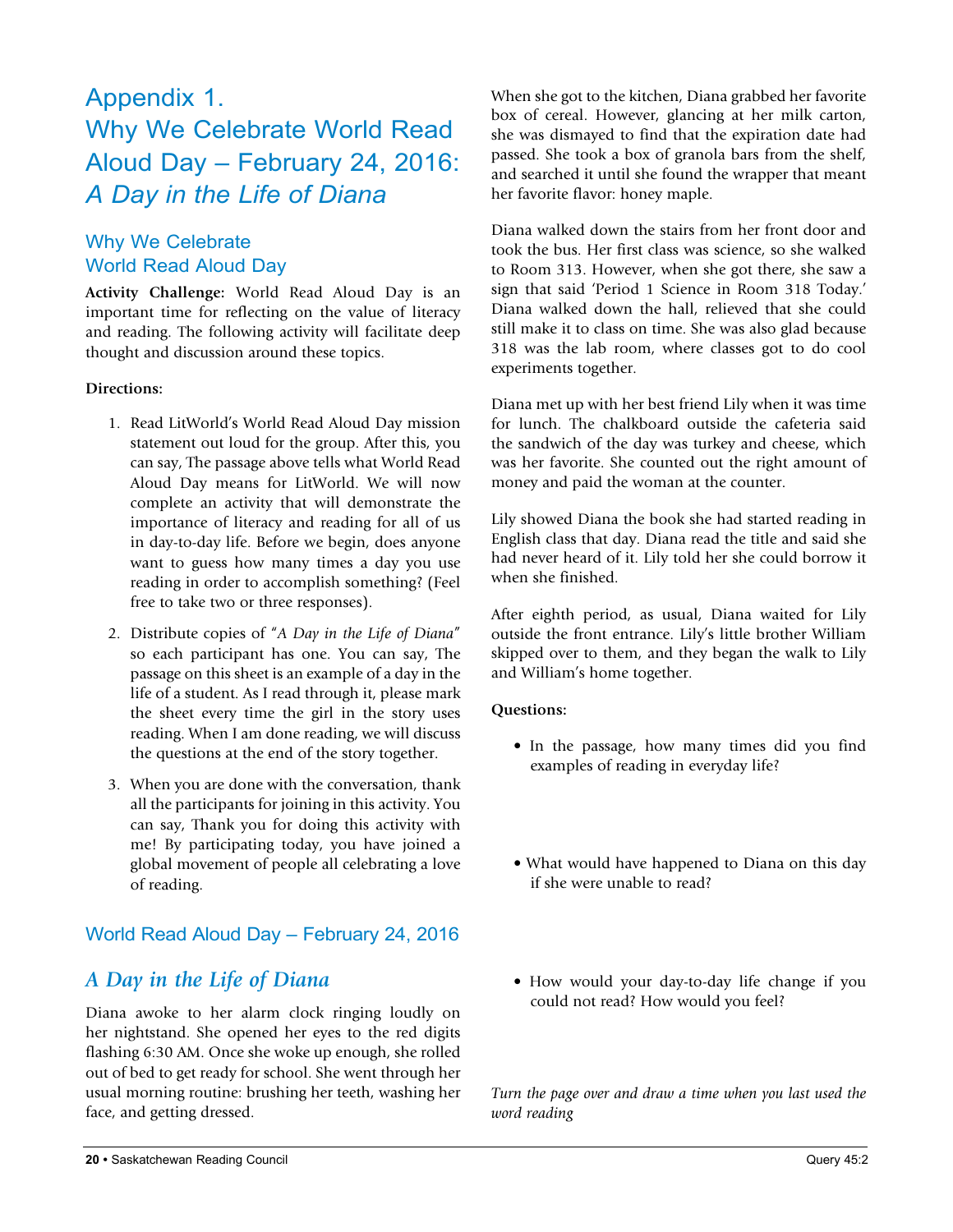### Appendix 1. Why We Celebrate World Read Aloud Day – February 24, 2016: *A Day in the Life of Diana*

#### Why We Celebrate World Read Aloud Day

**Activity Challenge:** World Read Aloud Day is an important time for reflecting on the value of literacy and reading. The following activity will facilitate deep thought and discussion around these topics.

#### **Directions:**

- 1. Read LitWorld's World Read Aloud Day mission statement out loud for the group. After this, you can say, The passage above tells what World Read Aloud Day means for LitWorld. We will now complete an activity that will demonstrate the importance of literacy and reading for all of us in day-to-day life. Before we begin, does anyone want to guess how many times a day you use reading in order to accomplish something? (Feel free to take two or three responses).
- 2. Distribute copies of "*A Day in the Life of Diana*" so each participant has one. You can say, The passage on this sheet is an example of a day in the life of a student. As I read through it, please mark the sheet every time the girl in the story uses reading. When I am done reading, we will discuss the questions at the end of the story together.
- 3. When you are done with the conversation, thank all the participants for joining in this activity. You can say, Thank you for doing this activity with me! By participating today, you have joined a global movement of people all celebrating a love of reading.

#### World Read Aloud Day – February 24, 2016

#### *A Day in the Life of Diana*

Diana awoke to her alarm clock ringing loudly on her nightstand. She opened her eyes to the red digits flashing 6:30 AM. Once she woke up enough, she rolled out of bed to get ready for school. She went through her usual morning routine: brushing her teeth, washing her face, and getting dressed.

When she got to the kitchen, Diana grabbed her favorite box of cereal. However, glancing at her milk carton, she was dismayed to find that the expiration date had passed. She took a box of granola bars from the shelf, and searched it until she found the wrapper that meant her favorite flavor: honey maple.

Diana walked down the stairs from her front door and took the bus. Her first class was science, so she walked to Room 313. However, when she got there, she saw a sign that said 'Period 1 Science in Room 318 Today.' Diana walked down the hall, relieved that she could still make it to class on time. She was also glad because 318 was the lab room, where classes got to do cool experiments together.

Diana met up with her best friend Lily when it was time for lunch. The chalkboard outside the cafeteria said the sandwich of the day was turkey and cheese, which was her favorite. She counted out the right amount of money and paid the woman at the counter.

Lily showed Diana the book she had started reading in English class that day. Diana read the title and said she had never heard of it. Lily told her she could borrow it when she finished.

After eighth period, as usual, Diana waited for Lily outside the front entrance. Lily's little brother William skipped over to them, and they began the walk to Lily and William's home together.

#### **Questions:**

- In the passage, how many times did you find examples of reading in everyday life?
- What would have happened to Diana on this day if she were unable to read?
- How would your day-to-day life change if you could not read? How would you feel?

*Turn the page over and draw a time when you last used the word reading*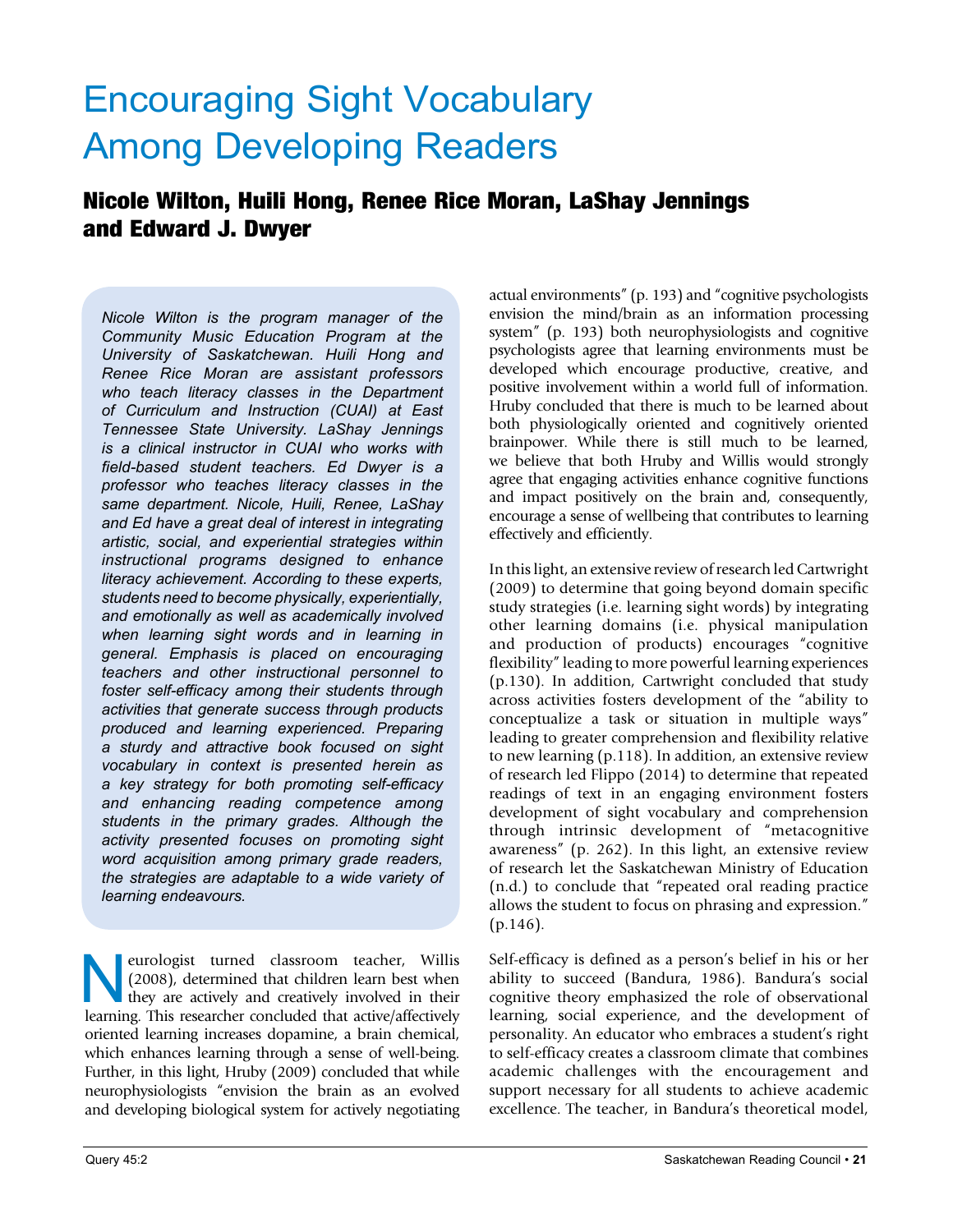# Encouraging Sight Vocabulary Among Developing Readers

#### Nicole Wilton, Huili Hong, Renee Rice Moran, LaShay Jennings and Edward J. Dwyer

*Nicole Wilton is the program manager of the Community Music Education Program at the University of Saskatchewan. Huili Hong and Renee Rice Moran are assistant professors who teach literacy classes in the Department of Curriculum and Instruction (CUAI) at East Tennessee State University. LaShay Jennings is a clinical instructor in CUAI who works with field-based student teachers. Ed Dwyer is a professor who teaches literacy classes in the same department. Nicole, Huili, Renee, LaShay and Ed have a great deal of interest in integrating artistic, social, and experiential strategies within instructional programs designed to enhance literacy achievement. According to these experts, students need to become physically, experientially, and emotionally as well as academically involved when learning sight words and in learning in general. Emphasis is placed on encouraging teachers and other instructional personnel to foster self-efficacy among their students through activities that generate success through products produced and learning experienced. Preparing a sturdy and attractive book focused on sight vocabulary in context is presented herein as a key strategy for both promoting self-efficacy and enhancing reading competence among students in the primary grades. Although the activity presented focuses on promoting sight word acquisition among primary grade readers, the strategies are adaptable to a wide variety of learning endeavours.*

eurologist turned classroom teacher, Willis (2008), determined that children learn best when they are actively and creatively involved in their learning. This researcher concluded that active/affectively oriented learning increases dopamine, a brain chemical, which enhances learning through a sense of well-being. Further, in this light, Hruby (2009) concluded that while neurophysiologists "envision the brain as an evolved and developing biological system for actively negotiating actual environments" (p. 193) and "cognitive psychologists envision the mind/brain as an information processing system" (p. 193) both neurophysiologists and cognitive psychologists agree that learning environments must be developed which encourage productive, creative, and positive involvement within a world full of information. Hruby concluded that there is much to be learned about both physiologically oriented and cognitively oriented brainpower. While there is still much to be learned, we believe that both Hruby and Willis would strongly agree that engaging activities enhance cognitive functions and impact positively on the brain and, consequently, encourage a sense of wellbeing that contributes to learning effectively and efficiently.

In this light, an extensive review of research led Cartwright (2009) to determine that going beyond domain specific study strategies (i.e. learning sight words) by integrating other learning domains (i.e. physical manipulation and production of products) encourages "cognitive flexibility" leading to more powerful learning experiences (p.130). In addition, Cartwright concluded that study across activities fosters development of the "ability to conceptualize a task or situation in multiple ways" leading to greater comprehension and flexibility relative to new learning (p.118). In addition, an extensive review of research led Flippo (2014) to determine that repeated readings of text in an engaging environment fosters development of sight vocabulary and comprehension through intrinsic development of "metacognitive awareness" (p. 262). In this light, an extensive review of research let the Saskatchewan Ministry of Education (n.d.) to conclude that "repeated oral reading practice allows the student to focus on phrasing and expression." (p.146).

Self-efficacy is defined as a person's belief in his or her ability to succeed (Bandura, 1986). Bandura's social cognitive theory emphasized the role of observational learning, social experience, and the development of personality. An educator who embraces a student's right to self-efficacy creates a classroom climate that combines academic challenges with the encouragement and support necessary for all students to achieve academic excellence. The teacher, in Bandura's theoretical model,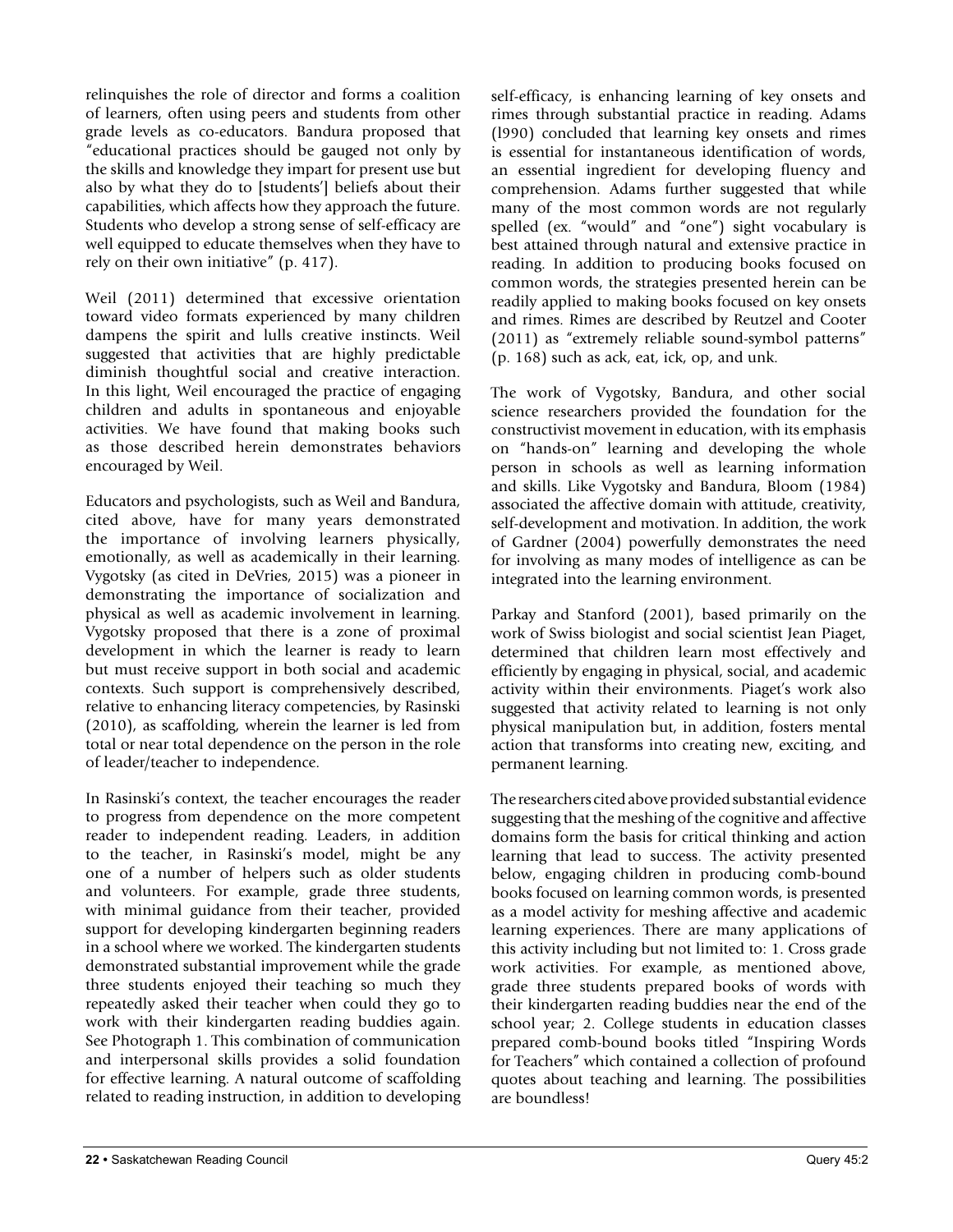relinquishes the role of director and forms a coalition of learners, often using peers and students from other grade levels as co-educators. Bandura proposed that "educational practices should be gauged not only by the skills and knowledge they impart for present use but also by what they do to [students'] beliefs about their capabilities, which affects how they approach the future. Students who develop a strong sense of self-efficacy are well equipped to educate themselves when they have to rely on their own initiative" (p. 417).

Weil (2011) determined that excessive orientation toward video formats experienced by many children dampens the spirit and lulls creative instincts. Weil suggested that activities that are highly predictable diminish thoughtful social and creative interaction. In this light, Weil encouraged the practice of engaging children and adults in spontaneous and enjoyable activities. We have found that making books such as those described herein demonstrates behaviors encouraged by Weil.

Educators and psychologists, such as Weil and Bandura, cited above, have for many years demonstrated the importance of involving learners physically, emotionally, as well as academically in their learning. Vygotsky (as cited in DeVries, 2015) was a pioneer in demonstrating the importance of socialization and physical as well as academic involvement in learning. Vygotsky proposed that there is a zone of proximal development in which the learner is ready to learn but must receive support in both social and academic contexts. Such support is comprehensively described, relative to enhancing literacy competencies, by Rasinski (2010), as scaffolding, wherein the learner is led from total or near total dependence on the person in the role of leader/teacher to independence.

In Rasinski's context, the teacher encourages the reader to progress from dependence on the more competent reader to independent reading. Leaders, in addition to the teacher, in Rasinski's model, might be any one of a number of helpers such as older students and volunteers. For example, grade three students, with minimal guidance from their teacher, provided support for developing kindergarten beginning readers in a school where we worked. The kindergarten students demonstrated substantial improvement while the grade three students enjoyed their teaching so much they repeatedly asked their teacher when could they go to work with their kindergarten reading buddies again. See Photograph 1. This combination of communication and interpersonal skills provides a solid foundation for effective learning. A natural outcome of scaffolding related to reading instruction, in addition to developing self-efficacy, is enhancing learning of key onsets and rimes through substantial practice in reading. Adams (l990) concluded that learning key onsets and rimes is essential for instantaneous identification of words, an essential ingredient for developing fluency and comprehension. Adams further suggested that while many of the most common words are not regularly spelled (ex. "would" and "one") sight vocabulary is best attained through natural and extensive practice in reading. In addition to producing books focused on common words, the strategies presented herein can be readily applied to making books focused on key onsets and rimes. Rimes are described by Reutzel and Cooter (2011) as "extremely reliable sound-symbol patterns" (p. 168) such as ack, eat, ick, op, and unk.

The work of Vygotsky, Bandura, and other social science researchers provided the foundation for the constructivist movement in education, with its emphasis on "hands-on" learning and developing the whole person in schools as well as learning information and skills. Like Vygotsky and Bandura, Bloom (1984) associated the affective domain with attitude, creativity, self-development and motivation. In addition, the work of Gardner (2004) powerfully demonstrates the need for involving as many modes of intelligence as can be integrated into the learning environment.

Parkay and Stanford (2001), based primarily on the work of Swiss biologist and social scientist Jean Piaget, determined that children learn most effectively and efficiently by engaging in physical, social, and academic activity within their environments. Piaget's work also suggested that activity related to learning is not only physical manipulation but, in addition, fosters mental action that transforms into creating new, exciting, and permanent learning.

The researchers cited above provided substantial evidence suggesting that the meshing of the cognitive and affective domains form the basis for critical thinking and action learning that lead to success. The activity presented below, engaging children in producing comb-bound books focused on learning common words, is presented as a model activity for meshing affective and academic learning experiences. There are many applications of this activity including but not limited to: 1. Cross grade work activities. For example, as mentioned above, grade three students prepared books of words with their kindergarten reading buddies near the end of the school year; 2. College students in education classes prepared comb-bound books titled "Inspiring Words for Teachers" which contained a collection of profound quotes about teaching and learning. The possibilities are boundless!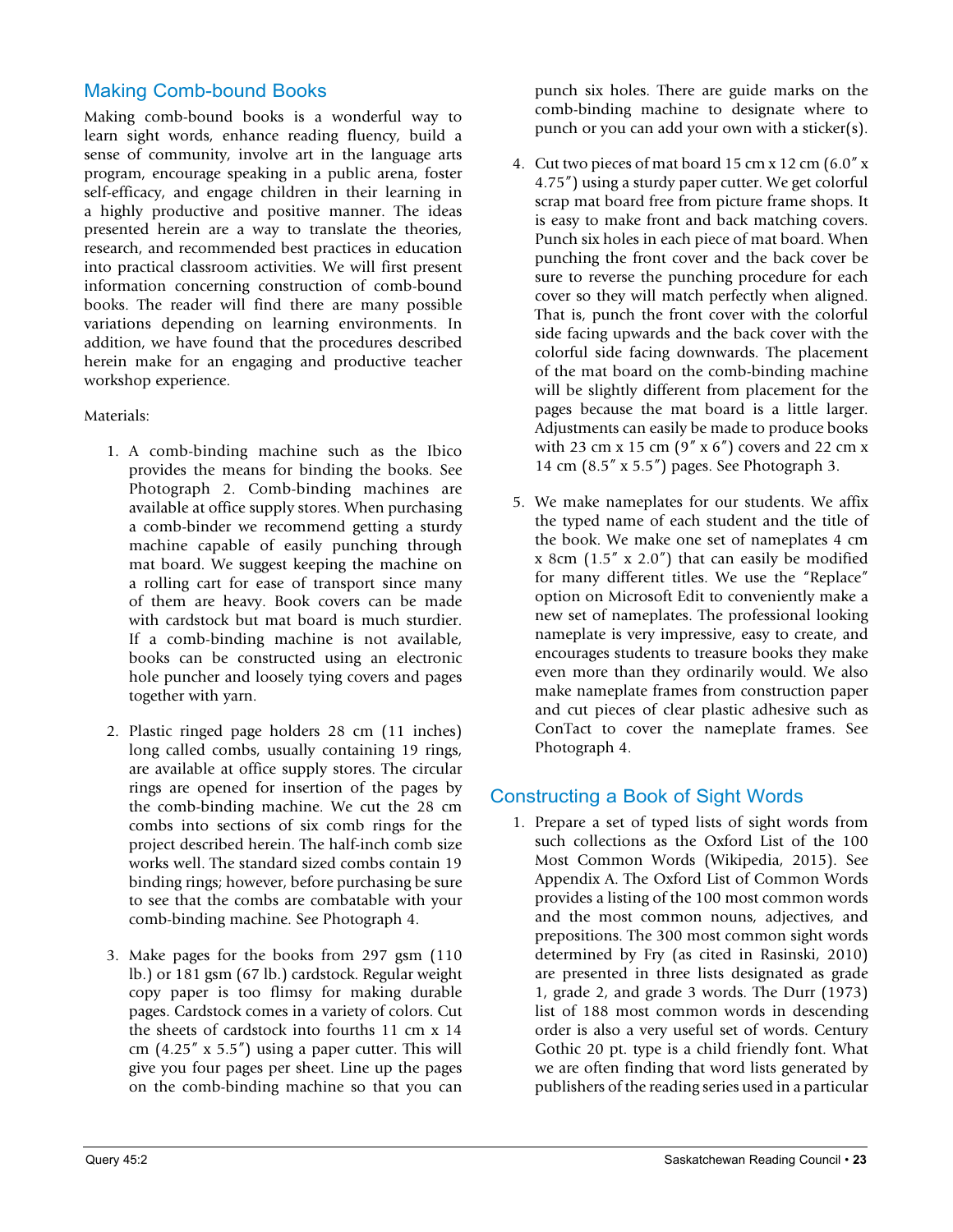#### Making Comb-bound Books

Making comb-bound books is a wonderful way to learn sight words, enhance reading fluency, build a sense of community, involve art in the language arts program, encourage speaking in a public arena, foster self-efficacy, and engage children in their learning in a highly productive and positive manner. The ideas presented herein are a way to translate the theories, research, and recommended best practices in education into practical classroom activities. We will first present information concerning construction of comb-bound books. The reader will find there are many possible variations depending on learning environments. In addition, we have found that the procedures described herein make for an engaging and productive teacher workshop experience.

#### Materials:

- 1. A comb-binding machine such as the Ibico provides the means for binding the books. See Photograph 2. Comb-binding machines are available at office supply stores. When purchasing a comb-binder we recommend getting a sturdy machine capable of easily punching through mat board. We suggest keeping the machine on a rolling cart for ease of transport since many of them are heavy. Book covers can be made with cardstock but mat board is much sturdier. If a comb-binding machine is not available, books can be constructed using an electronic hole puncher and loosely tying covers and pages together with yarn.
- 2. Plastic ringed page holders 28 cm (11 inches) long called combs, usually containing 19 rings, are available at office supply stores. The circular rings are opened for insertion of the pages by the comb-binding machine. We cut the 28 cm combs into sections of six comb rings for the project described herein. The half-inch comb size works well. The standard sized combs contain 19 binding rings; however, before purchasing be sure to see that the combs are combatable with your comb-binding machine. See Photograph 4.
- 3. Make pages for the books from 297 gsm (110 lb.) or 181 gsm (67 lb.) cardstock. Regular weight copy paper is too flimsy for making durable pages. Cardstock comes in a variety of colors. Cut the sheets of cardstock into fourths 11 cm x 14 cm  $(4.25'' \times 5.5'')$  using a paper cutter. This will give you four pages per sheet. Line up the pages on the comb-binding machine so that you can

punch six holes. There are guide marks on the comb-binding machine to designate where to punch or you can add your own with a sticker(s).

- 4. Cut two pieces of mat board 15 cm x 12 cm (6.0" x 4.75") using a sturdy paper cutter. We get colorful scrap mat board free from picture frame shops. It is easy to make front and back matching covers. Punch six holes in each piece of mat board. When punching the front cover and the back cover be sure to reverse the punching procedure for each cover so they will match perfectly when aligned. That is, punch the front cover with the colorful side facing upwards and the back cover with the colorful side facing downwards. The placement of the mat board on the comb-binding machine will be slightly different from placement for the pages because the mat board is a little larger. Adjustments can easily be made to produce books with 23 cm x 15 cm  $(9'' \times 6'')$  covers and 22 cm x 14 cm (8.5" x 5.5") pages. See Photograph 3.
- 5. We make nameplates for our students. We affix the typed name of each student and the title of the book. We make one set of nameplates 4 cm x 8cm  $(1.5'' \times 2.0'')$  that can easily be modified for many different titles. We use the "Replace" option on Microsoft Edit to conveniently make a new set of nameplates. The professional looking nameplate is very impressive, easy to create, and encourages students to treasure books they make even more than they ordinarily would. We also make nameplate frames from construction paper and cut pieces of clear plastic adhesive such as ConTact to cover the nameplate frames. See Photograph 4.

#### Constructing a Book of Sight Words

1. Prepare a set of typed lists of sight words from such collections as the Oxford List of the 100 Most Common Words (Wikipedia, 2015). See Appendix A. The Oxford List of Common Words provides a listing of the 100 most common words and the most common nouns, adjectives, and prepositions. The 300 most common sight words determined by Fry (as cited in Rasinski, 2010) are presented in three lists designated as grade 1, grade 2, and grade 3 words. The Durr (1973) list of 188 most common words in descending order is also a very useful set of words. Century Gothic 20 pt. type is a child friendly font. What we are often finding that word lists generated by publishers of the reading series used in a particular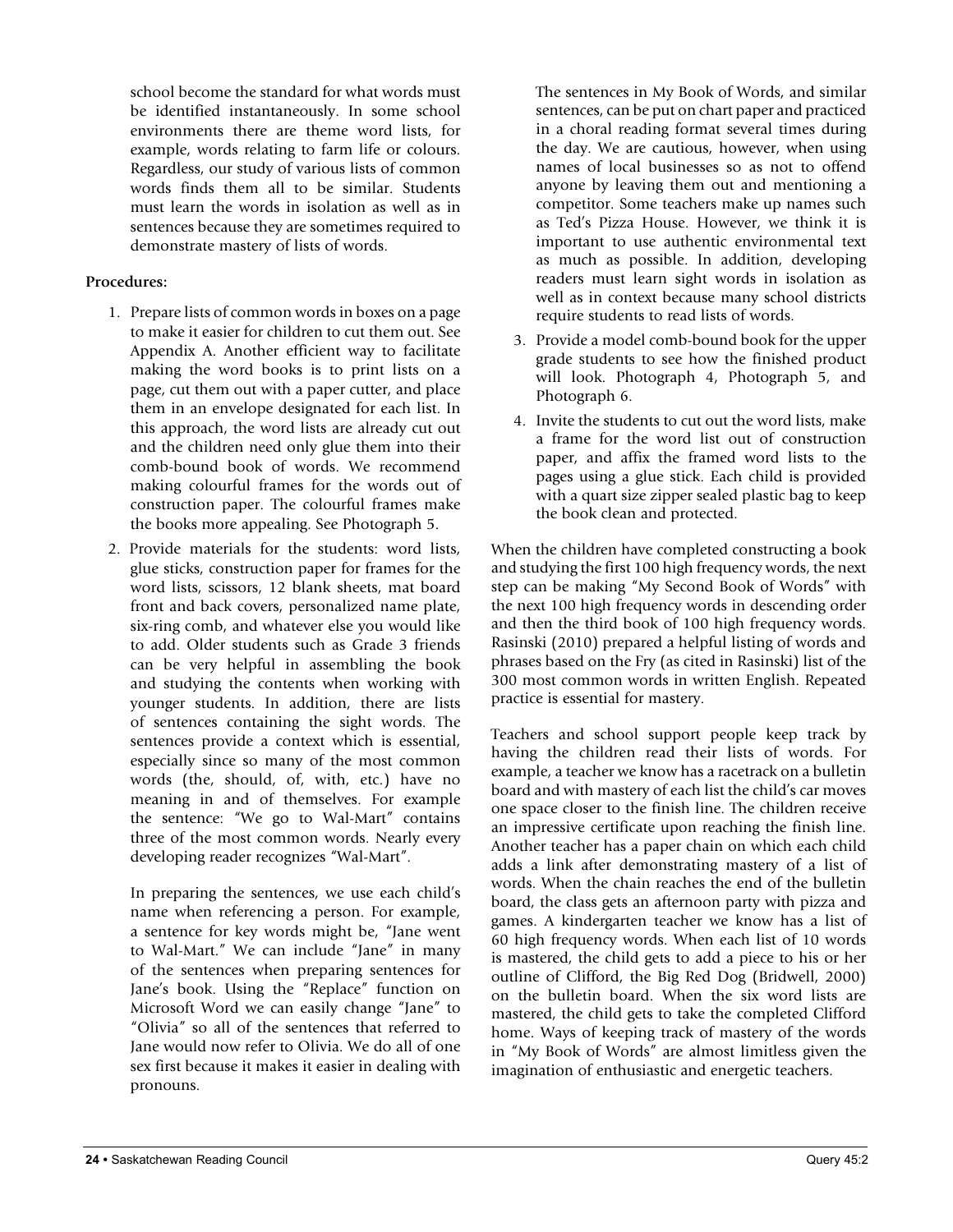school become the standard for what words must be identified instantaneously. In some school environments there are theme word lists, for example, words relating to farm life or colours. Regardless, our study of various lists of common words finds them all to be similar. Students must learn the words in isolation as well as in sentences because they are sometimes required to demonstrate mastery of lists of words.

#### **Procedures:**

- 1. Prepare lists of common words in boxes on a page to make it easier for children to cut them out. See Appendix A. Another efficient way to facilitate making the word books is to print lists on a page, cut them out with a paper cutter, and place them in an envelope designated for each list. In this approach, the word lists are already cut out and the children need only glue them into their comb-bound book of words. We recommend making colourful frames for the words out of construction paper. The colourful frames make the books more appealing. See Photograph 5.
- 2. Provide materials for the students: word lists, glue sticks, construction paper for frames for the word lists, scissors, 12 blank sheets, mat board front and back covers, personalized name plate, six-ring comb, and whatever else you would like to add. Older students such as Grade 3 friends can be very helpful in assembling the book and studying the contents when working with younger students. In addition, there are lists of sentences containing the sight words. The sentences provide a context which is essential, especially since so many of the most common words (the, should, of, with, etc.) have no meaning in and of themselves. For example the sentence: "We go to Wal-Mart" contains three of the most common words. Nearly every developing reader recognizes "Wal-Mart".

In preparing the sentences, we use each child's name when referencing a person. For example, a sentence for key words might be, "Jane went to Wal-Mart." We can include "Jane" in many of the sentences when preparing sentences for Jane's book. Using the "Replace" function on Microsoft Word we can easily change "Jane" to "Olivia" so all of the sentences that referred to Jane would now refer to Olivia. We do all of one sex first because it makes it easier in dealing with pronouns.

The sentences in My Book of Words, and similar sentences, can be put on chart paper and practiced in a choral reading format several times during the day. We are cautious, however, when using names of local businesses so as not to offend anyone by leaving them out and mentioning a competitor. Some teachers make up names such as Ted's Pizza House. However, we think it is important to use authentic environmental text as much as possible. In addition, developing readers must learn sight words in isolation as well as in context because many school districts require students to read lists of words.

- 3. Provide a model comb-bound book for the upper grade students to see how the finished product will look. Photograph 4, Photograph 5, and Photograph 6.
- 4. Invite the students to cut out the word lists, make a frame for the word list out of construction paper, and affix the framed word lists to the pages using a glue stick. Each child is provided with a quart size zipper sealed plastic bag to keep the book clean and protected.

When the children have completed constructing a book and studying the first 100 high frequency words, the next step can be making "My Second Book of Words" with the next 100 high frequency words in descending order and then the third book of 100 high frequency words. Rasinski (2010) prepared a helpful listing of words and phrases based on the Fry (as cited in Rasinski) list of the 300 most common words in written English. Repeated practice is essential for mastery.

Teachers and school support people keep track by having the children read their lists of words. For example, a teacher we know has a racetrack on a bulletin board and with mastery of each list the child's car moves one space closer to the finish line. The children receive an impressive certificate upon reaching the finish line. Another teacher has a paper chain on which each child adds a link after demonstrating mastery of a list of words. When the chain reaches the end of the bulletin board, the class gets an afternoon party with pizza and games. A kindergarten teacher we know has a list of 60 high frequency words. When each list of 10 words is mastered, the child gets to add a piece to his or her outline of Clifford, the Big Red Dog (Bridwell, 2000) on the bulletin board. When the six word lists are mastered, the child gets to take the completed Clifford home. Ways of keeping track of mastery of the words in "My Book of Words" are almost limitless given the imagination of enthusiastic and energetic teachers.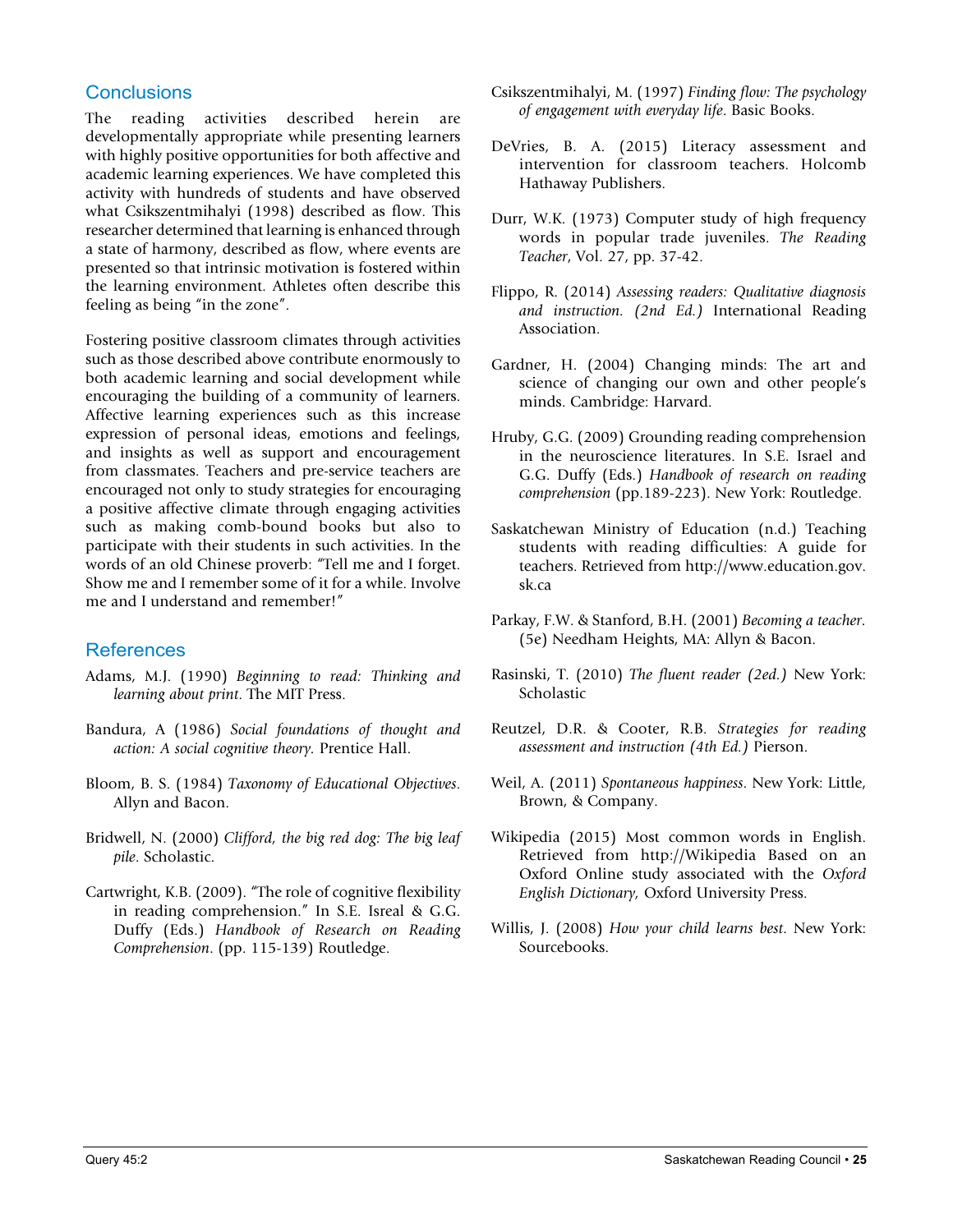#### **Conclusions**

The reading activities described herein are developmentally appropriate while presenting learners with highly positive opportunities for both affective and academic learning experiences. We have completed this activity with hundreds of students and have observed what Csikszentmihalyi (1998) described as flow. This researcher determined that learning is enhanced through a state of harmony, described as flow, where events are presented so that intrinsic motivation is fostered within the learning environment. Athletes often describe this feeling as being "in the zone".

Fostering positive classroom climates through activities such as those described above contribute enormously to both academic learning and social development while encouraging the building of a community of learners. Affective learning experiences such as this increase expression of personal ideas, emotions and feelings, and insights as well as support and encouragement from classmates. Teachers and pre-service teachers are encouraged not only to study strategies for encouraging a positive affective climate through engaging activities such as making comb-bound books but also to participate with their students in such activities. In the words of an old Chinese proverb: "Tell me and I forget. Show me and I remember some of it for a while. Involve me and I understand and remember!"

#### **References**

- Adams, M.J. (1990) *Beginning to read: Thinking and learning about print*. The MIT Press.
- Bandura, A (1986) *Social foundations of thought and action: A social cognitive theory.* Prentice Hall.
- Bloom, B. S. (1984) *Taxonomy of Educational Objectives*. Allyn and Bacon.
- Bridwell, N. (2000) *Clifford, the big red dog: The big leaf pile*. Scholastic.
- Cartwright, K.B. (2009). "The role of cognitive flexibility in reading comprehension." In S.E. Isreal & G.G. Duffy (Eds.) *Handbook of Research on Reading Comprehension*. (pp. 115-139) Routledge.
- Csikszentmihalyi, M. (1997) *Finding flow: The psychology of engagement with everyday life*. Basic Books.
- DeVries, B. A. (2015) Literacy assessment and intervention for classroom teachers. Holcomb Hathaway Publishers.
- Durr, W.K. (1973) Computer study of high frequency words in popular trade juveniles. *The Reading Teacher*, Vol. 27, pp. 37-42.
- Flippo, R. (2014) *Assessing readers: Qualitative diagnosis and instruction. (2nd Ed.)* International Reading Association.
- Gardner, H. (2004) Changing minds: The art and science of changing our own and other people's minds. Cambridge: Harvard.
- Hruby, G.G. (2009) Grounding reading comprehension in the neuroscience literatures. In S.E. Israel and G.G. Duffy (Eds.) *Handbook of research on reading comprehension* (pp.189-223). New York: Routledge.
- Saskatchewan Ministry of Education (n.d.) Teaching students with reading difficulties: A guide for teachers. Retrieved from http://www.education.gov. sk.ca
- Parkay, F.W. & Stanford, B.H. (2001) *Becoming a teacher.*  (5e) Needham Heights, MA: Allyn & Bacon.
- Rasinski, T. (2010) *The fluent reader (2ed.)* New York: Scholastic
- Reutzel, D.R. & Cooter, R.B. *Strategies for reading assessment and instruction (4th Ed.)* Pierson.
- Weil, A. (2011) *Spontaneous happiness*. New York: Little, Brown, & Company.
- Wikipedia (2015) Most common words in English. Retrieved from http://Wikipedia Based on an Oxford Online study associated with the *Oxford English Dictionary,* Oxford University Press.
- Willis, J. (2008) *How your child learns best*. New York: Sourcebooks.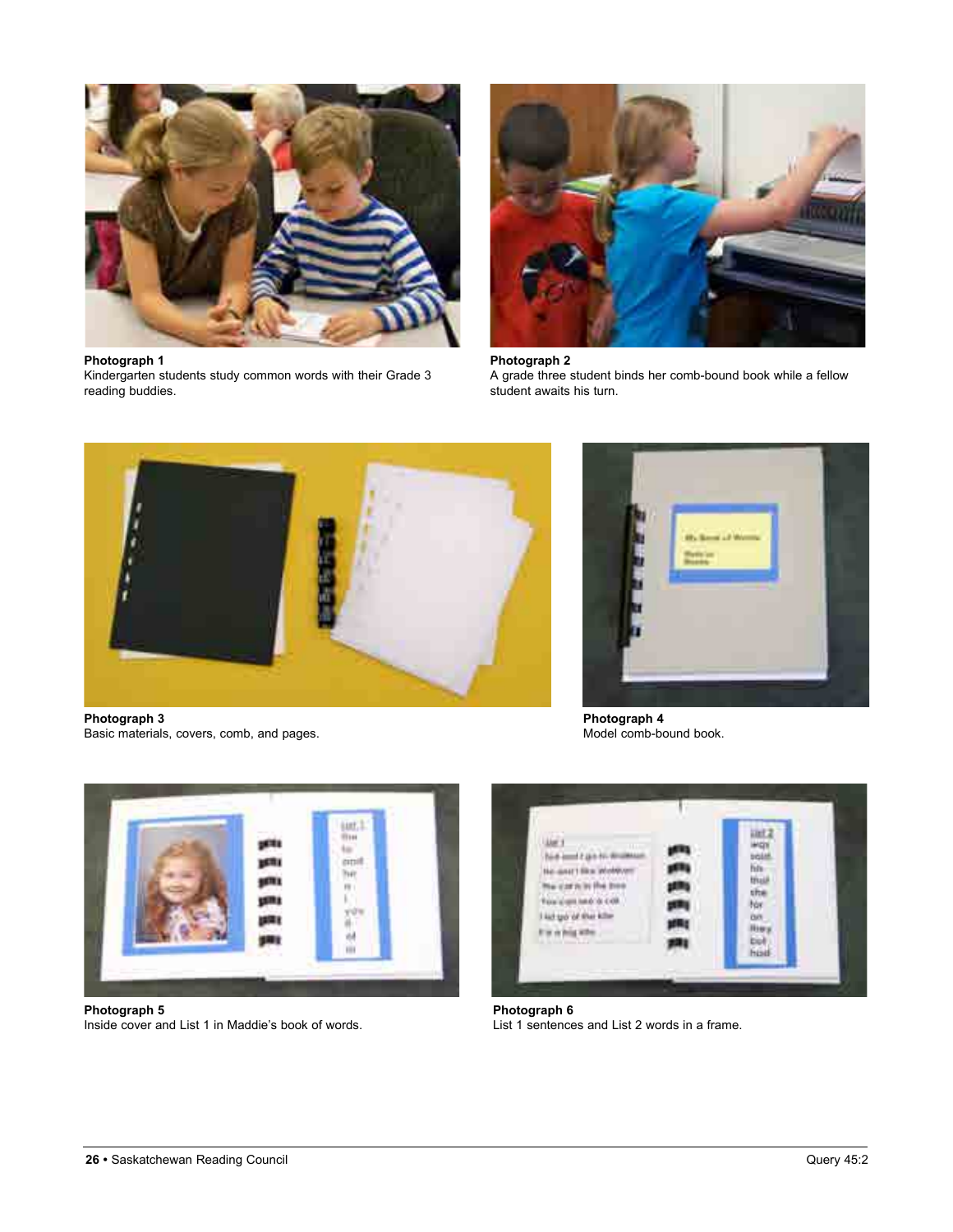

**Photograph 1**

Kindergarten students study common words with their Grade 3 reading buddies.



**Photograph 2** A grade three student binds her comb-bound book while a fellow student awaits his turn.



**Photograph 3** Basic materials, covers, comb, and pages.



**Photograph 4**



**Photograph 5** Inside cover and List 1 in Maddie's book of words.



**Photograph 6** List 1 sentences and List 2 words in a frame.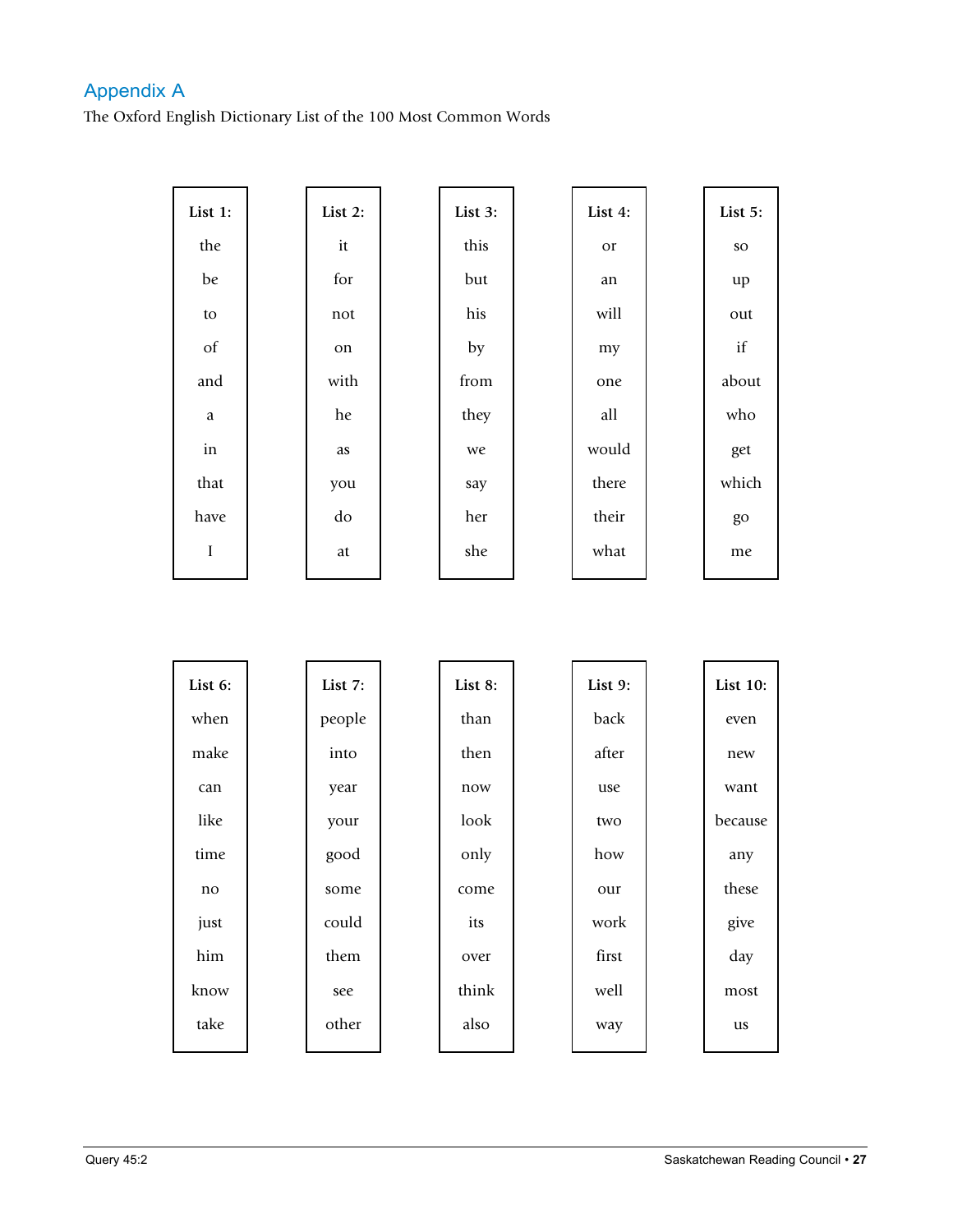#### Appendix A

The Oxford English Dictionary List of the 100 Most Common Words

| List 1:             | List $2$ : | List 3: | List 4: | List 5:   |
|---------------------|------------|---------|---------|-----------|
| the                 | it         | this    | or      | <b>SO</b> |
| be                  | for        | but     | an      | up        |
| ${\rm to}$          | not        | his     | will    | out       |
| $\sigma f$          | on         | by      | my      | if        |
| and                 | with       | from    | one     | about     |
| $\mathbf{a}$        | he         | they    | all     | who       |
| $\operatorname{in}$ | as         | we      | would   | get       |
| that                | you        | say     | there   | which     |
| have                | do         | her     | their   | go        |
| $\rm I$             | at         | she     | what    | me        |

| List 6: | List 7: | List 8: | List 9: | <b>List 10:</b> |
|---------|---------|---------|---------|-----------------|
| when    | people  | than    | back    | even            |
| make    | into    | then    | after   | new             |
| can     | year    | now     | use     | want            |
| like    | your    | look    | two     | because         |
| time    | good    | only    | how     | any             |
| no      | some    | come    | our     | these           |
| just    | could   | its     | work    | give            |
| him     | them    | over    | first   | day             |
| know    | see     | think   | well    | most            |
| take    | other   | also    | way     | us              |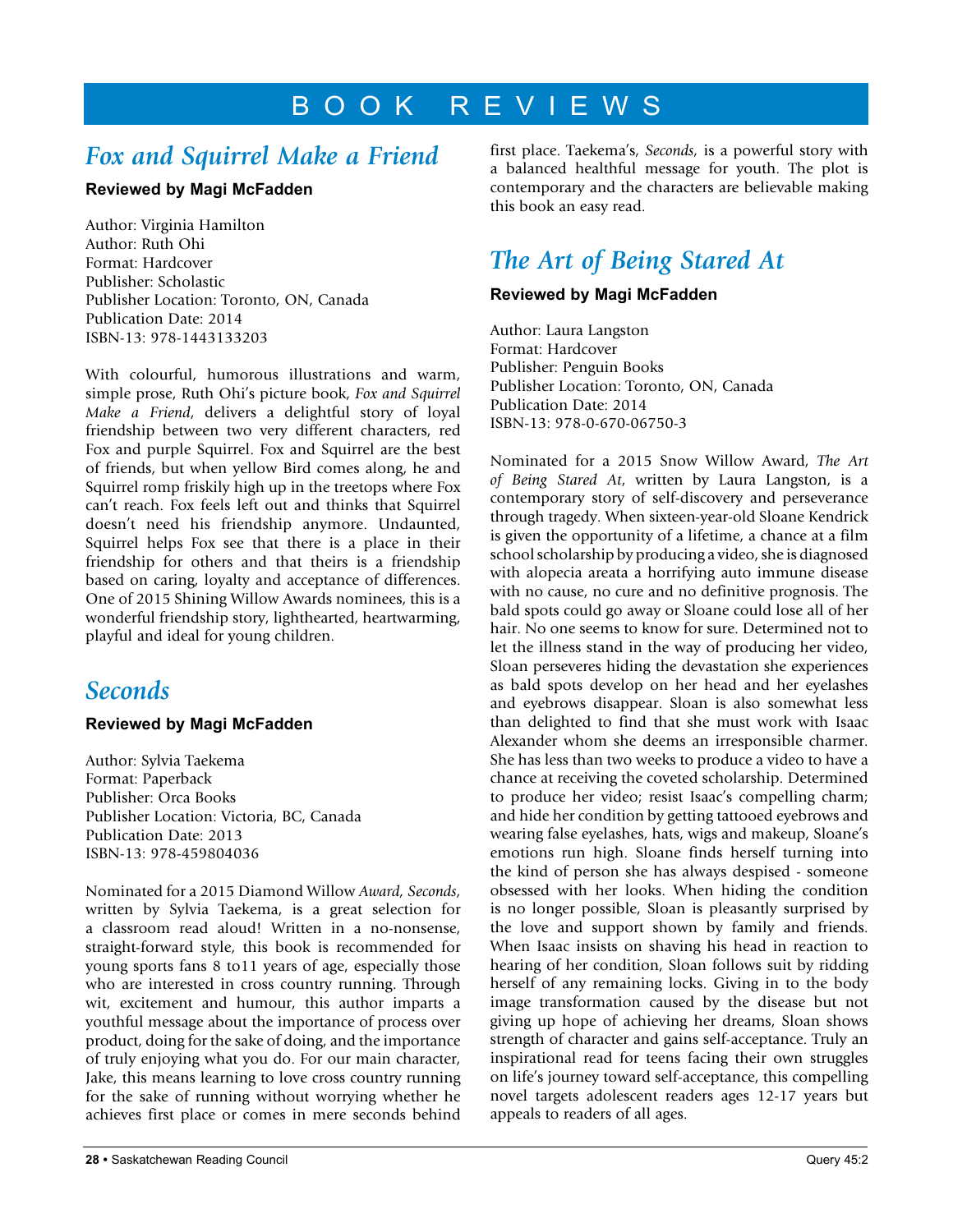### B O O K R E V I E W S

### *Fox and Squirrel Make a Friend*

#### **Reviewed by Magi McFadden**

Author: Virginia Hamilton Author: Ruth Ohi Format: Hardcover Publisher: Scholastic Publisher Location: Toronto, ON, Canada Publication Date: 2014 ISBN-13: 978-1443133203

With colourful, humorous illustrations and warm, simple prose, Ruth Ohi's picture book, *Fox and Squirrel Make a Friend*, delivers a delightful story of loyal friendship between two very different characters, red Fox and purple Squirrel. Fox and Squirrel are the best of friends, but when yellow Bird comes along, he and Squirrel romp friskily high up in the treetops where Fox can't reach. Fox feels left out and thinks that Squirrel doesn't need his friendship anymore. Undaunted, Squirrel helps Fox see that there is a place in their friendship for others and that theirs is a friendship based on caring, loyalty and acceptance of differences. One of 2015 Shining Willow Awards nominees, this is a wonderful friendship story, lighthearted, heartwarming, playful and ideal for young children.

### *Seconds*

#### **Reviewed by Magi McFadden**

Author: Sylvia Taekema Format: Paperback Publisher: Orca Books Publisher Location: Victoria, BC, Canada Publication Date: 2013 ISBN-13: 978-459804036

Nominated for a 2015 Diamond Willow *Award, Seconds*, written by Sylvia Taekema, is a great selection for a classroom read aloud! Written in a no-nonsense, straight-forward style, this book is recommended for young sports fans 8 to11 years of age, especially those who are interested in cross country running. Through wit, excitement and humour, this author imparts a youthful message about the importance of process over product, doing for the sake of doing, and the importance of truly enjoying what you do. For our main character, Jake, this means learning to love cross country running for the sake of running without worrying whether he achieves first place or comes in mere seconds behind first place. Taekema's, *Seconds,* is a powerful story with a balanced healthful message for youth. The plot is contemporary and the characters are believable making this book an easy read.

### *The Art of Being Stared At*

#### **Reviewed by Magi McFadden**

Author: Laura Langston Format: Hardcover Publisher: Penguin Books Publisher Location: Toronto, ON, Canada Publication Date: 2014 ISBN-13: 978-0-670-06750-3

Nominated for a 2015 Snow Willow Award, *The Art of Being Stared At*, written by Laura Langston, is a contemporary story of self-discovery and perseverance through tragedy. When sixteen-year-old Sloane Kendrick is given the opportunity of a lifetime, a chance at a film school scholarship by producing a video, she is diagnosed with alopecia areata a horrifying auto immune disease with no cause, no cure and no definitive prognosis. The bald spots could go away or Sloane could lose all of her hair. No one seems to know for sure. Determined not to let the illness stand in the way of producing her video, Sloan perseveres hiding the devastation she experiences as bald spots develop on her head and her eyelashes and eyebrows disappear. Sloan is also somewhat less than delighted to find that she must work with Isaac Alexander whom she deems an irresponsible charmer. She has less than two weeks to produce a video to have a chance at receiving the coveted scholarship. Determined to produce her video; resist Isaac's compelling charm; and hide her condition by getting tattooed eyebrows and wearing false eyelashes, hats, wigs and makeup, Sloane's emotions run high. Sloane finds herself turning into the kind of person she has always despised - someone obsessed with her looks. When hiding the condition is no longer possible, Sloan is pleasantly surprised by the love and support shown by family and friends. When Isaac insists on shaving his head in reaction to hearing of her condition, Sloan follows suit by ridding herself of any remaining locks. Giving in to the body image transformation caused by the disease but not giving up hope of achieving her dreams, Sloan shows strength of character and gains self-acceptance. Truly an inspirational read for teens facing their own struggles on life's journey toward self-acceptance, this compelling novel targets adolescent readers ages 12-17 years but appeals to readers of all ages.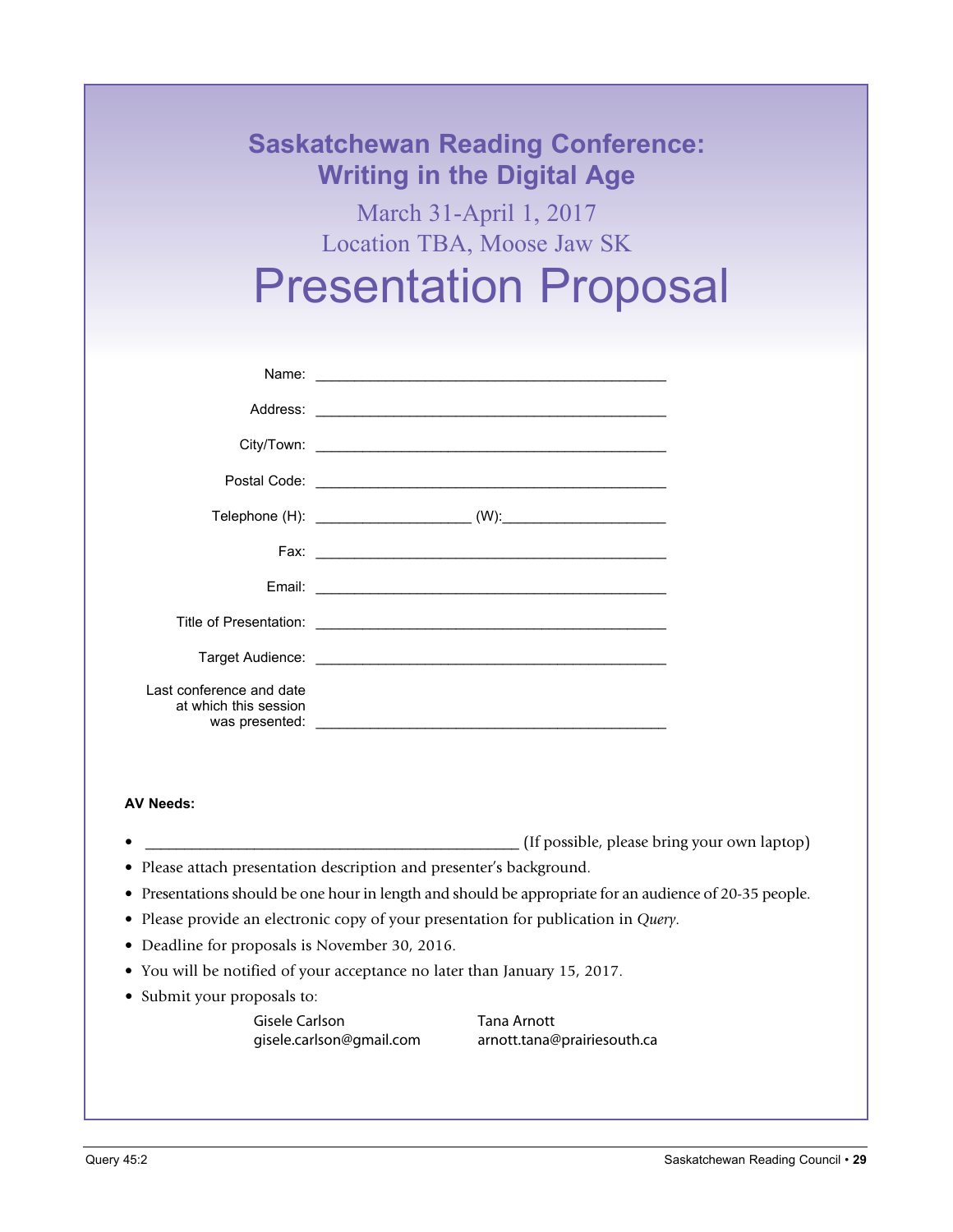| <b>Writing in the Digital Age</b><br>March 31-April 1, 2017                                                                                                                                                                   |  |
|-------------------------------------------------------------------------------------------------------------------------------------------------------------------------------------------------------------------------------|--|
|                                                                                                                                                                                                                               |  |
| Location TBA, Moose Jaw SK                                                                                                                                                                                                    |  |
| <b>Presentation Proposal</b>                                                                                                                                                                                                  |  |
|                                                                                                                                                                                                                               |  |
| Name: Name: Name: Name: Name: Name: Name: Name: Name: Name: Name: Name: Name: Name: Name: Name: Name: Name: Name: Name: Name: Name: Name: Name: Name: Name: Name: Name: Name: Name: Name: Name: Name: Name: Name: Name: Name: |  |
|                                                                                                                                                                                                                               |  |
|                                                                                                                                                                                                                               |  |
|                                                                                                                                                                                                                               |  |
|                                                                                                                                                                                                                               |  |
|                                                                                                                                                                                                                               |  |
|                                                                                                                                                                                                                               |  |
|                                                                                                                                                                                                                               |  |
|                                                                                                                                                                                                                               |  |
|                                                                                                                                                                                                                               |  |
| Last conference and date<br>at which this session                                                                                                                                                                             |  |

- \_\_\_\_\_\_\_\_\_\_\_\_\_\_\_\_\_\_\_\_\_\_\_\_\_\_\_\_\_\_\_\_\_\_\_\_\_\_\_\_\_\_\_\_\_\_\_\_ (If possible, please bring your own laptop) • Please attach presentation description and presenter's background.
- Presentations should be one hour in length and should be appropriate for an audience of 20-35 people.
- Please provide an electronic copy of your presentation for publication in *Query*.
- Deadline for proposals is November 30, 2016.
- You will be notified of your acceptance no later than January 15, 2017.
- Submit your proposals to:

Gisele Carlson Tana Arnott

gisele.carlson@gmail.com arnott.tana@prairiesouth.ca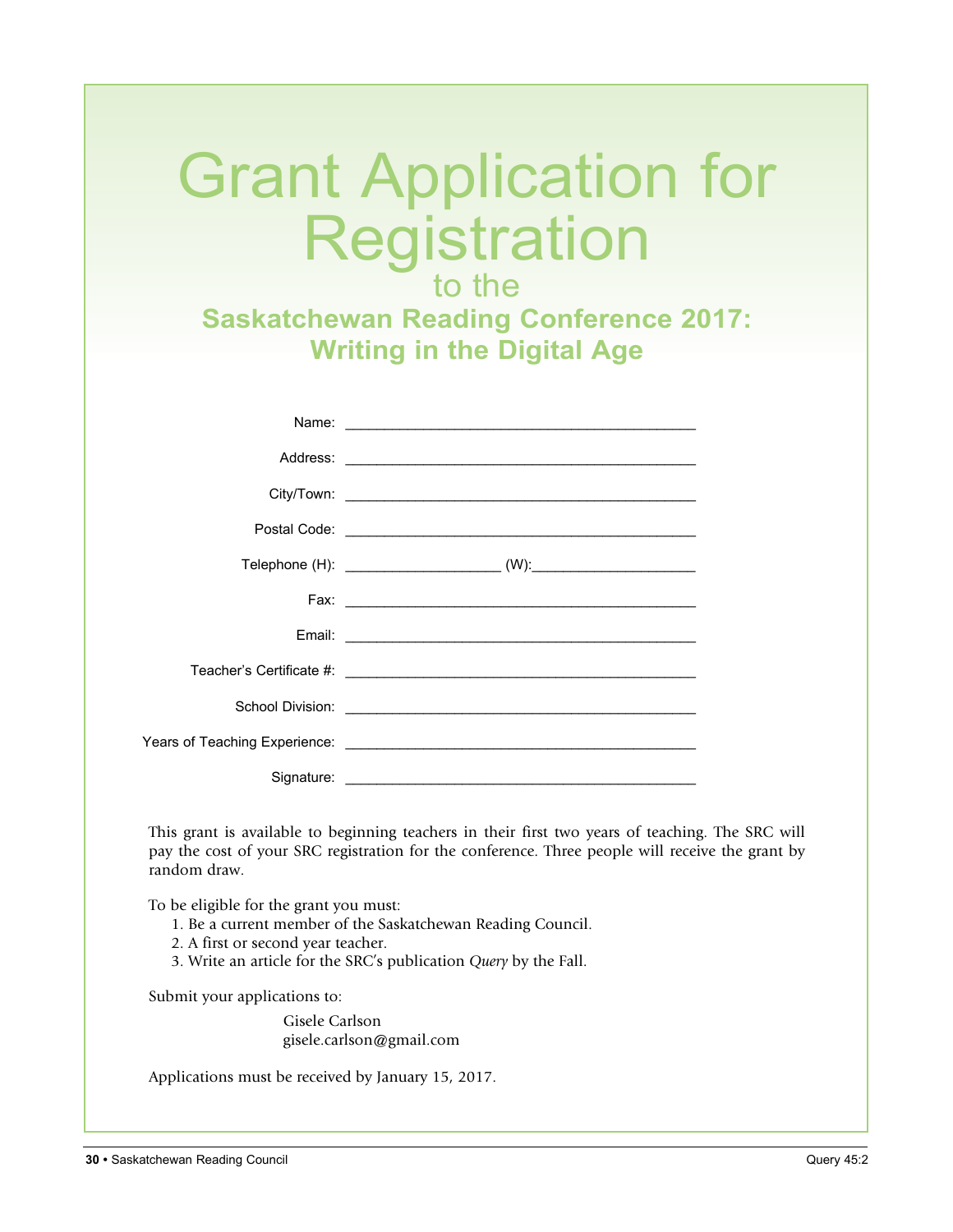# Grant Application for Registration

to the **Saskatchewan Reading Conference 2017: Writing in the Digital Age**

| Name: Name: Name: Name: Name: Name: Name: Name: Name: Name: Name: Name: Name: Name: Name: Name: Name: Name: Name: Name: Name: Name: Name: Name: Name: Name: Name: Name: Name: Name: Name: Name: Name: Name: Name: Name: Name: |  |
|-------------------------------------------------------------------------------------------------------------------------------------------------------------------------------------------------------------------------------|--|
|                                                                                                                                                                                                                               |  |
|                                                                                                                                                                                                                               |  |
|                                                                                                                                                                                                                               |  |
|                                                                                                                                                                                                                               |  |
|                                                                                                                                                                                                                               |  |
|                                                                                                                                                                                                                               |  |
|                                                                                                                                                                                                                               |  |
|                                                                                                                                                                                                                               |  |
|                                                                                                                                                                                                                               |  |
|                                                                                                                                                                                                                               |  |

This grant is available to beginning teachers in their first two years of teaching. The SRC will pay the cost of your SRC registration for the conference. Three people will receive the grant by random draw.

To be eligible for the grant you must:

- 1. Be a current member of the Saskatchewan Reading Council.
- 2. A first or second year teacher.
- 3. Write an article for the SRC's publication *Query* by the Fall.

Submit your applications to:

Gisele Carlson gisele.carlson@gmail.com

Applications must be received by January 15, 2017.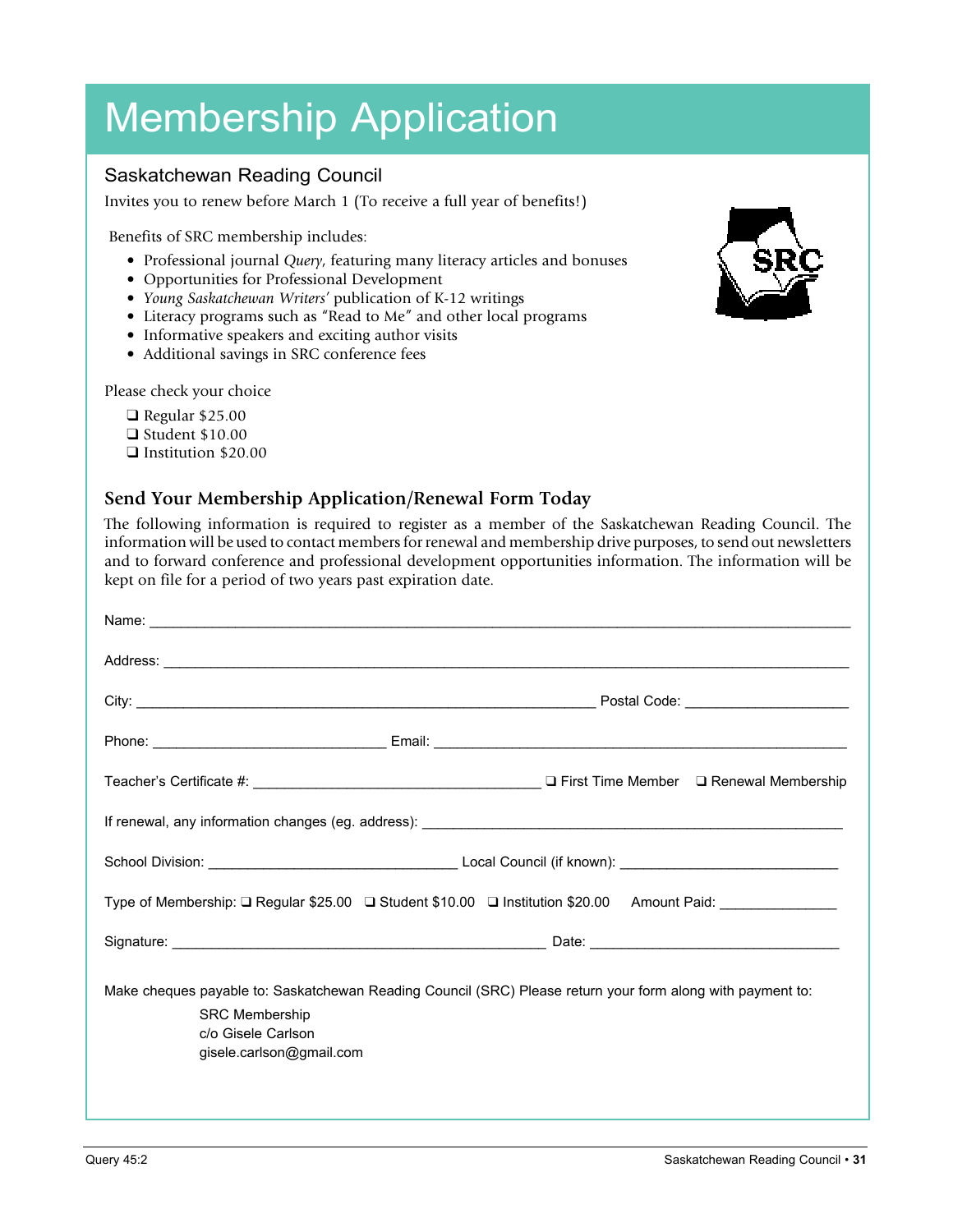# Membership Application

#### Saskatchewan Reading Council

Invites you to renew before March 1 (To receive a full year of benefits!)

Benefits of SRC membership includes:

- Professional journal *Query*, featuring many literacy articles and bonuses
- Opportunities for Professional Development
- *Young Saskatchewan Writers'* publication of K-12 writings
- Literacy programs such as "Read to Me" and other local programs
- Informative speakers and exciting author visits
- Additional savings in SRC conference fees

Please check your choice

- $\Box$  Regular \$25.00  $\Box$  Student \$10.00
- **Q** Institution \$20.00

#### **Send Your Membership Application/Renewal Form Today**

The following information is required to register as a member of the Saskatchewan Reading Council. The information will be used to contact members for renewal and membership drive purposes, to send out newsletters and to forward conference and professional development opportunities information. The information will be kept on file for a period of two years past expiration date.

| Address: <u>Address:</u> Address: Address: Address: Address: Address: Address: Address: Address: Address: Address: Address: Address: Address: Address: Address: Address: Address: Address: Address: Address: Address: Address: Addr |  |
|-------------------------------------------------------------------------------------------------------------------------------------------------------------------------------------------------------------------------------------|--|
|                                                                                                                                                                                                                                     |  |
|                                                                                                                                                                                                                                     |  |
|                                                                                                                                                                                                                                     |  |
|                                                                                                                                                                                                                                     |  |
|                                                                                                                                                                                                                                     |  |
| Type of Membership: □ Regular \$25.00 □ Student \$10.00 □ Institution \$20.00 Amount Paid: ____________                                                                                                                             |  |
|                                                                                                                                                                                                                                     |  |
| Make cheques payable to: Saskatchewan Reading Council (SRC) Please return your form along with payment to:<br><b>SRC Membership</b><br>c/o Gisele Carlson<br>gisele.carlson@gmail.com                                               |  |

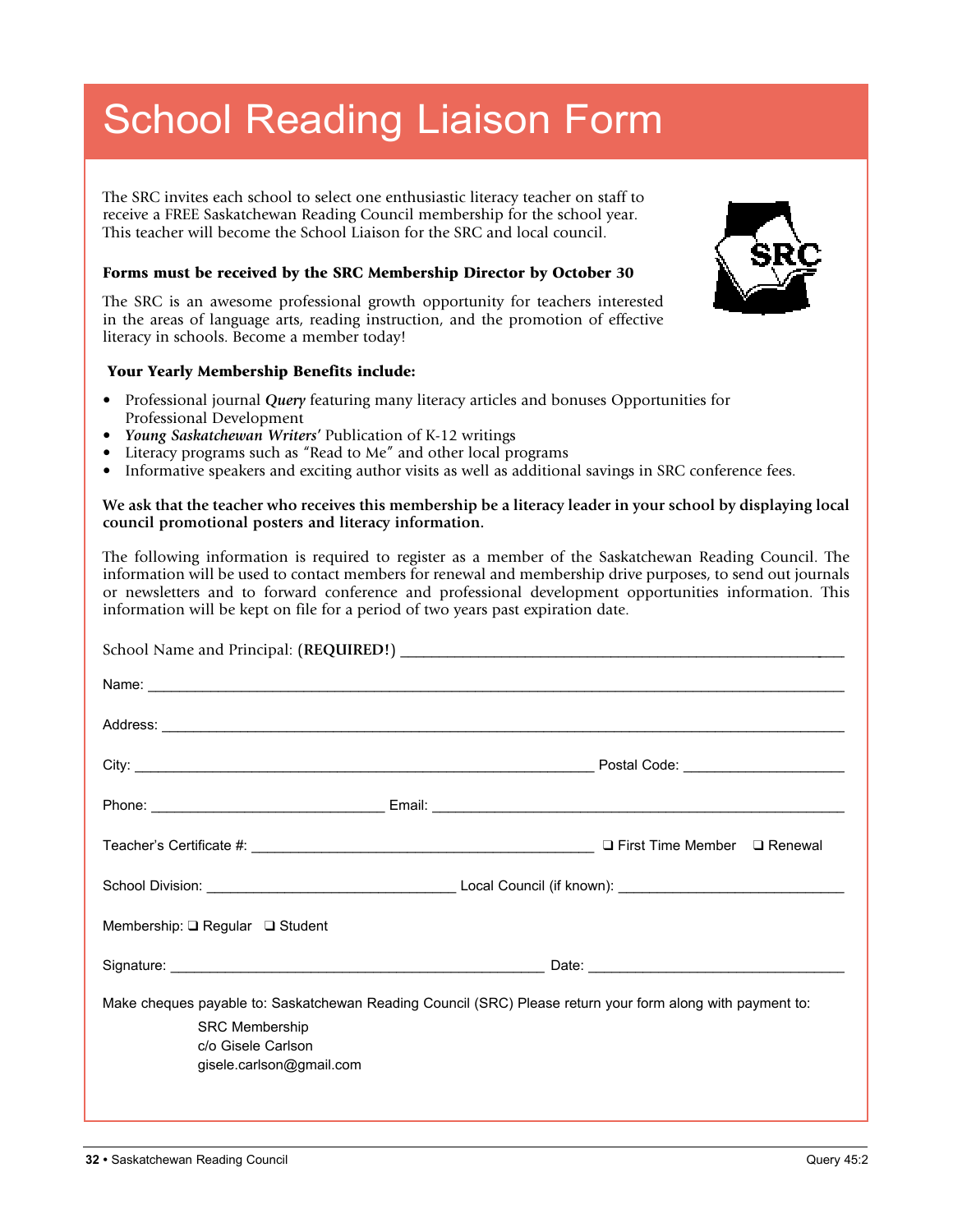# School Reading Liaison Form

The SRC invites each school to select one enthusiastic literacy teacher on staff to receive a FREE Saskatchewan Reading Council membership for the school year. This teacher will become the School Liaison for the SRC and local council.

#### Forms must be received by the SRC Membership Director by October 30

The SRC is an awesome professional growth opportunity for teachers interested in the areas of language arts, reading instruction, and the promotion of effective literacy in schools. Become a member today!

#### Your Yearly Membership Benefits include:

- • Professional journal *Query* featuring many literacy articles and bonuses Opportunities for Professional Development
- Young Saskatchewan Writers' Publication of K-12 writings
- Literacy programs such as "Read to Me" and other local programs
- Informative speakers and exciting author visits as well as additional savings in SRC conference fees.

#### **We ask that the teacher who receives this membership be a literacy leader in your school by displaying local council promotional posters and literacy information.**

The following information is required to register as a member of the Saskatchewan Reading Council. The information will be used to contact members for renewal and membership drive purposes, to send out journals or newsletters and to forward conference and professional development opportunities information. This information will be kept on file for a period of two years past expiration date.

| Name: <u>example and the contract of the contract of the contract of the contract of the contract of the contract of the contract of the contract of the contract of the contract of the contract of the contract of the contrac</u> |  |
|--------------------------------------------------------------------------------------------------------------------------------------------------------------------------------------------------------------------------------------|--|
| Address: <u>The Community of the Community of the Community of the Community of the Community of the Community of the Community of the Community of the Community of the Community of the Community of the Community of the Comm</u> |  |
|                                                                                                                                                                                                                                      |  |
|                                                                                                                                                                                                                                      |  |
|                                                                                                                                                                                                                                      |  |
|                                                                                                                                                                                                                                      |  |
| Membership: $\Box$ Regular $\Box$ Student                                                                                                                                                                                            |  |
|                                                                                                                                                                                                                                      |  |
| Make cheques payable to: Saskatchewan Reading Council (SRC) Please return your form along with payment to:                                                                                                                           |  |
| <b>SRC Membership</b><br>c/o Gisele Carlson                                                                                                                                                                                          |  |
| gisele.carlson@gmail.com                                                                                                                                                                                                             |  |
|                                                                                                                                                                                                                                      |  |

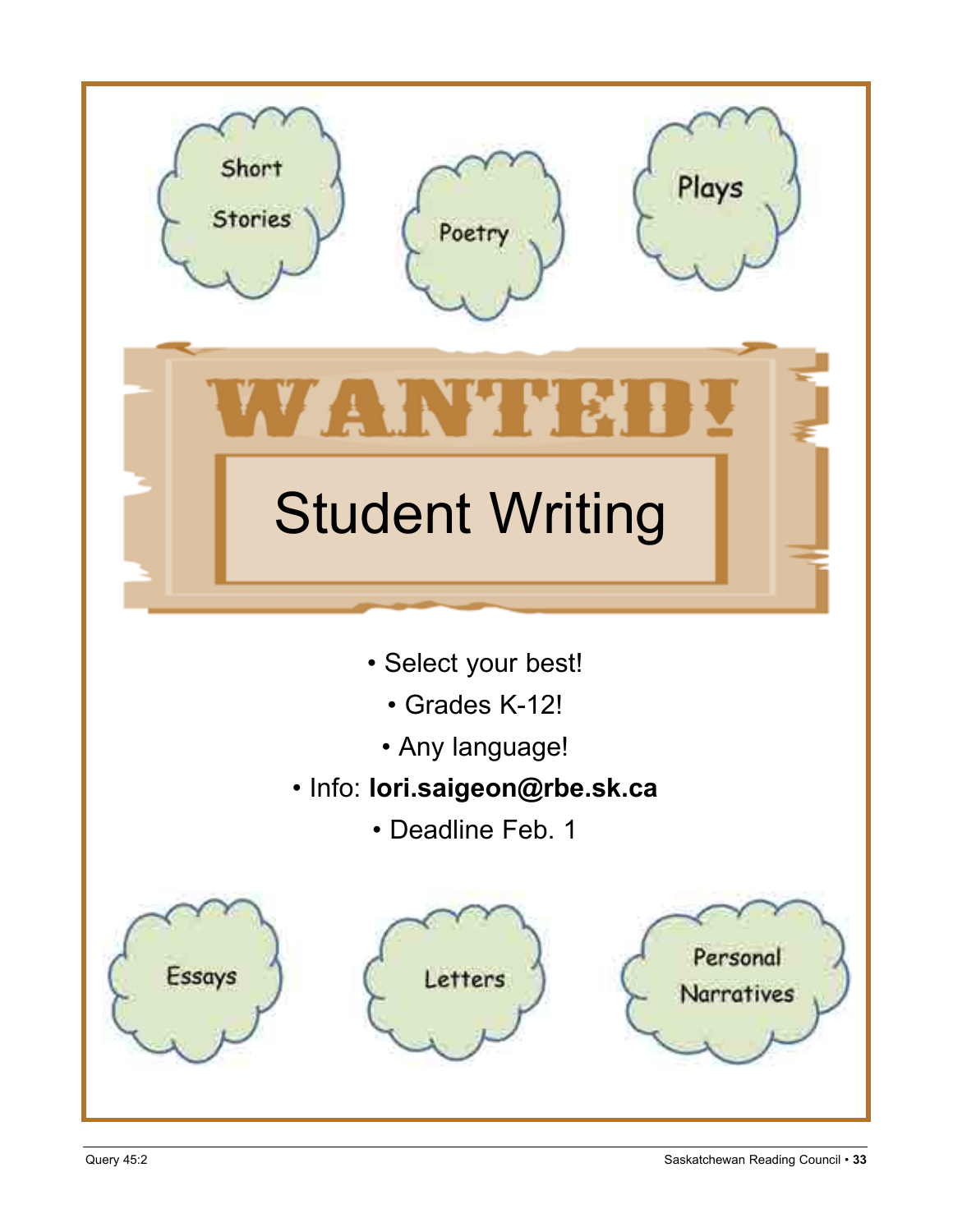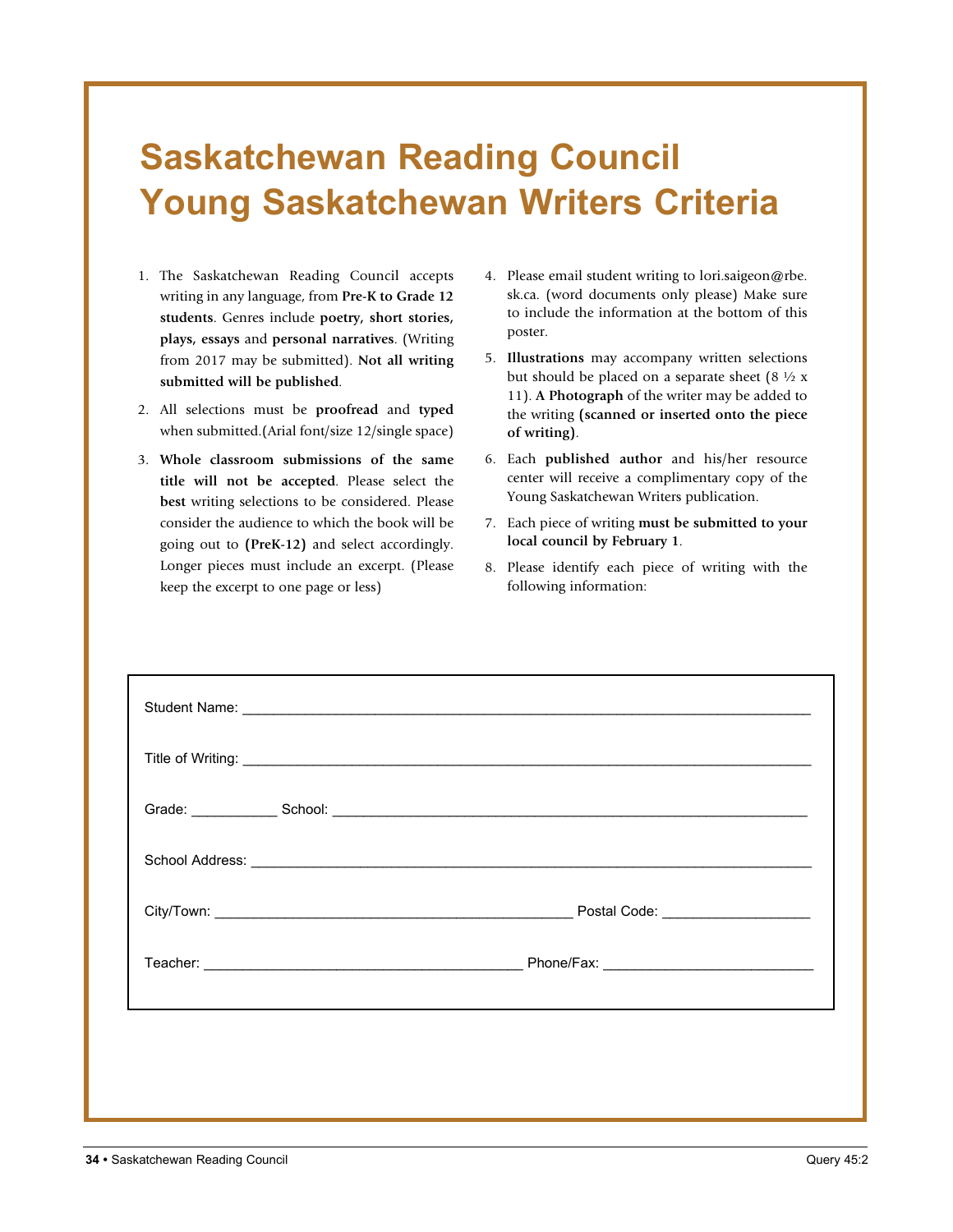### **Saskatchewan Reading Council Young Saskatchewan Writers Criteria**

- 1. The Saskatchewan Reading Council accepts writing in any language, from **Pre-K to Grade 12 students**. Genres include **poetry, short stories, plays, essays** and **personal narratives**. (Writing from 2017 may be submitted). **Not all writing submitted will be published**.
- 2. All selections must be **proofread** and **typed** when submitted.(Arial font/size 12/single space)
- 3. **Whole classroom submissions of the same title will not be accepted**. Please select the **best** writing selections to be considered. Please consider the audience to which the book will be going out to **(PreK-12)** and select accordingly. Longer pieces must include an excerpt. (Please keep the excerpt to one page or less)
- 4. Please email student writing to lori.saigeon@rbe. sk.ca. (word documents only please) Make sure to include the information at the bottom of this poster.
- 5. **Illustrations** may accompany written selections but should be placed on a separate sheet  $(8 \frac{1}{2} x)$ 11). **A Photograph** of the writer may be added to the writing **(scanned or inserted onto the piece of writing)**.
- 6. Each **published author** and his/her resource center will receive a complimentary copy of the Young Saskatchewan Writers publication.
- 7. Each piece of writing **must be submitted to your local council by February 1**.
- 8. Please identify each piece of writing with the following information:

| Student Name: <u>experience</u> and the student of the student of the student of the students of the students of the students of the students of the students of the students of the students of the students of the students of th |
|-------------------------------------------------------------------------------------------------------------------------------------------------------------------------------------------------------------------------------------|
|                                                                                                                                                                                                                                     |
| Grade: School: School: School: School: School: School: School: School: School: School: School: School: School: School: School: School: School: School: School: School: School: School: School: School: School: School: School:      |
|                                                                                                                                                                                                                                     |
|                                                                                                                                                                                                                                     |
|                                                                                                                                                                                                                                     |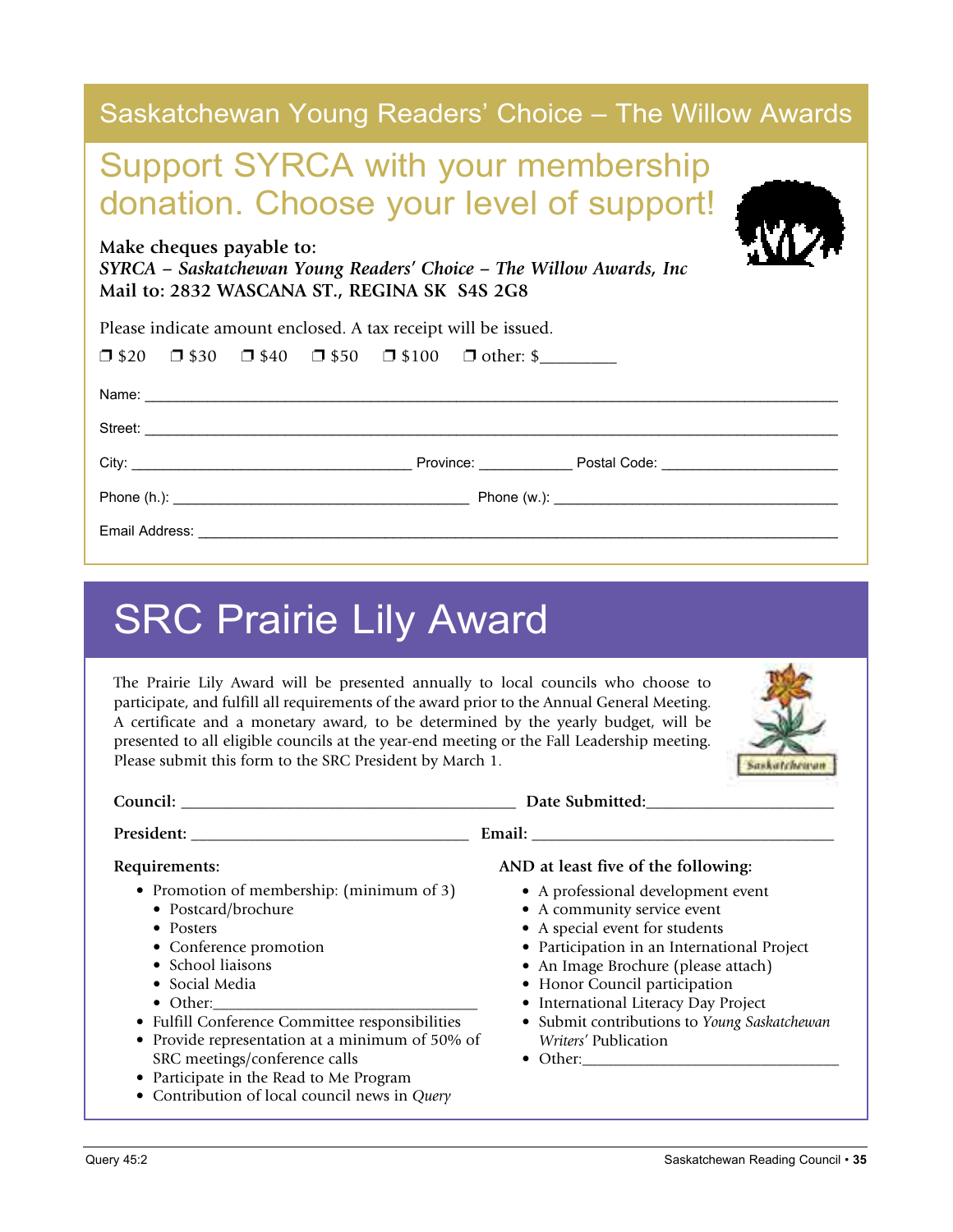| Saskatchewan Young Readers' Choice – The Willow Awards                                                                                          |
|-------------------------------------------------------------------------------------------------------------------------------------------------|
| <b>Support SYRCA with your membership</b><br>donation. Choose your level of support!                                                            |
| Make cheques payable to:<br>SYRCA - Saskatchewan Young Readers' Choice - The Willow Awards, Inc<br>Mail to: 2832 WASCANA ST., REGINA SK S4S 2G8 |
| Please indicate amount enclosed. A tax receipt will be issued.                                                                                  |
| $\Box$ \$20 $\Box$ \$30 $\Box$ \$40 $\Box$ \$50 $\Box$ \$100 $\Box$ other: \$                                                                   |
|                                                                                                                                                 |
|                                                                                                                                                 |
|                                                                                                                                                 |
|                                                                                                                                                 |
|                                                                                                                                                 |

# SRC Prairie Lily Award

The Prairie Lily Award will be presented annually to local councils who choose to participate, and fulfill all requirements of the award prior to the Annual General Meeting. A certificate and a monetary award, to be determined by the yearly budget, will be presented to all eligible councils at the year-end meeting or the Fall Leadership meeting. Please submit this form to the SRC President by March 1.



|                                                                                                                                                                                                                                                                                                                                                                                                    | Date Submitted:                                                                                                                                                                                                                                                                                                                                                                                       |
|----------------------------------------------------------------------------------------------------------------------------------------------------------------------------------------------------------------------------------------------------------------------------------------------------------------------------------------------------------------------------------------------------|-------------------------------------------------------------------------------------------------------------------------------------------------------------------------------------------------------------------------------------------------------------------------------------------------------------------------------------------------------------------------------------------------------|
| President:                                                                                                                                                                                                                                                                                                                                                                                         | Email: The contract of the contract of the contract of the contract of the contract of the contract of the contract of the contract of the contract of the contract of the contract of the contract of the contract of the con                                                                                                                                                                        |
| Requirements:<br>• Promotion of membership: (minimum of 3)<br>• Postcard/brochure<br>• Posters<br>• Conference promotion<br>• School liaisons<br>• Social Media<br>• Fulfill Conference Committee responsibilities<br>• Provide representation at a minimum of 50% of<br>SRC meetings/conference calls<br>• Participate in the Read to Me Program<br>• Contribution of local council news in Query | AND at least five of the following:<br>• A professional development event<br>• A community service event<br>• A special event for students<br>• Participation in an International Project<br>• An Image Brochure (please attach)<br>• Honor Council participation<br>• International Literacy Day Project<br>• Submit contributions to Young Saskatchewan<br>Writers' Publication<br>$\bullet$ Other: |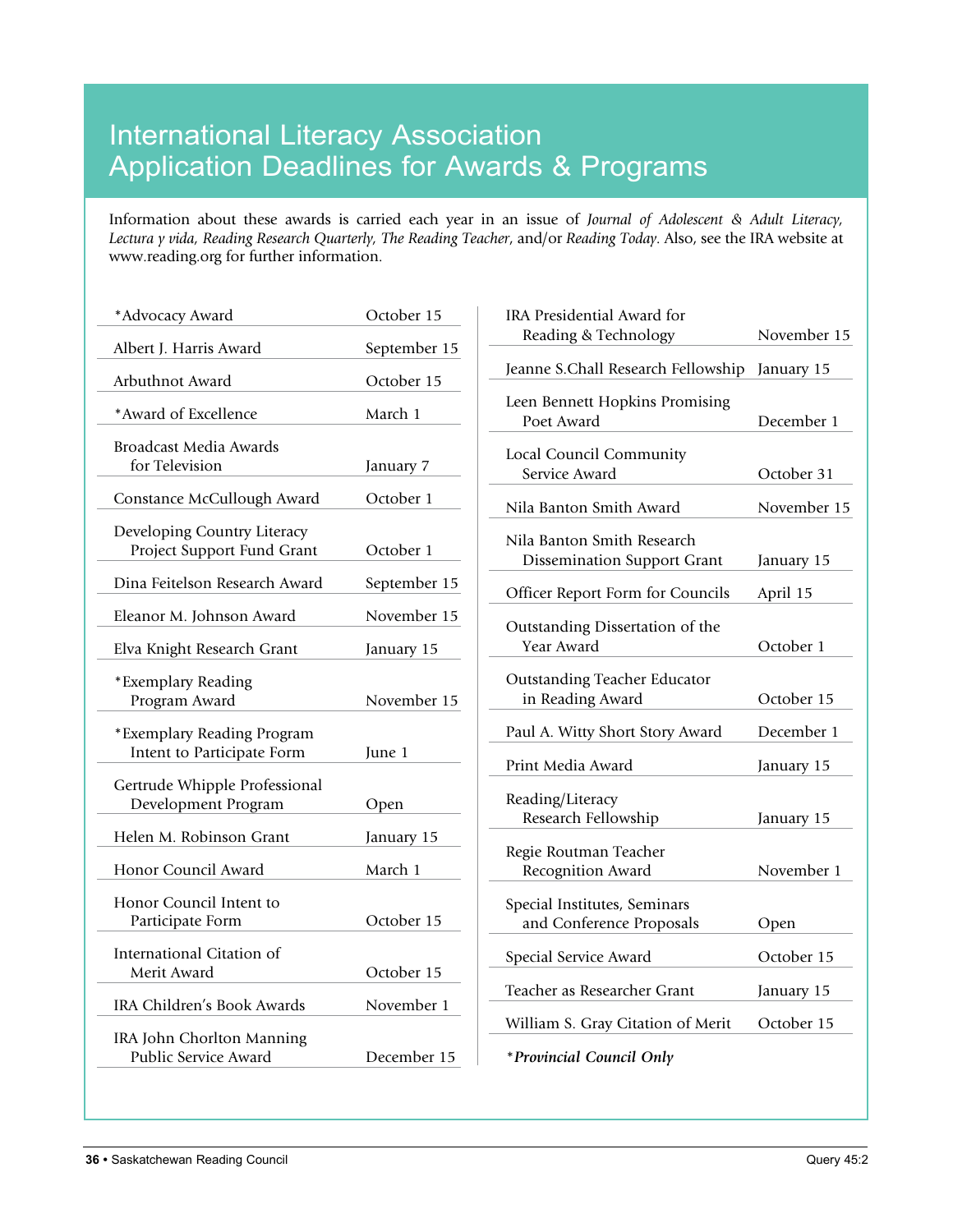### International Literacy Association Application Deadlines for Awards & Programs

Information about these awards is carried each year in an issue of *Journal of Adolescent & Adult Literacy, Lectura y vida, Reading Research Quarterly, The Reading Teacher*, and/or *Reading Today*. Also, see the IRA website at www.reading.org for further information.

| *Advocacy Award                                           | October 15   |
|-----------------------------------------------------------|--------------|
| Albert J. Harris Award                                    | September 15 |
| Arbuthnot Award                                           | October 15   |
| *Award of Excellence                                      | March 1      |
| Broadcast Media Awards<br>for Television                  | January 7    |
| Constance McCullough Award                                | October 1    |
| Developing Country Literacy<br>Project Support Fund Grant | October 1    |
| Dina Feitelson Research Award                             | September 15 |
| Eleanor M. Johnson Award                                  | November 15  |
| Elva Knight Research Grant                                | January 15   |
| *Exemplary Reading<br>Program Award                       | November 15  |
| *Exemplary Reading Program<br>Intent to Participate Form  | June 1       |
| Gertrude Whipple Professional<br>Development Program      | Open         |
| Helen M. Robinson Grant                                   | January 15   |
| Honor Council Award                                       | March 1      |
| Honor Council Intent to<br>Participate Form               | October 15   |
| International Citation of<br>Merit Award                  | October 15   |
| IRA Children's Book Awards                                | November 1   |
| IRA John Chorlton Manning<br>Public Service Award         | December 15  |
|                                                           |              |

| IRA Presidential Award for                                       |             |
|------------------------------------------------------------------|-------------|
| Reading & Technology                                             | November 15 |
| Jeanne S.Chall Research Fellowship                               | January 15  |
| Leen Bennett Hopkins Promising<br>Poet Award                     | December 1  |
| Local Council Community<br>Service Award                         | October 31  |
| Nila Banton Smith Award                                          | November 15 |
| Nila Banton Smith Research<br><b>Dissemination Support Grant</b> | January 15  |
| Officer Report Form for Councils                                 | April 15    |
| Outstanding Dissertation of the<br>Year Award                    | October 1   |
| <b>Outstanding Teacher Educator</b><br>in Reading Award          | October 15  |
| Paul A. Witty Short Story Award                                  | December 1  |
| Print Media Award                                                | January 15  |
| Reading/Literacy<br>Research Fellowship                          | January 15  |
| Regie Routman Teacher<br>Recognition Award                       | November 1  |
| Special Institutes, Seminars<br>and Conference Proposals         | Open        |
| Special Service Award                                            | October 15  |
| Teacher as Researcher Grant                                      | January 15  |
| William S. Gray Citation of Merit                                | October 15  |
| *Provincial Council Only                                         |             |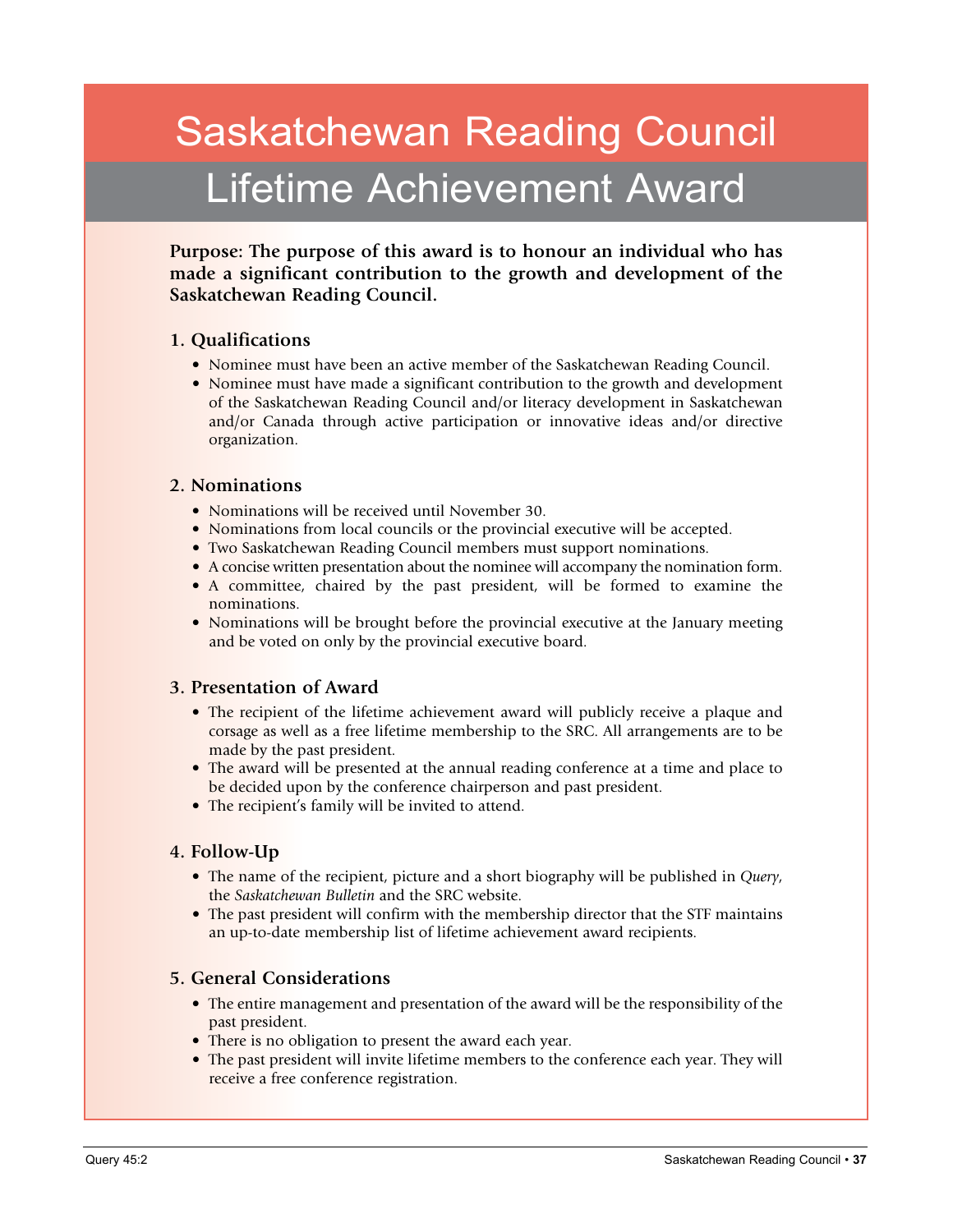# Saskatchewan Reading Council Lifetime Achievement Award

**Purpose: The purpose of this award is to honour an individual who has made a significant contribution to the growth and development of the Saskatchewan Reading Council.**

#### **1. Qualifications**

- Nominee must have been an active member of the Saskatchewan Reading Council.
- Nominee must have made a significant contribution to the growth and development of the Saskatchewan Reading Council and/or literacy development in Saskatchewan and/or Canada through active participation or innovative ideas and/or directive organization.

#### **2. Nominations**

- Nominations will be received until November 30.
- Nominations from local councils or the provincial executive will be accepted.
- Two Saskatchewan Reading Council members must support nominations.
- • A concise written presentation about the nominee will accompany the nomination form.
- A committee, chaired by the past president, will be formed to examine the nominations.
- Nominations will be brought before the provincial executive at the January meeting and be voted on only by the provincial executive board.

#### **3. Presentation of Award**

- The recipient of the lifetime achievement award will publicly receive a plaque and corsage as well as a free lifetime membership to the SRC. All arrangements are to be made by the past president.
- The award will be presented at the annual reading conference at a time and place to be decided upon by the conference chairperson and past president.
- The recipient's family will be invited to attend.

#### **4. Follow-Up**

- The name of the recipient, picture and a short biography will be published in *Query*, the *Saskatchewan Bulletin* and the SRC website.
- The past president will confirm with the membership director that the STF maintains an up-to-date membership list of lifetime achievement award recipients.

#### **5. General Considerations**

- The entire management and presentation of the award will be the responsibility of the past president.
- There is no obligation to present the award each year.
- The past president will invite lifetime members to the conference each year. They will receive a free conference registration.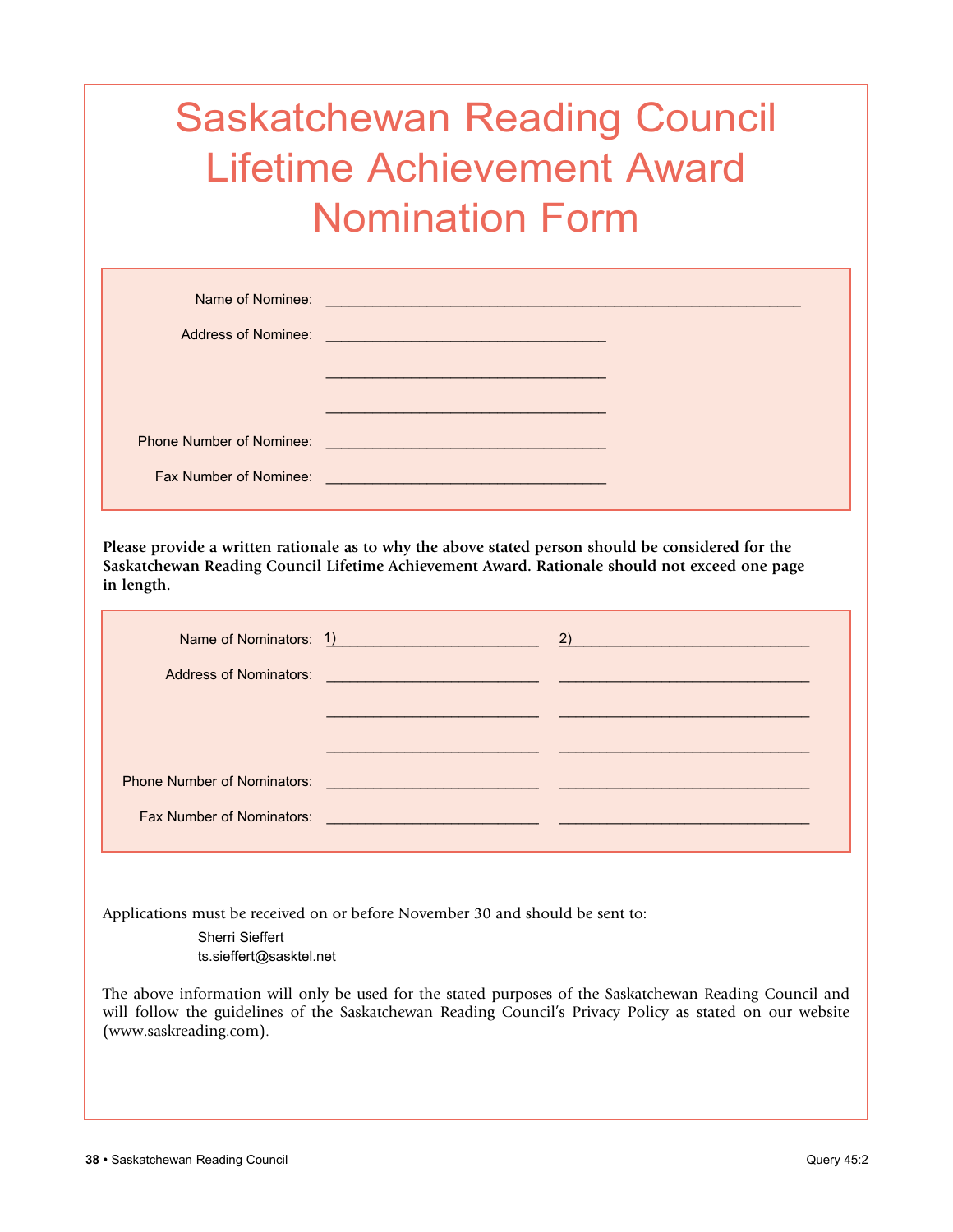# Saskatchewan Reading Council Lifetime Achievement Award Nomination Form

| Name of Nominee:<br>Address of Nominee: | <u> 1989 - Johann Barn, mars an t-Amerikaansk kommunist (</u><br>the contract of the contract of the contract of the contract of the contract of |  |
|-----------------------------------------|--------------------------------------------------------------------------------------------------------------------------------------------------|--|
|                                         |                                                                                                                                                  |  |
| <b>Phone Number of Nominee:</b>         | <u> 1989 - Johann Barn, mars ann an t-Amhain an t-Amhain an t-Amhain an t-Amhain an t-Amhain an t-Amhain an t-Amh</u>                            |  |
| Fax Number of Nominee:                  | <u> 1990 - Jan Sterling von Berling von Berling von Berling von Berling von Berling von Berling von Berling von B</u>                            |  |

**Please provide a written rationale as to why the above stated person should be considered for the Saskatchewan Reading Council Lifetime Achievement Award. Rationale should not exceed one page in length.**

| Phone Number of Nominators: National Account of Administration of Administration of Administration of Administration of Administration of Administration of Administration of Administration of Administration of Administrati |  |
|--------------------------------------------------------------------------------------------------------------------------------------------------------------------------------------------------------------------------------|--|
|                                                                                                                                                                                                                                |  |

Applications must be received on or before November 30 and should be sent to:

Sherri Sieffert ts.sieffert@sasktel.net

The above information will only be used for the stated purposes of the Saskatchewan Reading Council and will follow the guidelines of the Saskatchewan Reading Council's Privacy Policy as stated on our website (www.saskreading.com).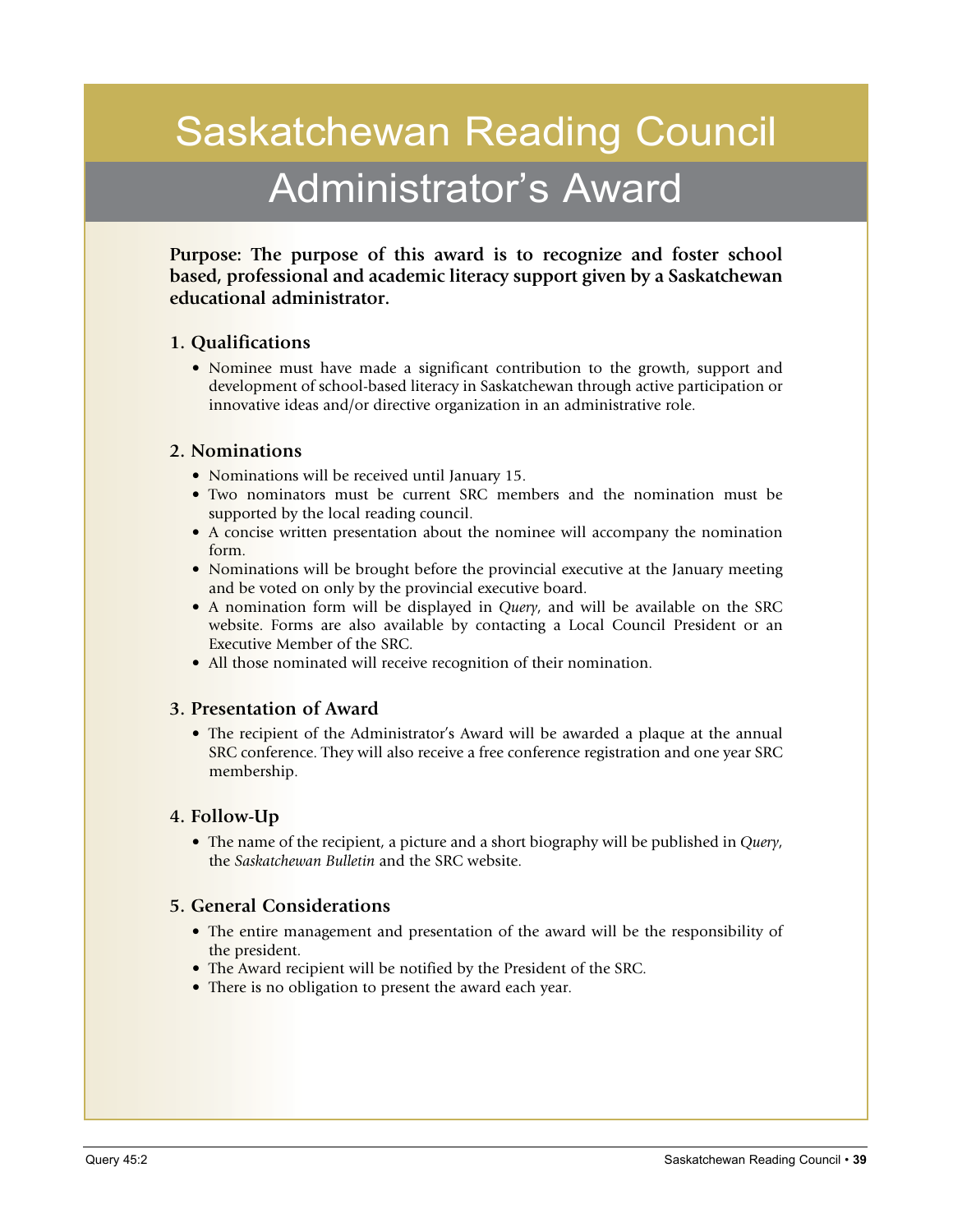# Saskatchewan Reading Council Administrator's Award

**Purpose: The purpose of this award is to recognize and foster school based, professional and academic literacy support given by a Saskatchewan educational administrator.**

#### **1. Qualifications**

• Nominee must have made a significant contribution to the growth, support and development of school-based literacy in Saskatchewan through active participation or innovative ideas and/or directive organization in an administrative role.

#### **2. Nominations**

- Nominations will be received until January 15.
- • Two nominators must be current SRC members and the nomination must be supported by the local reading council.
- A concise written presentation about the nominee will accompany the nomination form.
- Nominations will be brought before the provincial executive at the January meeting and be voted on only by the provincial executive board.
- A nomination form will be displayed in *Query*, and will be available on the SRC website. Forms are also available by contacting a Local Council President or an Executive Member of the SRC.
- All those nominated will receive recognition of their nomination.

#### **3. Presentation of Award**

• The recipient of the Administrator's Award will be awarded a plaque at the annual SRC conference. They will also receive a free conference registration and one year SRC membership.

#### **4. Follow-Up**

• The name of the recipient, a picture and a short biography will be published in *Query*, the *Saskatchewan Bulletin* and the SRC website.

#### **5. General Considerations**

- The entire management and presentation of the award will be the responsibility of the president.
- The Award recipient will be notified by the President of the SRC.
- There is no obligation to present the award each year.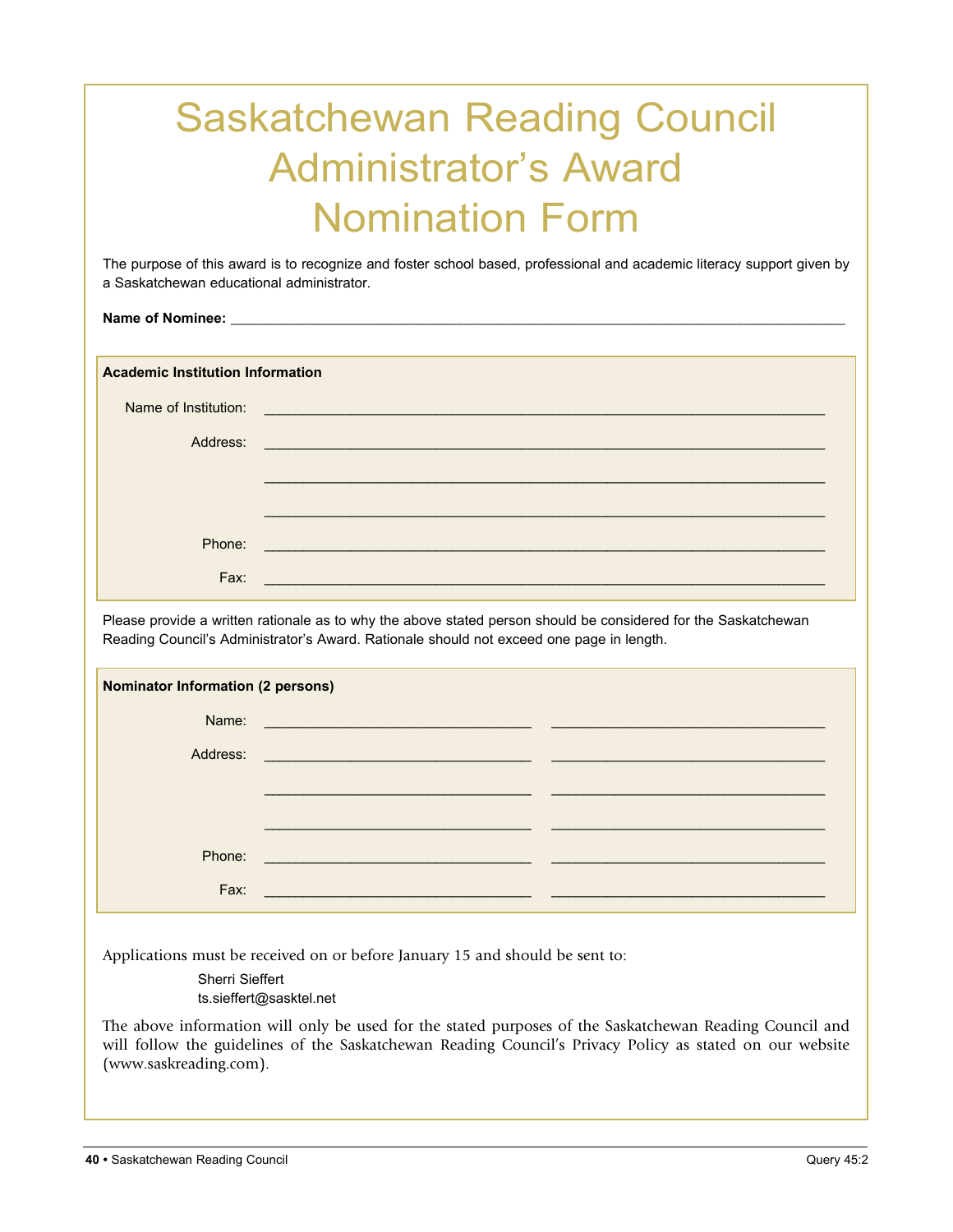# Saskatchewan Reading Council Administrator's Award Nomination Form

The purpose of this award is to recognize and foster school based, professional and academic literacy support given by a Saskatchewan educational administrator.

Name of Nominee:

**Academic Institution Information**

| Name of Institution: | <u> 1989 - Jan Sterling von Berling von Berling von Berling von Berling von Berling von Berling von Berling von B</u>  |
|----------------------|------------------------------------------------------------------------------------------------------------------------|
| Address:             | <u> 1989 - Johann Stein, marwolaethau a bhann an t-Albann an t-Albann an t-Albann an t-Albann an t-Albann an t-Alb</u> |
|                      |                                                                                                                        |
|                      |                                                                                                                        |
| Phone:               | <u> 1989 - Jan Sterling von Berger von Berger von Berger von Berger von Berger von Berger von Berger von Berger</u>    |
| Fax:                 |                                                                                                                        |

Please provide a written rationale as to why the above stated person should be considered for the Saskatchewan Reading Council's Administrator's Award. Rationale should not exceed one page in length.

| <b>Nominator Information (2 persons)</b> |                                                                     |  |
|------------------------------------------|---------------------------------------------------------------------|--|
| Name:                                    |                                                                     |  |
| Address:                                 | <u> 1989 - Andrea Stadt Britain, amerikansk politiker (d. 1989)</u> |  |
|                                          |                                                                     |  |
|                                          |                                                                     |  |
| Phone:                                   | <b>Service Service</b>                                              |  |
| Fax:                                     |                                                                     |  |

Applications must be received on or before January 15 and should be sent to:

Sherri Sieffert ts.sieffert@sasktel.net

The above information will only be used for the stated purposes of the Saskatchewan Reading Council and will follow the guidelines of the Saskatchewan Reading Council's Privacy Policy as stated on our website (www.saskreading.com).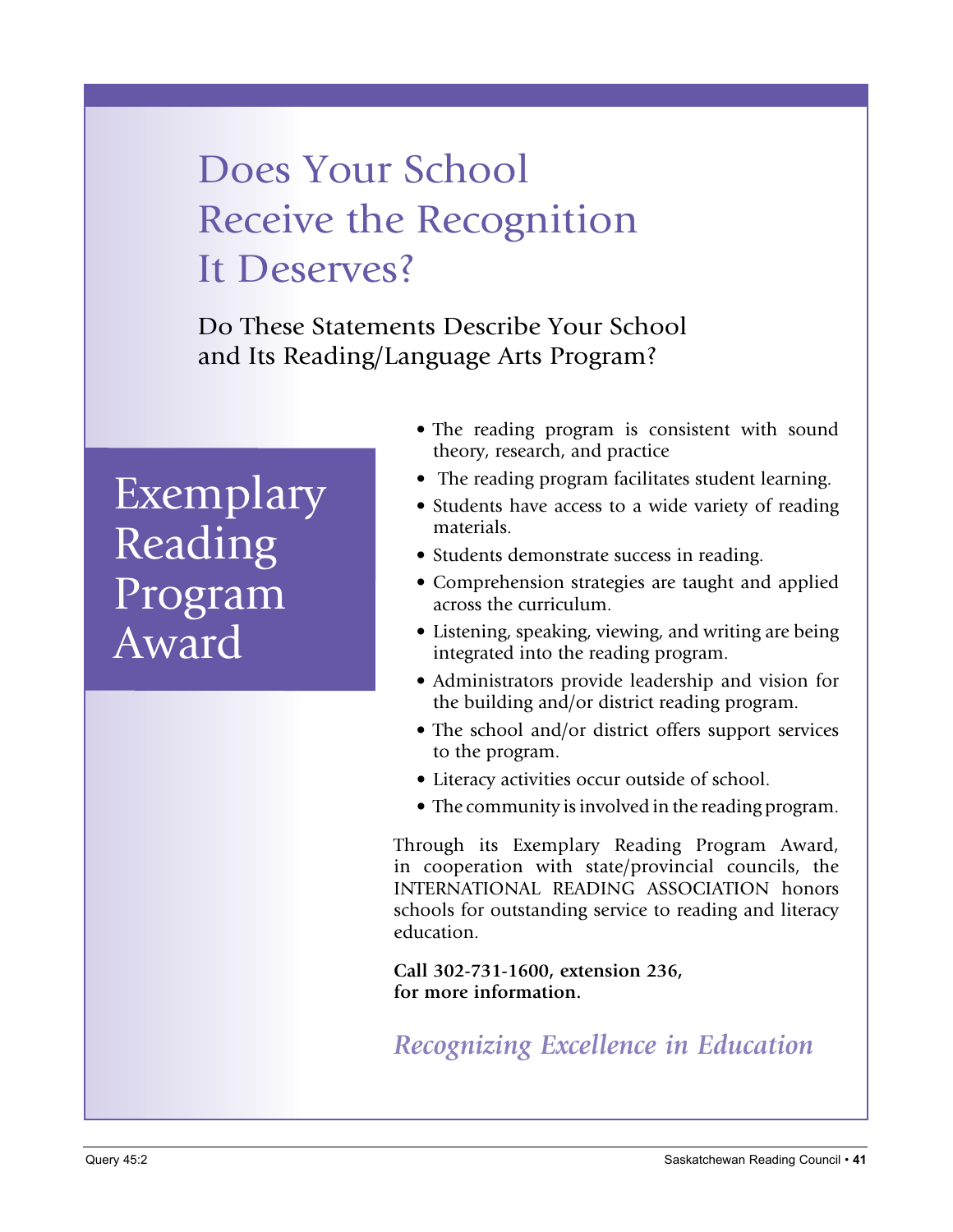# Does Your School Receive the Recognition It Deserves?

Do These Statements Describe Your School and Its Reading/Language Arts Program?

# Exemplary Reading Program Award

- The reading program is consistent with sound theory, research, and practice
- The reading program facilitates student learning.
- Students have access to a wide variety of reading materials.
- Students demonstrate success in reading.
- Comprehension strategies are taught and applied across the curriculum.
- Listening, speaking, viewing, and writing are being integrated into the reading program.
- Administrators provide leadership and vision for the building and/or district reading program.
- The school and/or district offers support services to the program.
- Literacy activities occur outside of school.
- The community is involved in the reading program.

Through its Exemplary Reading Program Award, in cooperation with state/provincial councils, the INTERNATIONAL READING ASSOCIATION honors schools for outstanding service to reading and literacy education.

**Call 302-731-1600, extension 236, for more information.**

*Recognizing Excellence in Education*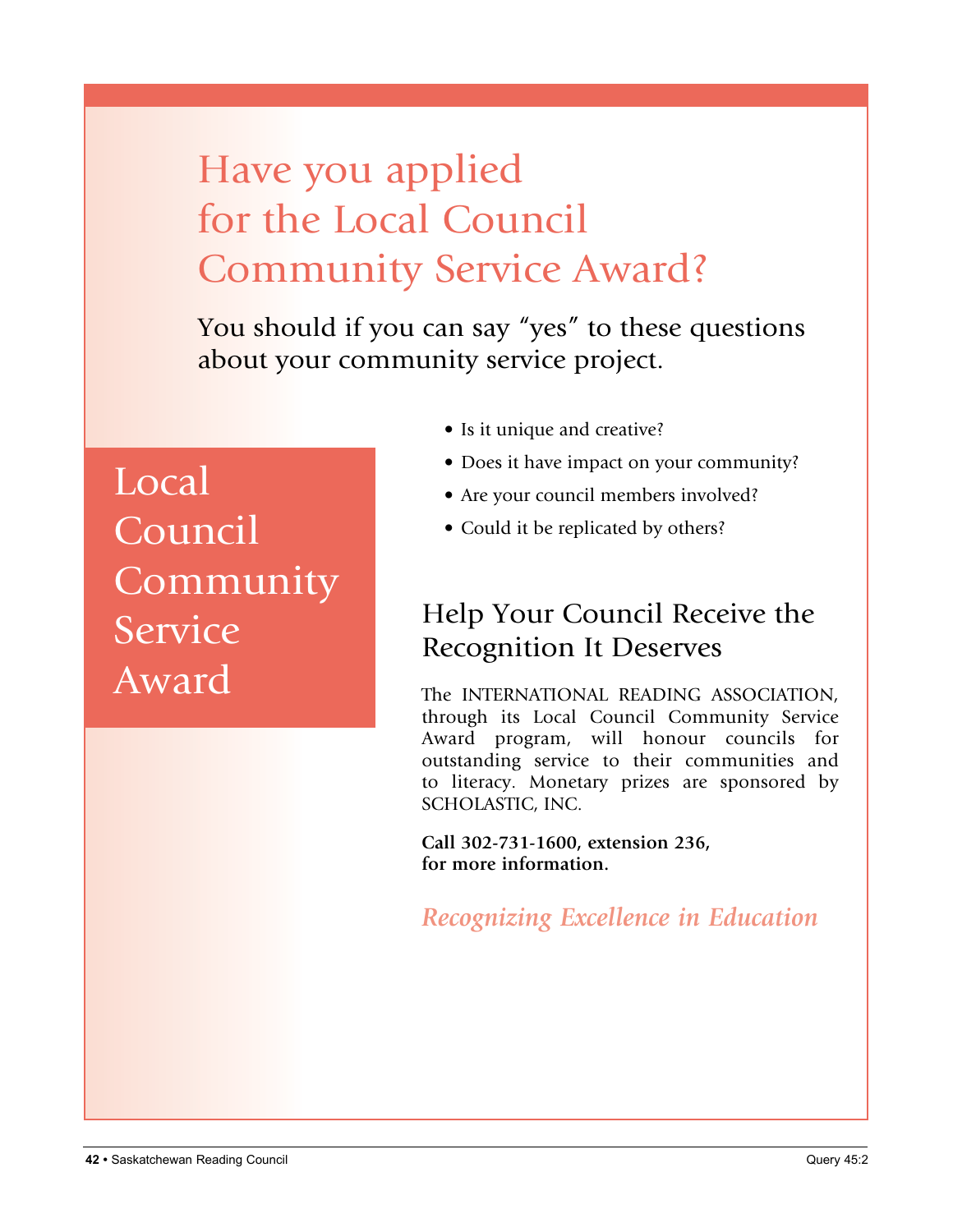# Have you applied for the Local Council Community Service Award?

You should if you can say "yes" to these questions about your community service project.

Local **Council** Community **Service** Award

- Is it unique and creative?
- Does it have impact on your community?
- Are your council members involved?
- Could it be replicated by others?

### Help Your Council Receive the Recognition It Deserves

The INTERNATIONAL READING ASSOCIATION, through its Local Council Community Service Award program, will honour councils for outstanding service to their communities and to literacy. Monetary prizes are sponsored by SCHOLASTIC, INC.

**Call 302-731-1600, extension 236, for more information.**

*Recognizing Excellence in Education*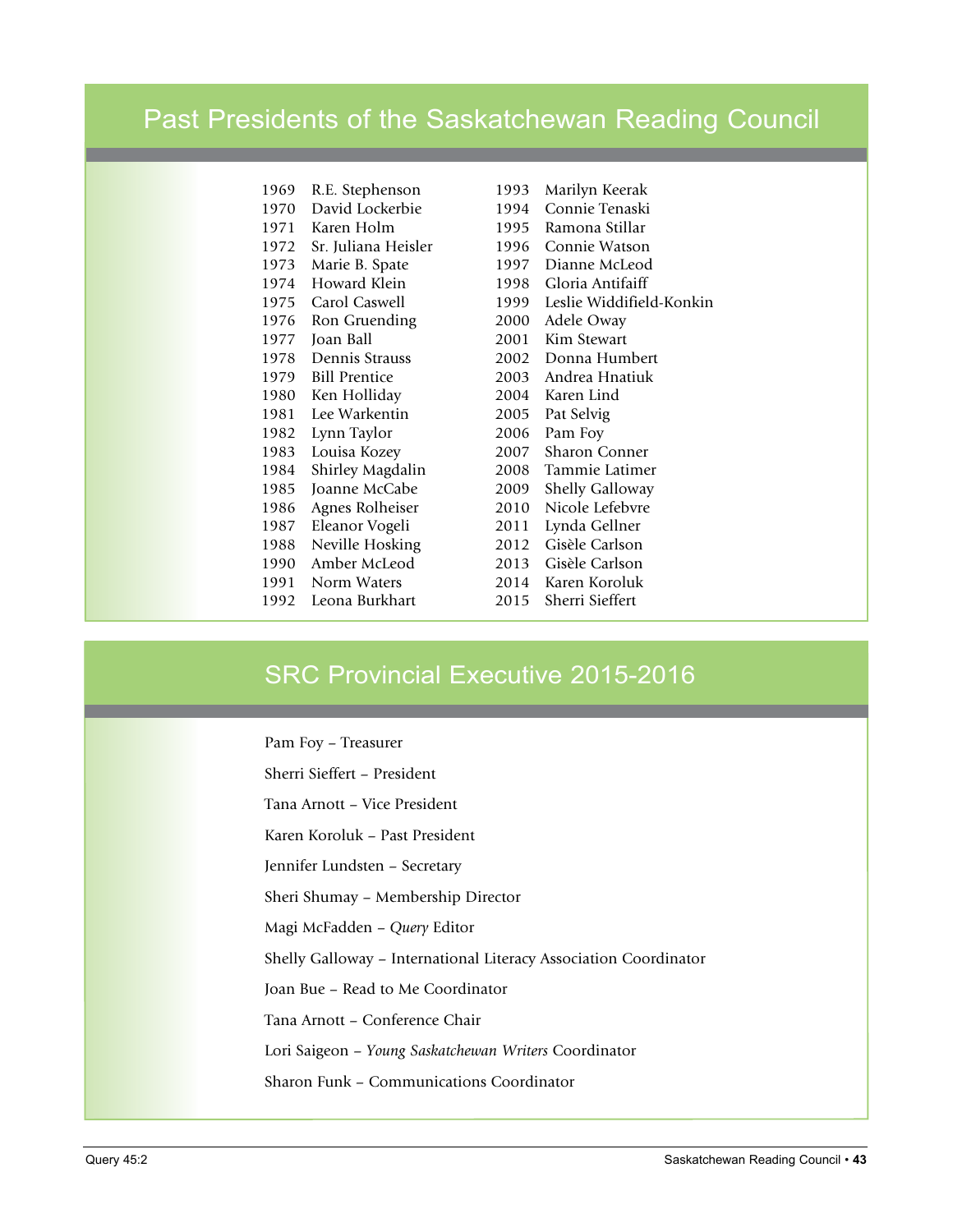### Past Presidents of the Saskatchewan Reading Council

| 1969 | R.E. Stephenson      |
|------|----------------------|
| 1970 | David Lockerbie      |
| 1971 | Karen Holm           |
| 1972 | Sr. Juliana Heisler  |
| 1973 | Marie B. Spate       |
| 1974 | Howard Klein         |
| 1975 | Carol Caswell        |
| 1976 | Ron Gruending        |
| 1977 | Joan Ball            |
| 1978 | Dennis Strauss       |
| 1979 | <b>Bill Prentice</b> |
| 1980 | Ken Holliday         |
| 1981 | Lee Warkentin        |
| 1982 | Lynn Taylor          |
| 1983 | Louisa Kozey         |
| 1984 | Shirley Magdalin     |
| 1985 | Joanne McCabe        |
| 1986 | Agnes Rolheiser      |
| 1987 | Eleanor Vogeli       |
| 1988 | Neville Hosking      |
| 1990 | Amber McLeod         |
| 1991 | Norm Waters          |
| 1992 | Leona Burkhart       |

1993 Marilyn Keerak 1994 Connie Tenaski 1995 Ramona Stillar 1996 Connie Watson 1997 Dianne McLeod 1998 Gloria Antifaiff 1999 Leslie Widdifield-Konkin 2000 Adele Oway 2001 Kim Stewart 2002 Donna Humbert 2003 Andrea Hnatiuk 2004 Karen Lind 2005 Pat Selvig 2006 Pam Foy 2007 Sharon Conner 2008 Tammie Latimer 2009 Shelly Galloway 2010 Nicole Lefebvre 2011 Lynda Gellner 2012 Gisèle Carlson 2013 Gisèle Carlson 2014 Karen Koroluk 2015 Sherri Sieffert

### SRC Provincial Executive 2015-2016

Pam Foy – Treasurer

Sherri Sieffert – President

Tana Arnott – Vice President

Karen Koroluk – Past President

Jennifer Lundsten – Secretary

Sheri Shumay – Membership Director

Magi McFadden – *Query* Editor

Shelly Galloway – International Literacy Association Coordinator

Joan Bue – Read to Me Coordinator

Tana Arnott – Conference Chair

Lori Saigeon – *Young Saskatchewan Writers* Coordinator

Sharon Funk – Communications Coordinator